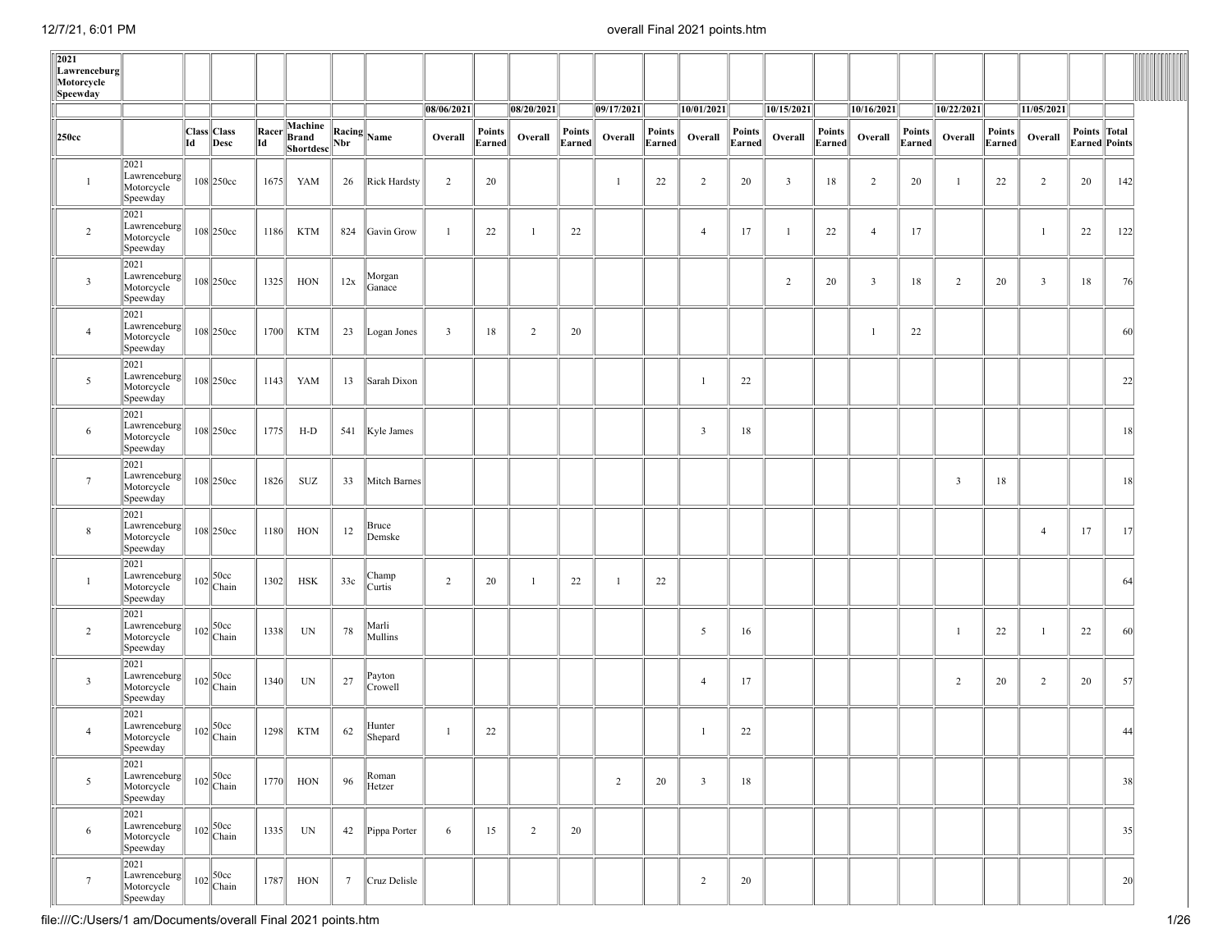| 2021<br>Lawrenceburg<br>Motorcycle<br>Speewday |                                                  |    |                                                                        |               |                               |                 |                       |                |                         |                |                  |                |                  |                |                  |                         |                  |                |                  |                |                  |                |                               |     |  |
|------------------------------------------------|--------------------------------------------------|----|------------------------------------------------------------------------|---------------|-------------------------------|-----------------|-----------------------|----------------|-------------------------|----------------|------------------|----------------|------------------|----------------|------------------|-------------------------|------------------|----------------|------------------|----------------|------------------|----------------|-------------------------------|-----|--|
|                                                |                                                  |    |                                                                        |               |                               |                 |                       | 08/06/2021     |                         | 08/20/2021     |                  | 09/17/2021     |                  | 10/01/2021     |                  | 10/15/2021              |                  | 10/16/2021     |                  | 10/22/2021     |                  | 11/05/2021     |                               |     |  |
| 250cc                                          |                                                  | Id | Class Class<br>Desc                                                    | Racer<br>  Id | Machine<br>Brand<br>Shortdesc | $\vert$ Nbr     | $\ $ Racing $\ $ Name | Overall        | <b>Points</b><br>Earned | Overall        | Points<br>Earned | Overall        | Points<br>Earned | Overall        | Points<br>Earned | Overall                 | Points<br>Earned | Overall        | Points<br>Earned | Overall        | Points<br>Earned | Overall        | Points Total<br>Earned Points |     |  |
| $\mathbf{1}$                                   | 2021<br>Lawrenceburg<br>Motorcycle<br>Speewday   |    | $108$  250cc                                                           | 1675          | YAM                           | 26              | Rick Hardsty          | $\overline{2}$ | 20                      |                |                  | -1             | 22               | $\overline{c}$ | 20               | $\overline{\mathbf{3}}$ | 18               | $\overline{2}$ | 20               | -1             | 22               | $\overline{2}$ | 20                            | 142 |  |
| $\overline{2}$                                 | 2021<br>Lawrenceburg<br>Motorcycle<br>Speewday   |    | $108$  250cc                                                           | 1186          | <b>KTM</b>                    |                 | 824 Gavin Grow        | $\mathbf{1}$   | 22                      | $\overline{1}$ | 22               |                |                  | $\overline{4}$ | 17               | -1                      | 22               | $\overline{4}$ | 17               |                |                  | -1             | 22                            | 122 |  |
| $\overline{\mathbf{3}}$                        | 2021<br>Lawrenceburg<br>Motorcycle<br>Speewday   |    | 108 250cc                                                              | 1325          | HON                           | 12x             | Morgan<br>Ganace      |                |                         |                |                  |                |                  |                |                  | $\overline{2}$          | 20               | $\mathbf{3}$   | 18               | $\overline{2}$ | 20               | 3              | 18                            | 76  |  |
| $\overline{4}$                                 | 2021<br>Lawrenceburg<br>Motorcycle<br>Speewday   |    | 108 250cc                                                              | 1700          | <b>KTM</b>                    | 23              | Logan Jones           | $\overline{3}$ | 18                      | $\overline{2}$ | 20               |                |                  |                |                  |                         |                  | $\mathbf{1}$   | 22               |                |                  |                |                               | 60  |  |
| 5                                              | 2021<br>Lawrenceburg<br>Motorcycle<br>Speewday   |    | $108$  250cc                                                           | 1143          | YAM                           | 13              | Sarah Dixon           |                |                         |                |                  |                |                  | 1              | 22               |                         |                  |                |                  |                |                  |                |                               | 22  |  |
| 6                                              | 2021<br>Lawrenceburg  <br>Motorcycle<br>Speewday |    | $108$  250cc                                                           | 1775          | H-D                           |                 | 541 Kyle James        |                |                         |                |                  |                |                  | $\mathbf{3}$   | 18               |                         |                  |                |                  |                |                  |                |                               | 18  |  |
| $7\phantom{.0}$                                | 2021<br>Lawrenceburg<br>Motorcycle<br>Speewday   |    | 108 250cc                                                              | 1826          | SUZ                           | 33              | Mitch Barnes          |                |                         |                |                  |                |                  |                |                  |                         |                  |                |                  | $\overline{3}$ | 18               |                |                               | 18  |  |
| $\,$ 8 $\,$                                    | 2021<br>Lawrenceburg<br>Motorcycle<br>Speewday   |    | $108$  250cc                                                           | 1180          | HON                           | 12              | Bruce<br>Demske       |                |                         |                |                  |                |                  |                |                  |                         |                  |                |                  |                |                  | $\overline{4}$ | 17                            | 17  |  |
| $\mathbf{1}$                                   | 2021<br>Lawrenceburg<br>Motorcycle<br>Speewday   |    | $102 \begin{array}{ c } \hline 50cc \ \hline \text{Chain} \end{array}$ | 1302          | HSK                           | 33c             | Champ<br>Curtis       | 2              | 20                      | -1             | 22               | -1             | 22               |                |                  |                         |                  |                |                  |                |                  |                |                               | 64  |  |
| $\overline{c}$                                 | 2021<br>Lawrenceburg<br>Motorcycle<br>Speewday   |    | $102 \begin{array}{ c } \hline 50cc \ \hline \text{Chain} \end{array}$ | 1338          | UN                            | 78              | Marli<br>Mullins      |                |                         |                |                  |                |                  | 5              | 16               |                         |                  |                |                  | -1             | 22               | -1             | 22                            | 60  |  |
| $\overline{\mathbf{3}}$                        | 2021<br>Lawrenceburg<br>Motorcycle<br>Speewday   |    | $102 \begin{array}{ c } \hline 50cc \ \hline \text{Chain} \end{array}$ | 1340          | UN                            | 27              | Payton<br>Crowell     |                |                         |                |                  |                |                  | $\overline{4}$ | 17               |                         |                  |                |                  | $\overline{2}$ | 20               | $\overline{2}$ | 20                            | 57  |  |
| $\overline{4}$                                 | 2021<br>Lawrenceburg<br>Motorcycle<br>Speewday   |    | $102 \begin{array}{ c } \hline 50cc \ \hline \text{Chain} \end{array}$ | 1298          | <b>KTM</b>                    | 62              | Hunter<br>Shepard     | -1             | 22                      |                |                  |                |                  | 1              | 22               |                         |                  |                |                  |                |                  |                |                               | 44  |  |
| 5                                              | 2021<br>Lawrenceburg<br>Motorcycle<br>Speewday   |    | $102 \begin{array}{ c } \hline 50cc \ \hline \text{Chain} \end{array}$ | 1770          | HON                           | 96              | Roman<br>Hetzer       |                |                         |                |                  | $\overline{2}$ | 20               | $\mathbf{3}$   | 18               |                         |                  |                |                  |                |                  |                |                               | 38  |  |
| 6                                              | 2021<br>Lawrenceburg<br>Motorcycle<br>Speewday   |    | $102 \begin{array}{ c } \hline 50cc \ \hline \text{Chain} \end{array}$ | 1335          | UN                            | 42              | Pippa Porter          | 6              | 15                      | $\overline{2}$ | 20               |                |                  |                |                  |                         |                  |                |                  |                |                  |                |                               | 35  |  |
| $7\phantom{.0}$                                | 2021<br>Lawrenceburg<br>Motorcycle<br>Speewday   |    | $102 \begin{array}{ l} 50 \text{cc} \\ \text{Chain} \end{array}$       | 1787          | HON                           | $7\phantom{.0}$ | Cruz Delisle          |                |                         |                |                  |                |                  | $\overline{2}$ | 20               |                         |                  |                |                  |                |                  |                |                               | 20  |  |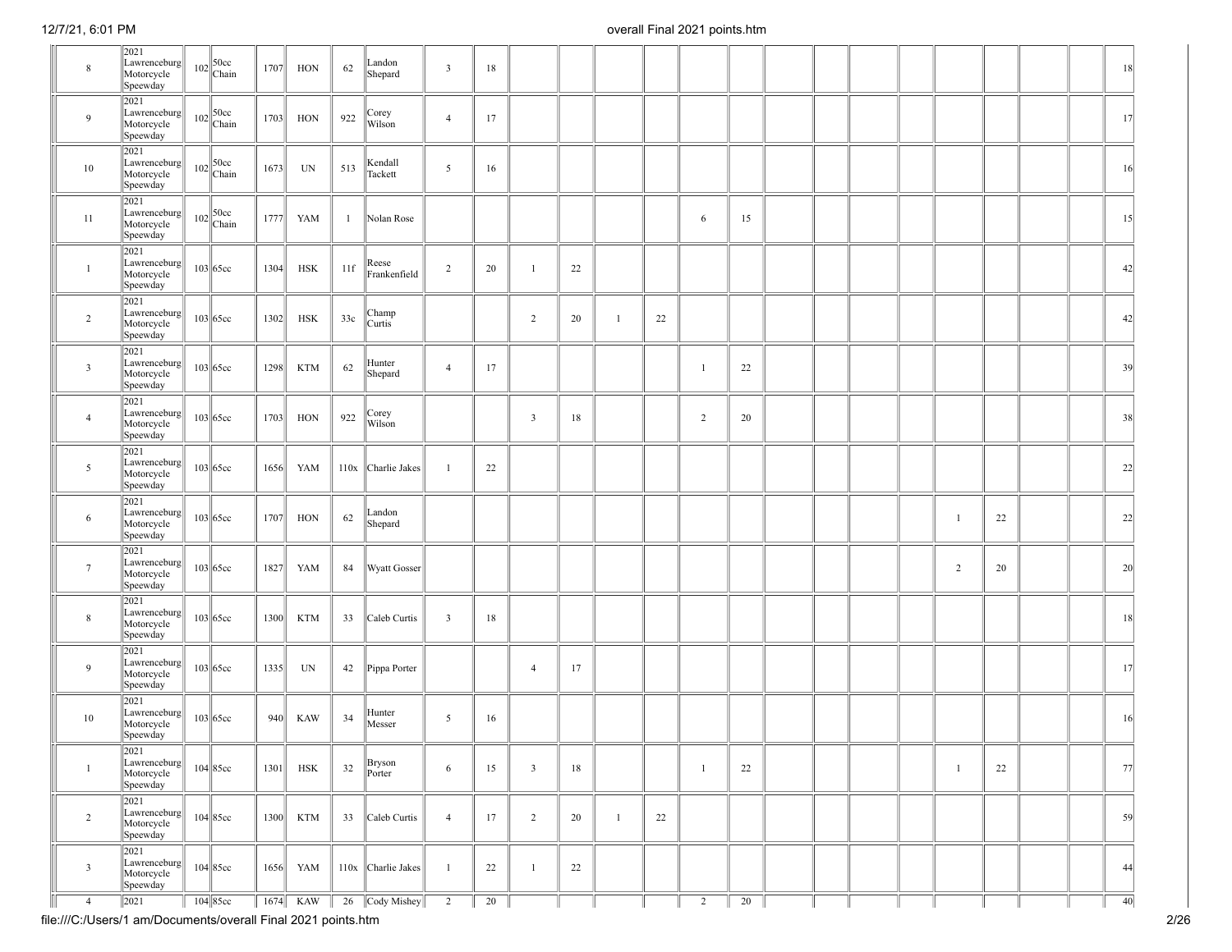| $\,$ 8 $\,$     | 2021<br>Lawrenceburg<br>Motorcycle<br>Speewday | $102$ $\bigg  50 \text{cc}$<br>Chain                                     | 1707 | HON        | 62           | Landon<br>Shepard     | $\overline{\mathbf{3}}$ | 18 |                |        |    |                |    |  |  |                |    |  | 18     |
|-----------------|------------------------------------------------|--------------------------------------------------------------------------|------|------------|--------------|-----------------------|-------------------------|----|----------------|--------|----|----------------|----|--|--|----------------|----|--|--------|
| 9               | 2021<br>Lawrenceburg<br>Motorcycle<br>Speewday | $102$ $\bigg  \begin{array}{c} 50 \text{cc} \\ \text{Chain} \end{array}$ | 1703 | HON        | 922          | Corey<br>Wilson       | $\overline{4}$          | 17 |                |        |    |                |    |  |  |                |    |  | 17     |
| 10              | 2021<br>Lawrenceburg<br>Motorcycle<br>Speewday | $102$ $\bigg  \begin{array}{c} 50 \text{cc} \\ \text{Chain} \end{array}$ | 1673 | UN         | 513          | Kendall<br>Tackett    | 5                       | 16 |                |        |    |                |    |  |  |                |    |  | 16     |
| 11              | 2021<br>Lawrenceburg<br>Motorcycle<br>Speewday | $102$ $\bigg  \begin{array}{c} 50 \text{cc} \\ \text{Chain} \end{array}$ | 1777 | YAM        | $\mathbf{1}$ | Nolan Rose            |                         |    |                |        |    | 6              | 15 |  |  |                |    |  | 15     |
| $\mathbf{1}$    | 2021<br>Lawrenceburg<br>Motorcycle<br>Speewday | $103$ 65cc                                                               | 1304 | <b>HSK</b> | 11f          | Reese<br>Frankenfield | $\overline{2}$          | 20 | $\mathbf{1}$   | 22     |    |                |    |  |  |                |    |  | 42     |
| $\overline{2}$  | 2021<br>Lawrenceburg<br>Motorcycle<br>Speewday | $103$ 65cc                                                               | 1302 | HSK        | 33c          | Champ<br>Curtis       |                         |    | $\overline{2}$ | 20     | 22 |                |    |  |  |                |    |  | 42     |
| $\overline{3}$  | 2021<br>Lawrenceburg<br>Motorcycle<br>Speewday | $103$ 65cc                                                               | 1298 | <b>KTM</b> | 62           | Hunter<br>Shepard     | $\overline{4}$          | 17 |                |        |    | $\overline{1}$ | 22 |  |  |                |    |  | 39     |
| $\overline{4}$  | 2021<br>Lawrenceburg<br>Motorcycle<br>Speewday | $103$ 65cc                                                               | 1703 | HON        | 922          | Corey<br>Wilson       |                         |    | $\mathbf{3}$   | 18     |    | $\overline{2}$ | 20 |  |  |                |    |  | 38     |
| 5               | 2021<br>Lawrenceburg<br>Motorcycle<br>Speewday | $103$ 65cc                                                               | 1656 | YAM        |              | 110x Charlie Jakes    | $\overline{1}$          | 22 |                |        |    |                |    |  |  |                |    |  | 22     |
| 6               | 2021<br>Lawrenceburg<br>Motorcycle<br>Speewday | $103$ 65cc                                                               | 1707 | HON        | 62           | Landon<br>Shepard     |                         |    |                |        |    |                |    |  |  | $\mathbf{1}$   | 22 |  | 22     |
| $7\phantom{.0}$ | 2021<br>Lawrenceburg<br>Motorcycle<br>Speewday | $103$ 65cc                                                               | 1827 | YAM        | 84           | <b>Wyatt Gosser</b>   |                         |    |                |        |    |                |    |  |  | $\overline{2}$ | 20 |  | 20     |
| $\,$ 8 $\,$     | 2021<br>Lawrenceburg<br>Motorcycle<br>Speewday | $103$ 65cc                                                               | 1300 | <b>KTM</b> | 33           | Caleb Curtis          | $\overline{\mathbf{3}}$ | 18 |                |        |    |                |    |  |  |                |    |  | 18     |
| 9               | 2021<br>Lawrenceburg<br>Motorcycle<br>Speewday | $103$ 65cc                                                               | 1335 | UN         | 42           | Pippa Porter          |                         |    | $\overline{4}$ | 17     |    |                |    |  |  |                |    |  | 17     |
| 10              | 2021<br>Lawrenceburg<br>Motorcycle<br>Speewday | $103$ 65cc                                                               | 940  | <b>KAW</b> | 34           | Hunter<br>Messer      | 5                       | 16 |                |        |    |                |    |  |  |                |    |  | 16     |
| $\mathbf{1}$    | 2021<br>Lawrenceburg<br>Motorcycle<br>Speewday | $104$ 85cc                                                               | 1301 | HSK        | 32           | Bryson<br>Porter      | 6                       | 15 | $\mathbf{3}$   | 18     |    | -1             | 22 |  |  | $\overline{1}$ | 22 |  | 77     |
| $\overline{2}$  | 2021<br>Lawrenceburg<br>Motorcycle<br>Speewday | $104$ 85cc                                                               | 1300 | KTM        | 33           | Caleb Curtis          | $\overline{4}$          | 17 | $\overline{2}$ | 20     | 22 |                |    |  |  |                |    |  | 59     |
| $\overline{3}$  | 2021<br>Lawrenceburg<br>Motorcycle<br>Speewday | $104$ 85cc                                                               | 1656 | YAM        |              | 110x Charlie Jakes    | $\mathbf{1}$            | 22 | $\mathbf{1}$   | $22\,$ |    |                |    |  |  |                |    |  | 44     |
| $\overline{4}$  | 2021                                           | 104 85cc                                                                 |      | 1674 KAW   |              | 26 Cody Mishey        | $\overline{2}$          | 20 |                |        |    | $\overline{c}$ | 20 |  |  |                |    |  | $40\,$ |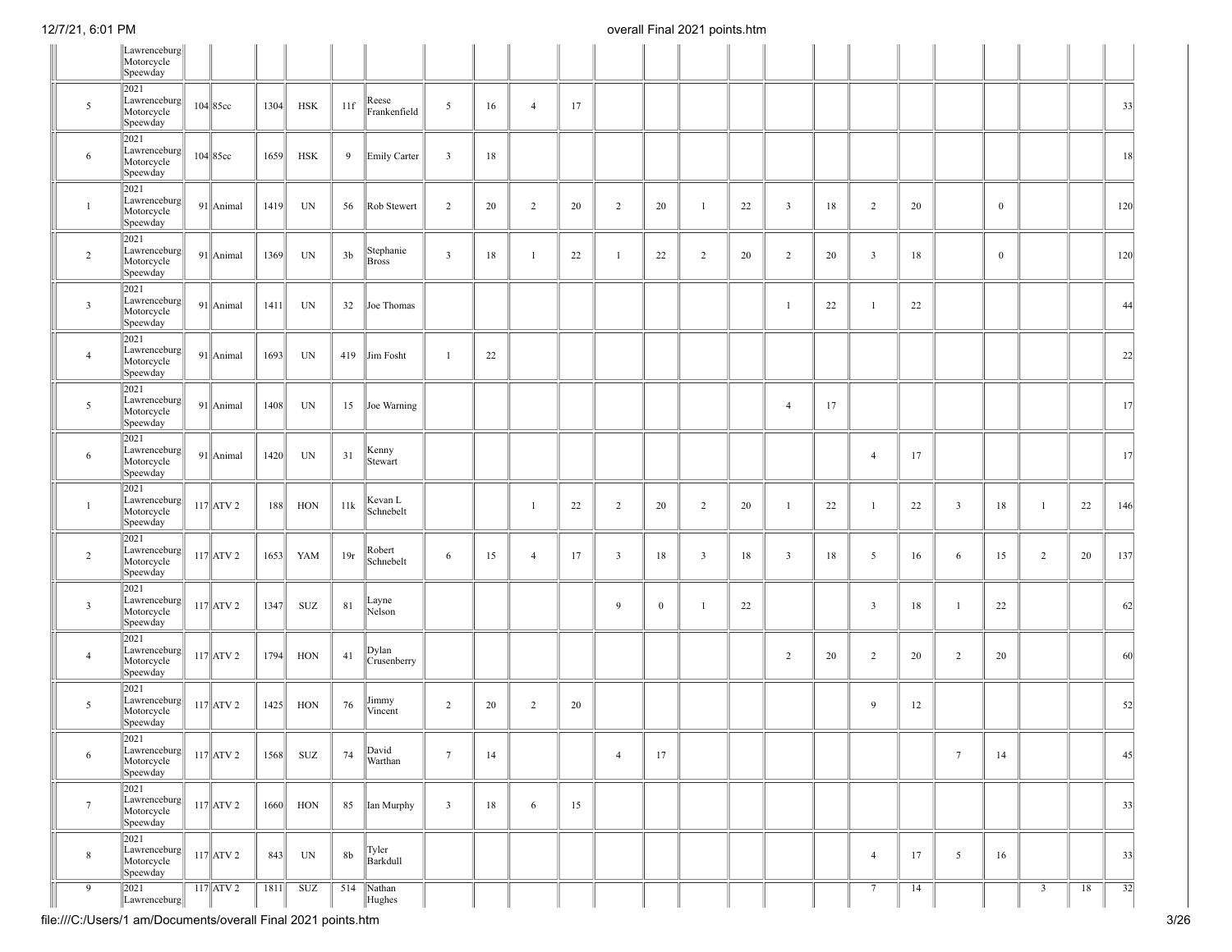|                 | Lawrenceburg<br>Motorcycle<br>Speewday                         |              |      |            |                |                           |                         |    |                |    |                |              |                         |    |                         |    |                         |        |                 |                  |                |    |     |
|-----------------|----------------------------------------------------------------|--------------|------|------------|----------------|---------------------------|-------------------------|----|----------------|----|----------------|--------------|-------------------------|----|-------------------------|----|-------------------------|--------|-----------------|------------------|----------------|----|-----|
| 5               | 2021<br>Lawrenceburg<br>Motorcycle<br>Speewday                 | $104 85c$ c  | 1304 | <b>HSK</b> | 11f            | Reese<br>Frankenfield     | 5                       | 16 | $\overline{4}$ | 17 |                |              |                         |    |                         |    |                         |        |                 |                  |                |    | 33  |
| 6               | 2021<br>Lawrenceburg<br>Motorcycle<br>Speewday                 | $104$ 85cc   | 1659 | <b>HSK</b> | 9              | Emily Carter              | $\overline{\mathbf{3}}$ | 18 |                |    |                |              |                         |    |                         |    |                         |        |                 |                  |                |    | 18  |
| $\mathbf{1}$    | 2021<br>Lawrenceburg<br>Motorcycle<br>Speewday                 | 91 Animal    | 1419 | UN         | 56             | Rob Stewert               | $\overline{2}$          | 20 | $\overline{2}$ | 20 | $\overline{2}$ | 20           | $\overline{1}$          | 22 | $\overline{\mathbf{3}}$ | 18 | $\overline{2}$          | 20     |                 | $\mathbf{0}$     |                |    | 120 |
| $\overline{2}$  | 2021<br>Lawrenceburg<br>Motorcycle<br>Speewday                 | 91 Animal    | 1369 | UN         | 3 <sub>b</sub> | Stephanie<br><b>Bross</b> | $\mathfrak{Z}$          | 18 | $\mathbf{1}$   | 22 | $\overline{1}$ | 22           | 2                       | 20 | $\overline{2}$          | 20 | $\overline{\mathbf{3}}$ | $18\,$ |                 | $\boldsymbol{0}$ |                |    | 120 |
| $\overline{3}$  | 2021<br>Lawrenceburg<br>Motorcycle<br>Speewday                 | $91$  Animal | 1411 | UN         | 32             | Joe Thomas                |                         |    |                |    |                |              |                         |    | $\mathbf{1}$            | 22 | $\overline{1}$          | 22     |                 |                  |                |    | 44  |
| $\overline{4}$  | 2021<br>Lawrenceburg<br>Motorcycle<br>Speewday                 | 91 Animal    | 1693 | UN         | 419            | Jim Fosht                 | $\mathbf{1}$            | 22 |                |    |                |              |                         |    |                         |    |                         |        |                 |                  |                |    | 22  |
| $5\overline{ }$ | 2021<br>Lawrenceburg<br>Motorcycle<br>Speewday                 | 91 Animal    | 1408 | UN         | 15             | Joe Warning               |                         |    |                |    |                |              |                         |    | $\overline{4}$          | 17 |                         |        |                 |                  |                |    | 17  |
| 6               | 2021<br>Lawrenceburg<br>Motorcycle<br>Speewday                 | 91 Animal    | 1420 | UN         | 31             | Kenny<br>Stewart          |                         |    |                |    |                |              |                         |    |                         |    | $\overline{4}$          | 17     |                 |                  |                |    | 17  |
| $\mathbf{1}$    | 2021<br>Lawrenceburg<br>Motorcycle<br>Speewday                 | $117$ $ATV2$ | 188  | HON        | 11k            | Kevan L<br>Schnebelt      |                         |    | $\mathbf{1}$   | 22 | 2              | 20           | $\overline{2}$          | 20 | $\mathbf{1}$            | 22 | $\mathbf{1}$            | 22     | $\mathbf{3}$    | 18               | $\overline{1}$ | 22 | 146 |
| $\overline{2}$  | 2021<br>Lawrenceburg<br>Motorcycle<br>Speewday                 | $117$ $ATV2$ | 1653 | YAM        | 19r            | Robert<br>Schnebelt       | 6                       | 15 | $\overline{4}$ | 17 | $\overline{3}$ | 18           | $\overline{\mathbf{3}}$ | 18 | $\overline{\mathbf{3}}$ | 18 | $5\overline{)}$         | 16     | 6               | 15               | $\overline{2}$ | 20 | 137 |
| $\overline{3}$  | 2021<br>Lawrenceburg<br>Motorcycle<br>Speewday                 | $117$ $ATV2$ | 1347 | <b>SUZ</b> | 81             | Layne<br>Nelson           |                         |    |                |    | $\overline{9}$ | $\mathbf{0}$ | $\overline{1}$          | 22 |                         |    | $\overline{\mathbf{3}}$ | 18     | $\mathbf{1}$    | 22               |                |    | 62  |
| $\overline{4}$  | 2021<br>Lawrenceburg<br>Motorcycle<br>Speewday                 | $117$ $ATV2$ | 1794 | HON        | 41             | Dylan<br>Crusenberry      |                         |    |                |    |                |              |                         |    | $\overline{2}$          | 20 | $\overline{2}$          | 20     | $\overline{c}$  | 20               |                |    | 60  |
| 5               | 2021<br>Lawrenceburg<br>Motorcycle<br>Speewday                 | $117$ $ATV2$ | 1425 | HON        | 76             | Jimmy<br>Vincent          | $\overline{2}$          | 20 | 2              | 20 |                |              |                         |    |                         |    | 9                       | 12     |                 |                  |                |    | 52  |
| 6               | 2021<br>Lawrenceburg<br>Motorcycle<br>Speewday                 | $117$ $ATV2$ | 1568 | SUZ        | 74             | David<br>Warthan          | $7\phantom{.0}$         | 14 |                |    | $\overline{4}$ | 17           |                         |    |                         |    |                         |        | $7\phantom{.0}$ | 14               |                |    | 45  |
| $7\phantom{.0}$ | 2021<br>Lawrenceburg<br>Motorcycle<br>Speewday                 | $117$ $ATV2$ | 1660 | HON        | 85             | Ian Murphy                | $\overline{3}$          | 18 | 6              | 15 |                |              |                         |    |                         |    |                         |        |                 |                  |                |    | 33  |
| $\bf 8$         | 2021<br>$\Vert$ Lawrenceburg $\Vert$<br>Motorcycle<br>Speewday | $117$ $ATV2$ | 843  | UN         | 8 <sub>b</sub> | Tyler<br>Barkdull         |                         |    |                |    |                |              |                         |    |                         |    | $\overline{4}$          | 17     | 5               | 16               |                |    | 33  |
| 9               | 2021<br>Lawrenceburg                                           | $117$ ATV 2  | 1811 | <b>SUZ</b> | 514            | Nathan<br>Hughes          |                         |    |                |    |                |              |                         |    |                         |    | $7\overline{ }$         | 14     |                 |                  | $\overline{3}$ | 18 | 32  |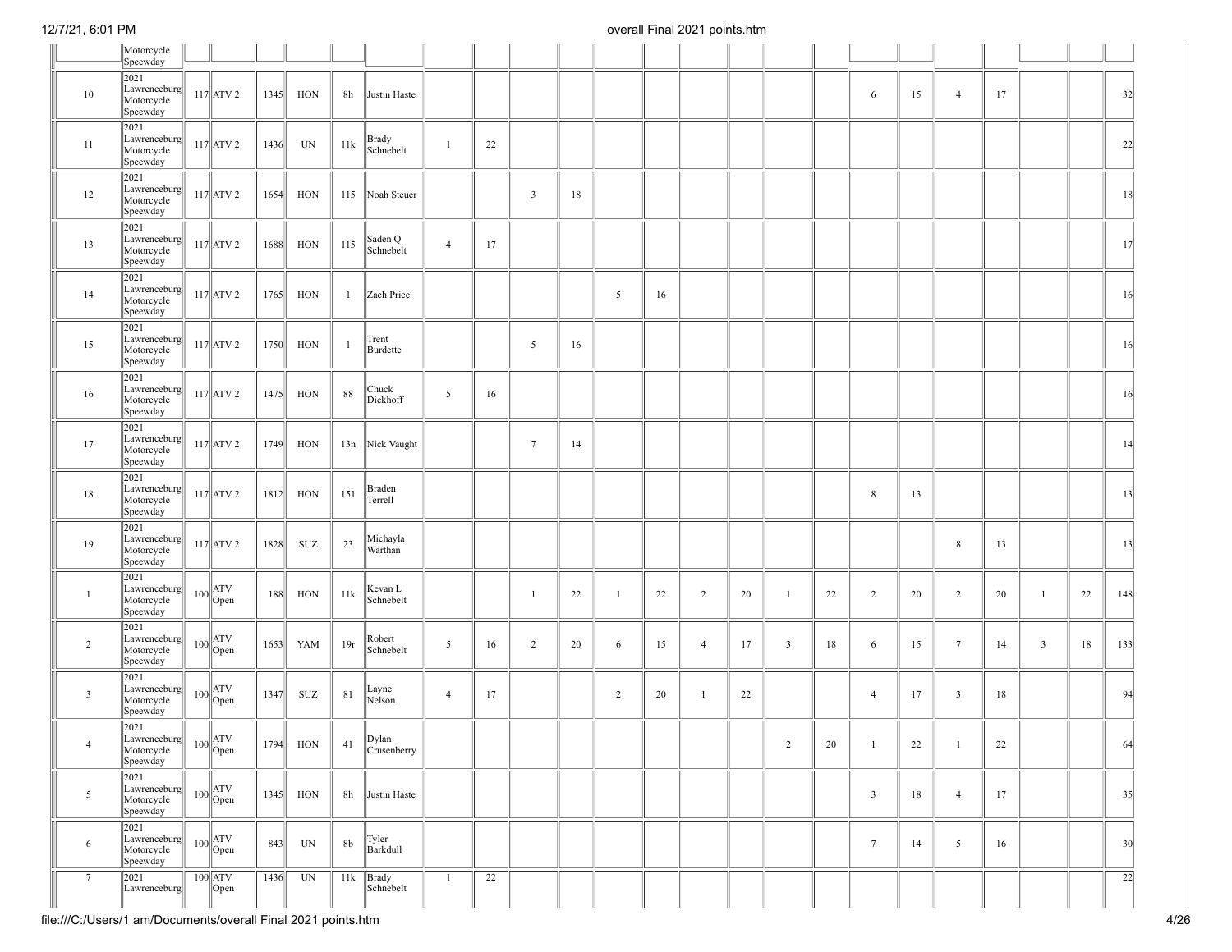|                         | Motorcycle<br>Speewday                                   |                                                                                                    |      |            |                |                      |                |    |                         |    |                |    |                |    |                         |        |                         |        |                 |        |              |    |                 |
|-------------------------|----------------------------------------------------------|----------------------------------------------------------------------------------------------------|------|------------|----------------|----------------------|----------------|----|-------------------------|----|----------------|----|----------------|----|-------------------------|--------|-------------------------|--------|-----------------|--------|--------------|----|-----------------|
|                         | 2021                                                     |                                                                                                    |      |            |                |                      |                |    |                         |    |                |    |                |    |                         |        |                         |        |                 |        |              |    |                 |
| 10                      | Lawrenceburg<br>Motorcycle<br>Speewday                   | $117$ $ATV2$                                                                                       | 1345 | HON        | 8h             | Justin Haste         |                |    |                         |    |                |    |                |    |                         |        | 6                       | 15     | $\overline{4}$  | 17     |              |    | 32              |
| 11                      | 2021<br>Lawrenceburg<br>Motorcycle<br>Speewday           | $117$ $ATV2$                                                                                       | 1436 | UN         | 11k            | Brady<br>Schnebelt   | 1              | 22 |                         |    |                |    |                |    |                         |        |                         |        |                 |        |              |    | 22              |
| 12                      | 2021<br>Lawrenceburg<br>Motorcycle<br>Speewday           | $117$ $ATV2$                                                                                       | 1654 | HON        | 115            | Noah Steuer          |                |    | $\overline{\mathbf{3}}$ | 18 |                |    |                |    |                         |        |                         |        |                 |        |              |    | 18              |
| 13                      | 2021<br>Lawrenceburg<br>Motorcycle<br>Speewday           | $117$ $ATV2$                                                                                       | 1688 | HON        | 115            | Saden Q<br>Schnebelt | $\overline{4}$ | 17 |                         |    |                |    |                |    |                         |        |                         |        |                 |        |              |    | 17              |
| 14                      | 2021<br>Lawrenceburg<br>Motorcycle<br>Speewday           | $117$ $ATV2$                                                                                       | 1765 | HON        | $\mathbf{1}$   | Zach Price           |                |    |                         |    | 5              | 16 |                |    |                         |        |                         |        |                 |        |              |    | 16              |
| 15                      | 2021<br>Lawrenceburg<br>Motorcycle<br>Speewday           | $117$ $ATV2$                                                                                       | 1750 | HON        | $\mathbf{1}$   | Trent<br>Burdette    |                |    | $\overline{5}$          | 16 |                |    |                |    |                         |        |                         |        |                 |        |              |    | 16              |
| 16                      | 2021<br>Lawrenceburg<br>Motorcycle<br>Speewday           | $117$ $ATV2$                                                                                       | 1475 | HON        | 88             | Chuck<br>Diekhoff    | $\overline{5}$ | 16 |                         |    |                |    |                |    |                         |        |                         |        |                 |        |              |    | 16              |
| 17                      | 2021<br>Lawrenceburg<br>Motorcycle<br>Speewday           | $117$ $ATV2$                                                                                       | 1749 | HON        | 13n            | Nick Vaught          |                |    | $7\phantom{.0}$         | 14 |                |    |                |    |                         |        |                         |        |                 |        |              |    | 14              |
| 18                      | 2021<br>Lawrenceburg<br>Motorcycle<br>Speewday           | $117$ $ATV2$                                                                                       | 1812 | HON        | 151            | Braden<br>Terrell    |                |    |                         |    |                |    |                |    |                         |        | 8                       | 13     |                 |        |              |    | 13              |
| 19                      | 2021<br>Lawrenceburg<br>Motorcycle<br>Speewday           | $117$ ATV 2                                                                                        | 1828 | SUZ        | 23             | Michayla<br>Warthan  |                |    |                         |    |                |    |                |    |                         |        |                         |        | $8\,$           | 13     |              |    | 13              |
| $\mathbf{1}$            | 2021<br>Lawrenceburg<br>Motorcycle<br>Speewday           | $100$ $\begin{array}{c} \n\begin{array}{c} \n\text{ATV} \\ \text{Open}\n\end{array} \n\end{array}$ | 188  | HON        | 11k            | Kevan L<br>Schnebelt |                |    | $\mathbf{1}$            | 22 | $\mathbf{1}$   | 22 | $\overline{2}$ | 20 | -1                      | 22     | 2                       | 20     | $\overline{2}$  | 20     | $\mathbf{1}$ | 22 | 148             |
| $\overline{2}$          | 2021<br>Lawrenceburg<br>Motorcycle<br>Speewday           | $100$ $\begin{array}{c} \n\begin{array}{c} \n\text{ATV} \\ \text{Open}\n\end{array} \n\end{array}$ | 1653 | YAM        | 19r            | Robert<br>Schnebelt  | $\overline{5}$ | 16 | $\overline{2}$          | 20 | 6              | 15 | $\overline{4}$ | 17 | $\overline{\mathbf{3}}$ | 18     | 6                       | 15     | $7\phantom{.0}$ | 14     | $\mathbf{3}$ | 18 | 133             |
| $\overline{\mathbf{3}}$ | 2021<br>Lawrenceburg<br>Motorcycle<br>Speewday           | $100$ $\begin{array}{c} \n\text{ATV} \\ \text{Open}\n\end{array}$                                  | 1347 | SUZ        | 81             | Layne<br>Nelson      | $\overline{4}$ | 17 |                         |    | $\overline{c}$ | 20 | $\overline{1}$ | 22 |                         |        | $\overline{4}$          | 17     | $\overline{3}$  | 18     |              |    | 94              |
| 4                       | 2021<br>$\ $ Lawrenceburg $\ $<br>Motorcycle<br>Speewday | $100$ $\begin{array}{c} \n\text{ATV} \\ \text{Open}\n\end{array}$                                  |      | $1794$ HON | 41             | Dylan<br>Crusenberry |                |    |                         |    |                |    |                |    | $\overline{2}$          | $20\,$ | $\mathbf{1}$            | $22\,$ | $\mathbf{1}$    | $22\,$ |              |    | 64              |
| $\mathfrak{S}$          | 2021<br>Lawrenceburg<br>Motorcycle<br>Speewday           | $100$ ATV<br>Open                                                                                  | 1345 | HON        | 8h             | Justin Haste         |                |    |                         |    |                |    |                |    |                         |        | $\overline{\mathbf{3}}$ | 18     | $\overline{4}$  | 17     |              |    | 35              |
| 6                       | 2021<br>Lawrenceburg<br>Motorcycle<br>Speewday           | $100$ $\begin{array}{c} \n\text{ATV} \\ \text{Open}\n\end{array}$                                  | 843  | UN         | 8 <sub>b</sub> | Tyler<br>Barkdull    |                |    |                         |    |                |    |                |    |                         |        | $7\phantom{.0}$         | 14     | 5               | 16     |              |    | 30              |
| 7                       | 2021<br>Lawrenceburg                                     | $100$ ATV<br>$\vert$ Open                                                                          | 1436 | UN         | 11k            | Brady<br>Schnebelt   | -1             | 22 |                         |    |                |    |                |    |                         |        |                         |        |                 |        |              |    | $\overline{22}$ |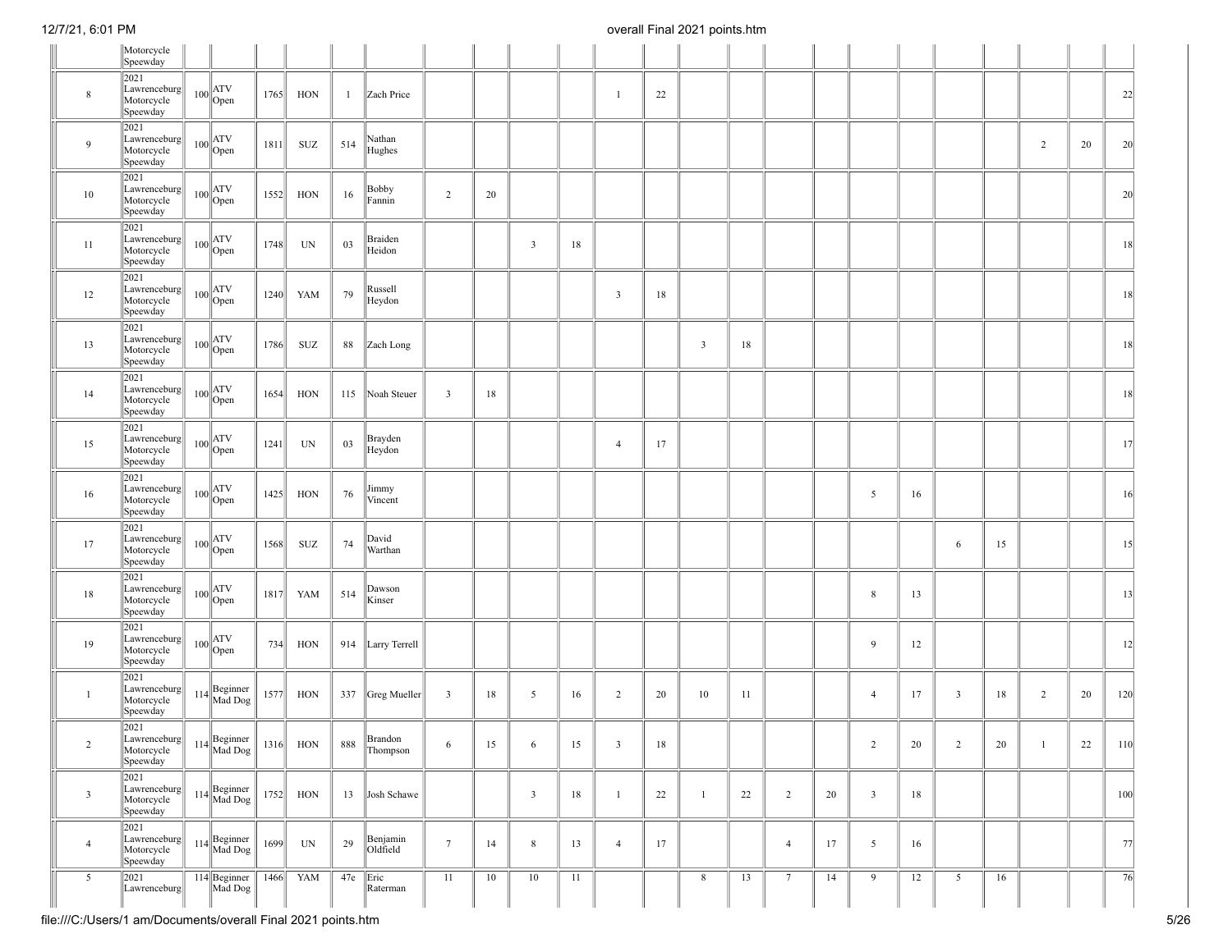|                | Motorcycle<br>Speewday                           |                                                                                                     |      |            |              |                      |                         |    |                 |    |                |        |              |    |                 |    |                         |    |                |    |                |    |     |
|----------------|--------------------------------------------------|-----------------------------------------------------------------------------------------------------|------|------------|--------------|----------------------|-------------------------|----|-----------------|----|----------------|--------|--------------|----|-----------------|----|-------------------------|----|----------------|----|----------------|----|-----|
| 8              | 2021<br>Lawrenceburg<br>Motorcycle<br>Speewday   | $100$ ATV<br>Open                                                                                   | 1765 | HON        | $\mathbf{1}$ | Zach Price           |                         |    |                 |    | $\mathbf{1}$   | 22     |              |    |                 |    |                         |    |                |    |                |    | 22  |
| 9              | 2021<br>Lawrenceburg<br>Motorcycle<br>Speewday   | $100$ ATV<br>Open                                                                                   | 1811 | SUZ        | 514          | Nathan<br>Hughes     |                         |    |                 |    |                |        |              |    |                 |    |                         |    |                |    | $\overline{2}$ | 20 | 20  |
| 10             | 2021<br>Lawrenceburg<br>Motorcycle<br>Speewday   | $100$ ATV<br>Open                                                                                   | 1552 | HON        | 16           | Bobby<br>Fannin      | $\overline{2}$          | 20 |                 |    |                |        |              |    |                 |    |                         |    |                |    |                |    | 20  |
| 11             | 2021<br>Lawrenceburg<br>Motorcycle<br>Speewday   | $100$ ATV<br>Open                                                                                   | 1748 | UN         | 03           | Braiden<br>Heidon    |                         |    | $\overline{3}$  | 18 |                |        |              |    |                 |    |                         |    |                |    |                |    | 18  |
| 12             | 2021<br>Lawrenceburg<br>Motorcycle<br>Speewday   | $100$ ATV<br>Open                                                                                   | 1240 | YAM        | 79           | Russell<br>Heydon    |                         |    |                 |    | $\overline{3}$ | 18     |              |    |                 |    |                         |    |                |    |                |    | 18  |
| 13             | 2021<br>Lawrenceburg<br>Motorcycle<br>Speewday   | $100$ ATV<br>Open                                                                                   | 1786 | SUZ        | 88           | Zach Long            |                         |    |                 |    |                |        | $\mathbf{3}$ | 18 |                 |    |                         |    |                |    |                |    | 18  |
| 14             | 2021<br>Lawrenceburg<br>Motorcycle<br>Speewday   | $100$ ATV<br>Open                                                                                   | 1654 | HON        | 115          | Noah Steuer          | $\overline{\mathbf{3}}$ | 18 |                 |    |                |        |              |    |                 |    |                         |    |                |    |                |    | 18  |
| 15             | 2021<br>Lawrenceburg<br>Motorcycle<br>Speewday   | $100$ ATV<br>Open                                                                                   | 1241 | UN         | 03           | Brayden<br>Heydon    |                         |    |                 |    | $\overline{4}$ | 17     |              |    |                 |    |                         |    |                |    |                |    | 17  |
| 16             | 2021<br>Lawrenceburg<br>Motorcycle<br>Speewday   | $100$ $\begin{array}{c} \n\begin{array}{c} \n\text{ATV} \\ \text{Open} \n\end{array} \n\end{array}$ | 1425 | HON        | 76           | Jimmy<br>Vincent     |                         |    |                 |    |                |        |              |    |                 |    | 5                       | 16 |                |    |                |    | 16  |
| 17             | 2021<br>Lawrenceburg<br>Motorcycle<br>Speewday   | $100$ ATV<br>Open                                                                                   | 1568 | SUZ        | 74           | David<br>Warthan     |                         |    |                 |    |                |        |              |    |                 |    |                         |    | 6              | 15 |                |    | 15  |
| 18             | 2021<br>Lawrenceburg<br>Motorcycle<br>Speewday   | $100$ ATV<br>Open                                                                                   | 1817 | YAM        | 514          | Dawson<br>Kinser     |                         |    |                 |    |                |        |              |    |                 |    | $\,8\,$                 | 13 |                |    |                |    | 13  |
| 19             | 2021<br>Lawrenceburg<br>Motorcycle<br>Speewday   | $100$ ATV<br>Open                                                                                   | 734  | HON        |              | 914 Larry Terrell    |                         |    |                 |    |                |        |              |    |                 |    | 9                       | 12 |                |    |                |    | 12  |
| $\mathbf{1}$   | 2021<br>Lawrenceburg<br>Motorcycle<br>Speewday   | 114 Beginner<br>Mad Dog                                                                             | 1577 | HON        |              | 337 Greg Mueller     | $\overline{\mathbf{3}}$ | 18 | $5\overline{)}$ | 16 | $\overline{2}$ | 20     | 10           | 11 |                 |    | $\overline{4}$          | 17 | $\overline{3}$ | 18 | $\overline{2}$ | 20 | 120 |
| $\overline{2}$ | 2021<br>Lawrenceburg  <br>Motorcycle<br>Speewday | 114 Beginner<br>Mad Dog                                                                             |      | $1316$ HON | 888          | Brandon<br>Thompson  | 6                       | 15 | 6               | 15 | $\mathbf{3}$   | $18\,$ |              |    |                 |    | $\overline{2}$          | 20 | $\overline{2}$ | 20 | 1              | 22 | 110 |
| $\overline{3}$ | 2021<br>Lawrenceburg<br>Motorcycle<br>Speewday   | 114 Beginner<br>Mad Dog                                                                             |      | $1752$ HON | 13           | Josh Schawe          |                         |    | $\overline{3}$  | 18 | $\mathbf{1}$   | 22     | $\mathbf{1}$ | 22 | 2               | 20 | $\overline{\mathbf{3}}$ | 18 |                |    |                |    | 100 |
| $\overline{4}$ | 2021<br>Lawrenceburg<br>Motorcycle<br>Speewday   | $114$ Beginner<br>Mad Dog                                                                           | 1699 | UN         | 29           | Benjamin<br>Oldfield | $7\phantom{.0}$         | 14 | $\,$ 8 $\,$     | 13 | $\overline{4}$ | 17     |              |    | $\overline{4}$  | 17 | 5                       | 16 |                |    |                |    | 77  |
| 5              | 2021<br>Lawrenceburg                             | 114 Beginner<br>Mad Dog                                                                             | 1466 | YAM        | 47e          | Eric<br>Raterman     | 11                      | 10 | 10              | 11 |                |        | 8            | 13 | $7\phantom{.0}$ | 14 | 9                       | 12 | 5              | 16 |                |    | 76  |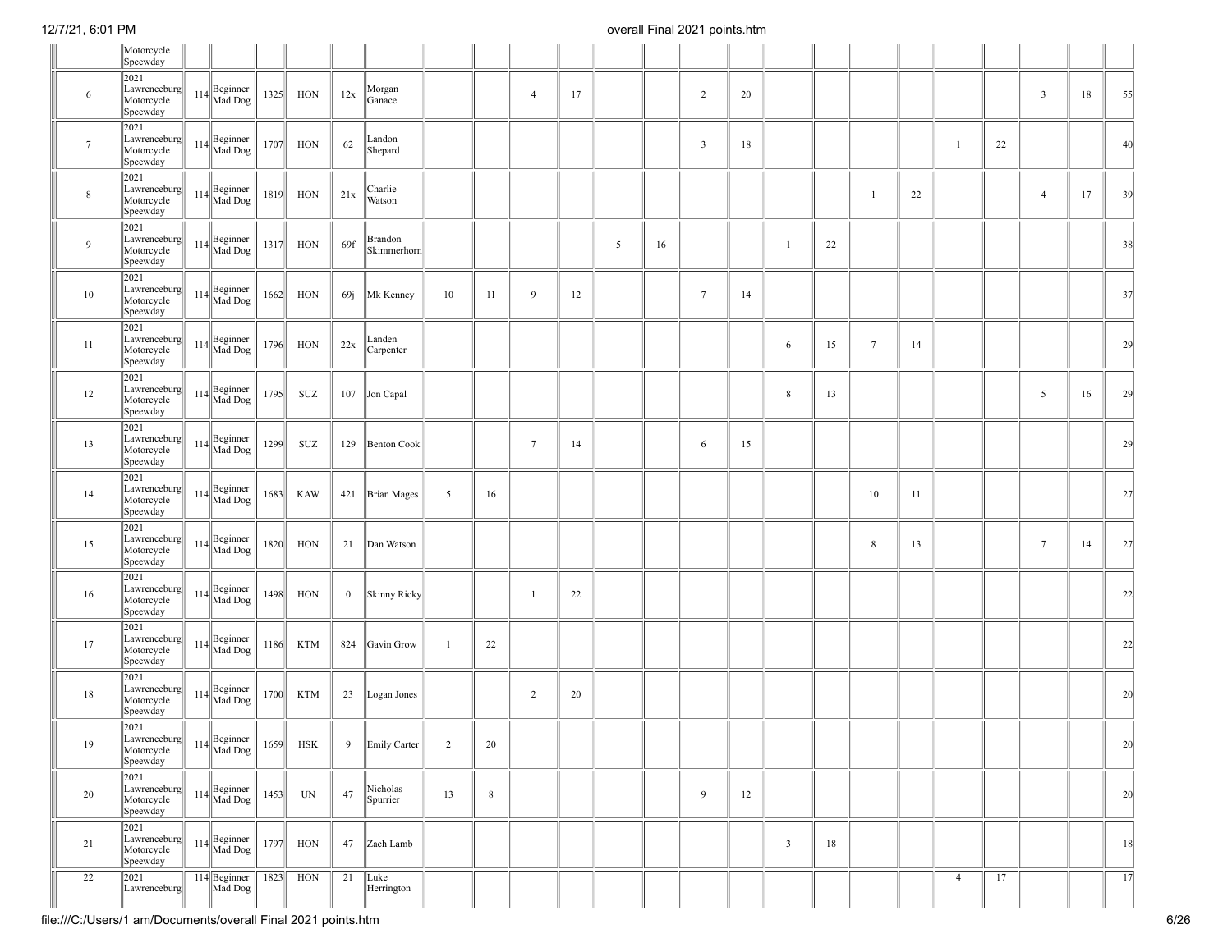|                 | Motorcycle<br>Speewday                                                                                                                          |                                         |      |            |          |                        |              |        |                 |    |   |    |                 |        |                         |    |                 |    |                |    |                 |    |                 |
|-----------------|-------------------------------------------------------------------------------------------------------------------------------------------------|-----------------------------------------|------|------------|----------|------------------------|--------------|--------|-----------------|----|---|----|-----------------|--------|-------------------------|----|-----------------|----|----------------|----|-----------------|----|-----------------|
|                 | 2021                                                                                                                                            |                                         |      |            |          |                        |              |        |                 |    |   |    |                 |        |                         |    |                 |    |                |    |                 |    |                 |
| 6               | Lawrenceburg<br>Motorcycle<br>Speewday                                                                                                          | $114$ Beginner                          |      | $1325$ HON | 12x      | Morgan<br>Ganace       |              |        | $\overline{4}$  | 17 |   |    | $\overline{2}$  | 20     |                         |    |                 |    |                |    | $\mathfrak{Z}$  | 18 | 55              |
| $7\phantom{.0}$ | 2021<br>Lawrenceburg<br>Motorcycle<br>Speewday                                                                                                  | 114 Beginner<br>Mad Dog                 | 1707 | HON        | 62       | Landon<br>Shepard      |              |        |                 |    |   |    | $\mathbf{3}$    | $18\,$ |                         |    |                 |    | $\mathbf{1}$   | 22 |                 |    | 40              |
| 8               | 2021<br>Lawrenceburg<br>Motorcycle<br>Speewday                                                                                                  | 114 Beginner<br>Mad Dog                 | 1819 | HON        | 21x      | Charlie<br>Watson      |              |        |                 |    |   |    |                 |        |                         |    | $\mathbf{1}$    | 22 |                |    | $\overline{4}$  | 17 | 39              |
| 9               | 2021<br>Lawrenceburg<br>Motorcycle<br>Speewday                                                                                                  | 114 Beginner<br>Mad Dog                 | 1317 | HON        | 69f      | Brandon<br>Skimmerhorn |              |        |                 |    | 5 | 16 |                 |        |                         | 22 |                 |    |                |    |                 |    | 38              |
| 10              | 2021<br>Lawrenceburg<br>Motorcycle<br>Speewday                                                                                                  | $114$ Beginner                          | 1662 | HON        | 69j      | Mk Kenney              | 10           | 11     | 9               | 12 |   |    | $7\overline{ }$ | 14     |                         |    |                 |    |                |    |                 |    | 37              |
| 11              | 2021<br>Lawrenceburg<br>Motorcycle<br>Speewday                                                                                                  | 114 Beginner<br>Mad Dog                 | 1796 | HON        | $22x$    | Landen<br>Carpenter    |              |        |                 |    |   |    |                 |        | 6                       | 15 | $7\phantom{.0}$ | 14 |                |    |                 |    | 29              |
| 12              | 2021<br>Lawrenceburg<br>Motorcycle<br>Speewday                                                                                                  | 114 Beginner<br>Mad Dog                 | 1795 | SUZ        |          | 107 Jon Capal          |              |        |                 |    |   |    |                 |        | 8                       | 13 |                 |    |                |    | 5               | 16 | 29              |
| 13              | 2021<br>Lawrenceburg<br>Motorcycle<br>Speewday                                                                                                  | 114 Beginner<br>Mad Dog                 | 1299 | SUZ        |          | 129 Benton Cook        |              |        | $7\phantom{.0}$ | 14 |   |    | 6               | 15     |                         |    |                 |    |                |    |                 |    | 29              |
| 14              | 2021<br>Lawrenceburg<br>Motorcycle<br>Speewday                                                                                                  | 114 Beginner<br>Mad Dog                 | 1683 | <b>KAW</b> |          | 421 Brian Mages        | 5            | 16     |                 |    |   |    |                 |        |                         |    | 10              | 11 |                |    |                 |    | 27              |
| 15              | 2021<br>Lawrenceburg<br>Motorcycle<br>Speewday                                                                                                  | 114 Beginner<br>Mad Dog                 | 1820 | HON        | 21       | Dan Watson             |              |        |                 |    |   |    |                 |        |                         |    | 8               | 13 |                |    | $7\phantom{.0}$ | 14 | 27              |
| 16              | 2021<br>Lawrenceburg<br>Motorcycle<br>Speewday                                                                                                  | 114 Beginner<br>Mad Dog                 | 1498 | HON        | $\bf{0}$ | Skinny Ricky           |              |        | $\mathbf{1}$    | 22 |   |    |                 |        |                         |    |                 |    |                |    |                 |    | 22              |
| 17              | 2021<br>Lawrenceburg<br>Motorcycle<br>Speewday                                                                                                  | 114 Beginner<br>Mad Dog                 | 1186 | KTM        |          | 824 Gavin Grow         | $\mathbf{1}$ | 22     |                 |    |   |    |                 |        |                         |    |                 |    |                |    |                 |    | 22              |
| 18              | 2021<br>Lawrenceburg<br>Motorcycle<br>Speewday                                                                                                  | 114 Beginner<br>Mad Dog                 | 1700 | <b>KTM</b> | 23       | Logan Jones            |              |        | 2               | 20 |   |    |                 |        |                         |    |                 |    |                |    |                 |    | 20              |
| 19              | 2021<br>$\begin{array}{ l c c c }\n\hline \text{Law} \text{renceburg} & 114 & \text{Beginner} \text{M}{\text{ad Dog}}\n\end{array}$<br>Speewday |                                         |      | $1659$ HSK | 9        | Emily Carter           | 2            | $20\,$ |                 |    |   |    |                 |        |                         |    |                 |    |                |    |                 |    | 20              |
| 20              | 2021<br>Lawrenceburg<br>Motorcycle<br>Speewday                                                                                                  | $114 \bigg  \text{Beginner}$<br>Mad Dog | 1453 | UN         | 47       | Nicholas<br>Spurrier   | 13           | $8\,$  |                 |    |   |    | 9               | 12     |                         |    |                 |    |                |    |                 |    | 20              |
| 21              | 2021<br>$\begin{array}{c c} \hline \text{Lawrenceburg} \\ \hline \text{Motorcycle} \end{array}$<br>Speewday                                     | $114$ Beginner<br>Mad Dog               | 1797 | HON        | 47       | Zach Lamb              |              |        |                 |    |   |    |                 |        | $\overline{\mathbf{3}}$ | 18 |                 |    |                |    |                 |    | 18              |
| 22              | 2021<br>Lawrenceburg                                                                                                                            | 114 Beginner<br>Mad Dog                 | 1823 | HON        | 21       | Luke<br>Herrington     |              |        |                 |    |   |    |                 |        |                         |    |                 |    | $\overline{4}$ | 17 |                 |    | $\overline{17}$ |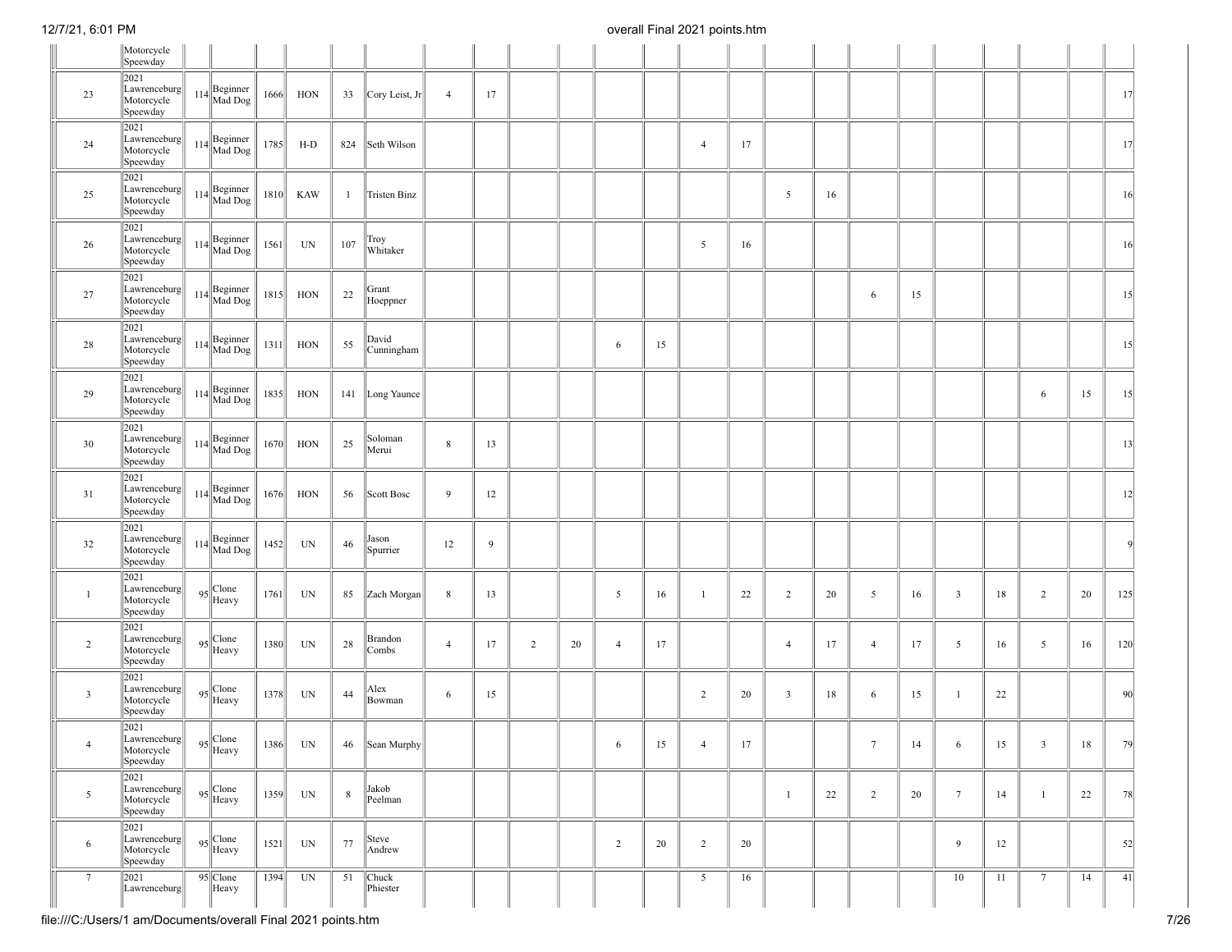|                | Motorcycle<br>Speewday                            |                         |      |            |              |                     |                |    |   |    |                |    |                |    |                         |    |                 |    |                 |    |                 |    |     |
|----------------|---------------------------------------------------|-------------------------|------|------------|--------------|---------------------|----------------|----|---|----|----------------|----|----------------|----|-------------------------|----|-----------------|----|-----------------|----|-----------------|----|-----|
| 23             | 2021<br>Lawrenceburg<br>Motorcycle<br>Speewday    | 114 Beginner<br>Mad Dog | 1666 | HON        | 33           | Cory Leist, Jr      | $\overline{4}$ | 17 |   |    |                |    |                |    |                         |    |                 |    |                 |    |                 |    | 17  |
| 24             | 2021<br>Lawrenceburg<br>Motorcycle<br>Speewday    | 114 Beginner<br>Mad Dog | 1785 | $H-D$      |              | 824 Seth Wilson     |                |    |   |    |                |    | $\overline{4}$ | 17 |                         |    |                 |    |                 |    |                 |    | 17  |
| 25             | 2021<br>Lawrenceburg<br>Motorcycle<br>Speewday    | $114$ Beginner          | 1810 | KAW        | $\mathbf{1}$ | Tristen Binz        |                |    |   |    |                |    |                |    | 5                       | 16 |                 |    |                 |    |                 |    | 16  |
| 26             | 2021<br>Lawrenceburg<br>Motorcycle<br>Speewday    | 114 Beginner<br>Mad Dog | 1561 | UN         | 107          | Troy<br>Whitaker    |                |    |   |    |                |    | 5              | 16 |                         |    |                 |    |                 |    |                 |    | 16  |
| 27             | 2021<br>Lawrenceburg<br>Motorcycle<br>Speewday    | 114 Beginner<br>Mad Dog | 1815 | HON        | 22           | Grant<br>Hoeppner   |                |    |   |    |                |    |                |    |                         |    | 6               | 15 |                 |    |                 |    | 15  |
| 28             | 2021<br>Lawrenceburg<br>Motorcycle<br>Speewday    | 114 Beginner<br>Mad Dog | 1311 | HON        | 55           | David<br>Cunningham |                |    |   |    | 6              | 15 |                |    |                         |    |                 |    |                 |    |                 |    | 15  |
| 29             | 2021<br>Lawrenceburg<br>Motorcycle<br>Speewday    | 114 Beginner<br>Mad Dog | 1835 | HON        |              | 141 Long Yaunce     |                |    |   |    |                |    |                |    |                         |    |                 |    |                 |    | 6               | 15 | 15  |
| 30             | 2021<br>Lawrenceburg<br>Motorcycle<br>Speewday    | $114$ Beginner          | 1670 | <b>HON</b> | 25           | Soloman<br>Merui    | 8              | 13 |   |    |                |    |                |    |                         |    |                 |    |                 |    |                 |    | 13  |
| 31             | 2021<br>Lawrenceburg<br>Motorcycle<br>Speewday    | 114 Beginner<br>Mad Dog | 1676 | <b>HON</b> | 56           | Scott Bosc          | 9              | 12 |   |    |                |    |                |    |                         |    |                 |    |                 |    |                 |    | 12  |
| 32             | 2021<br>Lawrenceburg<br>Motorcycle<br>Speewday    | 114 Beginner<br>Mad Dog | 1452 | UN         | 46           | Jason<br>Spurrier   | 12             | 9  |   |    |                |    |                |    |                         |    |                 |    |                 |    |                 |    | -9  |
| -1             | 2021<br>Lawrenceburg<br>Motorcycle<br>Speewday    | 95 Clone                | 1761 | UN         | 85           | Zach Morgan         | 8              | 13 |   |    | 5              | 16 | -1             | 22 | $\overline{2}$          | 20 | 5               | 16 | $\overline{3}$  | 18 | $\overline{2}$  | 20 | 125 |
| $\overline{2}$ | 2021<br>Lawrenceburg<br>Motorcycle<br>Speewday    | 95 Clone                | 1380 | UN         | 28           | Brandon<br>Combs    | $\overline{4}$ | 17 | 2 | 20 | $\overline{4}$ | 17 |                |    | $\overline{4}$          | 17 | $\overline{4}$  | 17 | 5               | 16 | 5               | 16 | 120 |
| $\mathbf{3}$   | 2021<br>Lawrenceburg<br>Motorcycle<br>Speewday    | 95 Clone                | 1378 | UN         | 44           | Alex<br>Bowman      | 6              | 15 |   |    |                |    | $\overline{2}$ | 20 | $\overline{\mathbf{3}}$ | 18 | 6               | 15 | 1               | 22 |                 |    | 90  |
| $\overline{4}$ | 2021<br> Lawrenceburg  <br>Motorcycle<br>Speewday | 95 Clone                | 1386 | UN         | 46           | Sean Murphy         |                |    |   |    | 6              | 15 | $\overline{4}$ | 17 |                         |    | $7\phantom{.0}$ | 14 | 6               | 15 | $\overline{3}$  | 18 | 79  |
| 5              | 2021<br>Lawrenceburg<br>Motorcycle<br>Speewday    | 95 Clone                | 1359 | UN         | 8            | Jakob<br>Peelman    |                |    |   |    |                |    |                |    | $\mathbf{1}$            | 22 | 2               | 20 | $7\phantom{.0}$ | 14 | $\mathbf{1}$    | 22 | 78  |
| 6              | 2021<br>Lawrenceburg<br>Motorcycle<br>Speewday    | 95 Clone                | 1521 | UN         | 77           | Steve<br>Andrew     |                |    |   |    | $\overline{2}$ | 20 | $\overline{2}$ | 20 |                         |    |                 |    | 9               | 12 |                 |    | 52  |
| 7              | 2021<br>Lawrenceburg                              | 95 Clone<br>Heavy       | 1394 | UN         | 51           | Chuck<br>Phiester   |                |    |   |    |                |    | 5              | 16 |                         |    |                 |    | 10              | 11 | $7\phantom{.0}$ | 14 | 41  |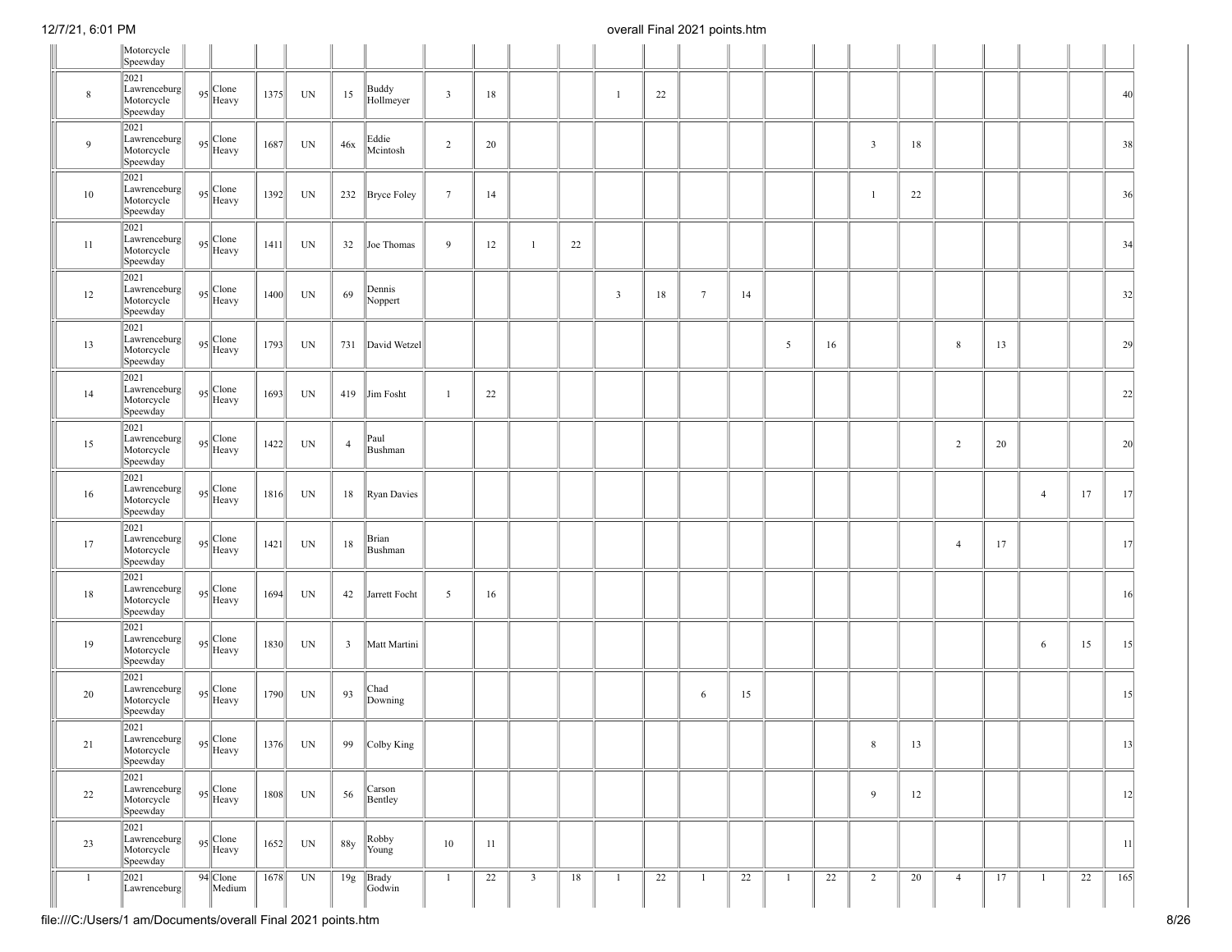|                | Motorcycle<br>Speewday                         |                                                                                                                                                                                                                                                                                             |      |    |                |                    |                         |    |                |    |              |    |                 |    |                |    |                |    |                |    |                |    |     |
|----------------|------------------------------------------------|---------------------------------------------------------------------------------------------------------------------------------------------------------------------------------------------------------------------------------------------------------------------------------------------|------|----|----------------|--------------------|-------------------------|----|----------------|----|--------------|----|-----------------|----|----------------|----|----------------|----|----------------|----|----------------|----|-----|
| $\,$ 8 $\,$    | 2021<br>Lawrenceburg<br>Motorcycle<br>Speewday | $95$ <sup>Clone</sup><br>Heavy                                                                                                                                                                                                                                                              | 1375 | UN | 15             | Buddy<br>Hollmeyer | $\overline{\mathbf{3}}$ | 18 |                |    | $\mathbf{1}$ | 22 |                 |    |                |    |                |    |                |    |                |    | 40  |
| 9              | 2021<br>Lawrenceburg<br>Motorcycle<br>Speewday | 95 Clone                                                                                                                                                                                                                                                                                    | 1687 | UN | 46x            | Eddie<br>Mcintosh  | $\overline{2}$          | 20 |                |    |              |    |                 |    |                |    | $\overline{3}$ | 18 |                |    |                |    | 38  |
| 10             | 2021<br>Lawrenceburg<br>Motorcycle<br>Speewday | 95 Clone                                                                                                                                                                                                                                                                                    | 1392 | UN |                | 232 Bryce Foley    | $7\phantom{.0}$         | 14 |                |    |              |    |                 |    |                |    | -1             | 22 |                |    |                |    | 36  |
| 11             | 2021<br>Lawrenceburg<br>Motorcycle<br>Speewday | $95$ $\bigg \text{Clore}}$ Heavy                                                                                                                                                                                                                                                            | 1411 | UN | 32             | Joe Thomas         | 9                       | 12 | $\mathbf{1}$   | 22 |              |    |                 |    |                |    |                |    |                |    |                |    | 34  |
| 12             | 2021<br>Lawrenceburg<br>Motorcycle<br>Speewday | $95$ Clone<br>Heavy                                                                                                                                                                                                                                                                         | 1400 | UN | 69             | Dennis<br>Noppert  |                         |    |                |    | $\mathbf{3}$ | 18 | $7\phantom{.0}$ | 14 |                |    |                |    |                |    |                |    | 32  |
| 13             | 2021<br>Lawrenceburg<br>Motorcycle<br>Speewday | 95 Clone                                                                                                                                                                                                                                                                                    | 1793 | UN |                | 731 David Wetzel   |                         |    |                |    |              |    |                 |    | 5              | 16 |                |    | $\,$ 8 $\,$    | 13 |                |    | 29  |
| 14             | 2021<br>Lawrenceburg<br>Motorcycle<br>Speewday | 95 Clone                                                                                                                                                                                                                                                                                    | 1693 | UN | 419            | Jim Fosht          | -1                      | 22 |                |    |              |    |                 |    |                |    |                |    |                |    |                |    | 22  |
| 15             | 2021<br>Lawrenceburg<br>Motorcycle<br>Speewday | 95 Clone                                                                                                                                                                                                                                                                                    | 1422 | UN | $\overline{4}$ | Paul<br>Bushman    |                         |    |                |    |              |    |                 |    |                |    |                |    | $\overline{2}$ | 20 |                |    | 20  |
| 16             | 2021<br>Lawrenceburg<br>Motorcycle<br>Speewday | 95 Clone                                                                                                                                                                                                                                                                                    | 1816 | UN | 18             | <b>Ryan Davies</b> |                         |    |                |    |              |    |                 |    |                |    |                |    |                |    | $\overline{4}$ | 17 | 17  |
| 17             | 2021<br>Lawrenceburg<br>Motorcycle<br>Speewday | 95 Clone                                                                                                                                                                                                                                                                                    | 1421 | UN | 18             | Brian<br>Bushman   |                         |    |                |    |              |    |                 |    |                |    |                |    | $\overline{4}$ | 17 |                |    | 17  |
| 18             | 2021<br>Lawrenceburg<br>Motorcycle<br>Speewday | 95 Clone                                                                                                                                                                                                                                                                                    | 1694 | UN | 42             | Jarrett Focht      | $\overline{5}$          | 16 |                |    |              |    |                 |    |                |    |                |    |                |    |                |    | 16  |
| 19             | 2021<br>Lawrenceburg<br>Motorcycle<br>Speewday | 95 Clone                                                                                                                                                                                                                                                                                    | 1830 | UN | 3              | Matt Martini       |                         |    |                |    |              |    |                 |    |                |    |                |    |                |    | 6              | 15 | 15  |
| 20             | 2021<br>Lawrenceburg<br>Motorcycle<br>Speewday | 95 Clone                                                                                                                                                                                                                                                                                    | 1790 | UN | 93             | Chad<br>Downing    |                         |    |                |    |              |    | 6               | 15 |                |    |                |    |                |    |                |    | 15  |
| 21             | 2021<br>Lawrenceburg<br>Motorcycle<br>Speewday | $95$ $\bigg $ $\bigg $ $\bigg $ $\bigg $ $\bigg $ $\bigg $ $\bigg $ $\bigg $ $\bigg $ $\bigg $ $\bigg $ $\bigg $ $\bigg $ $\bigg $ $\bigg $ $\bigg $ $\bigg $ $\bigg $ $\bigg $ $\bigg $ $\bigg $ $\bigg $ $\bigg $ $\bigg $ $\bigg $ $\bigg $ $\bigg $ $\bigg $ $\bigg $ $\bigg $ $\bigg $ | 1376 | UN | 99             | $\vert$ Colby King |                         |    |                |    |              |    |                 |    |                |    | $\bf 8$        | 13 |                |    |                |    | 13  |
| 22             | 2021<br>Lawrenceburg<br>Motorcycle<br>Speewday | 95 Clone                                                                                                                                                                                                                                                                                    | 1808 | UN | 56             | Carson<br>Bentley  |                         |    |                |    |              |    |                 |    |                |    | 9              | 12 |                |    |                |    | 12  |
| 23             | 2021<br>Lawrenceburg<br>Motorcycle<br>Speewday | 95 Clone                                                                                                                                                                                                                                                                                    | 1652 | UN | 88y            | Robby<br>Young     | 10                      | 11 |                |    |              |    |                 |    |                |    |                |    |                |    |                |    | 11  |
| $\overline{1}$ | 2021<br>Lawrenceburg                           | 94 Clone<br>Medium                                                                                                                                                                                                                                                                          | 1678 | UN | 19g            | Brady<br>Godwin    | $\mathbf{1}$            | 22 | $\overline{3}$ | 18 | $\mathbf{1}$ | 22 | -1              | 22 | $\overline{1}$ | 22 | $\overline{2}$ | 20 | $\overline{4}$ | 17 | $\mathbf{1}$   | 22 | 165 |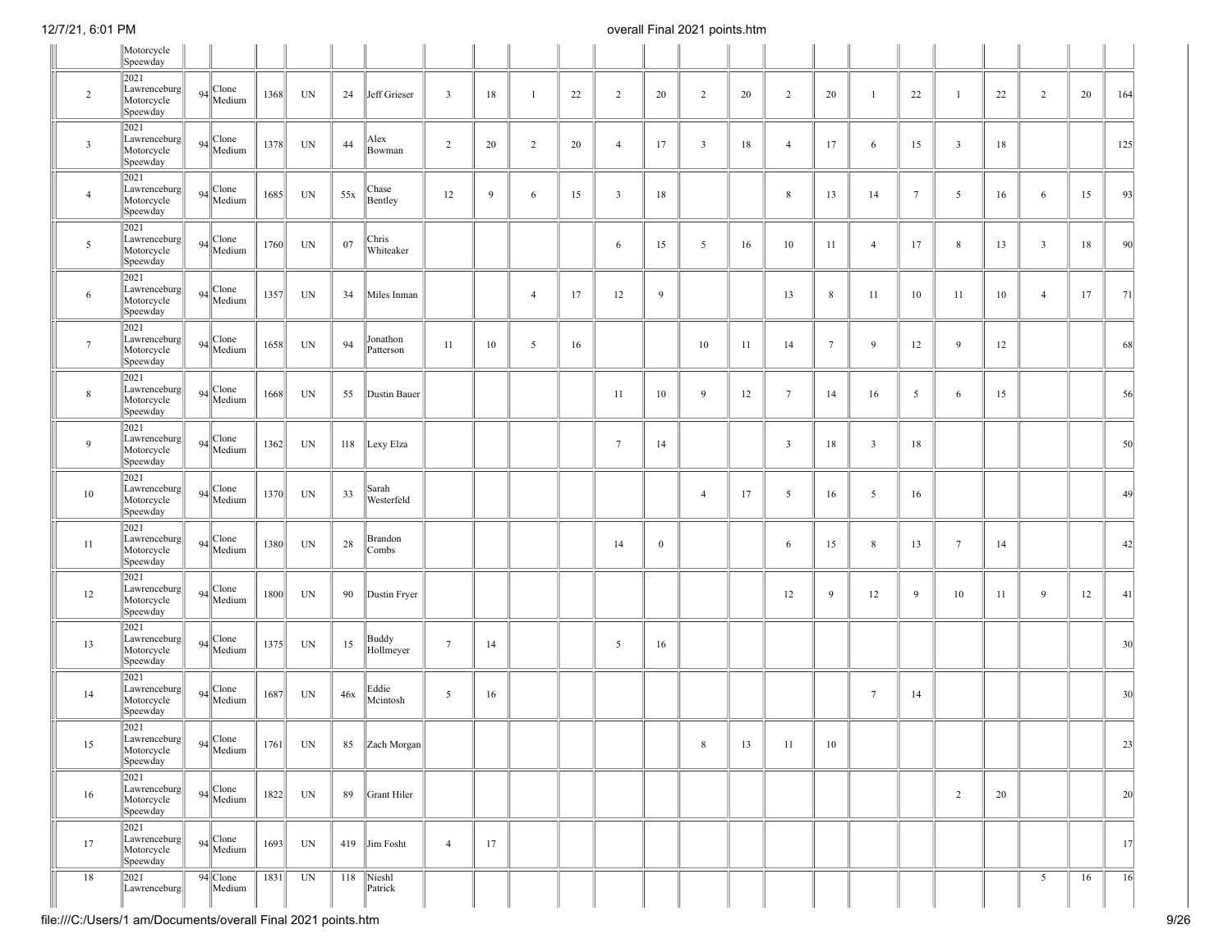|                 | Motorcycle<br>Speewday                                                                                                             |                      |      |                          |     |                       |                         |    |                |    |                 |              |                |    |                         |                 |                 |                 |                 |    |                |    |                 |
|-----------------|------------------------------------------------------------------------------------------------------------------------------------|----------------------|------|--------------------------|-----|-----------------------|-------------------------|----|----------------|----|-----------------|--------------|----------------|----|-------------------------|-----------------|-----------------|-----------------|-----------------|----|----------------|----|-----------------|
| $\overline{2}$  | 2021<br>Lawrenceburg<br>Motorcycle<br>Speewday                                                                                     | $94$ Clone<br>Medium | 1368 | UN                       | 24  | Jeff Grieser          | $\overline{\mathbf{3}}$ | 18 | $\overline{1}$ | 22 | $\overline{c}$  | 20           | $\overline{2}$ | 20 | $\overline{2}$          | 20              | $\mathbf{1}$    | 22              | $\mathbf{1}$    | 22 | $\overline{2}$ | 20 | 164             |
| $\mathbf{3}$    | 2021<br>Lawrenceburg<br>Motorcycle<br>Speewday                                                                                     | $94$<br>Medium       | 1378 | $\ensuremath{\text{UN}}$ | 44  | Alex<br>Bowman        | $\overline{2}$          | 20 | $\overline{2}$ | 20 | $\overline{4}$  | 17           | $\overline{3}$ | 18 | $\overline{4}$          | 17              | 6               | 15              | $\overline{3}$  | 18 |                |    | 125             |
| $\overline{4}$  | 2021<br>Lawrenceburg<br>Motorcycle<br>Speewday                                                                                     | $94$ Clone           | 1685 | UN                       | 55x | Chase<br>Bentley      | 12                      | 9  | 6              | 15 | $\overline{3}$  | 18           |                |    | 8                       | 13              | 14              | $7\phantom{.0}$ | 5               | 16 | 6              | 15 | 93              |
| 5               | 2021<br>Lawrenceburg<br>Motorcycle<br>Speewday                                                                                     | $94$ Clone           | 1760 | UN                       | 07  | Chris<br>Whiteaker    |                         |    |                |    | 6               | 15           | 5              | 16 | $10\,$                  | 11              | $\overline{4}$  | 17              | $\,$ 8 $\,$     | 13 | $\mathbf{3}$   | 18 | 90              |
| 6               | 2021<br>Lawrenceburg<br>Motorcycle<br>Speewday                                                                                     | $94$ Clone<br>Medium | 1357 | UN                       | 34  | Miles Inman           |                         |    | $\overline{4}$ | 17 | 12              | 9            |                |    | 13                      | 8               | 11              | 10              | 11              | 10 | $\overline{4}$ | 17 | 71              |
| $7\phantom{.0}$ | 2021<br>Lawrenceburg<br>Motorcycle<br>Speewday                                                                                     | $94$ Clone           | 1658 | UN                       | 94  | Jonathon<br>Patterson | 11                      | 10 | 5              | 16 |                 |              | 10             | 11 | 14                      | $7\phantom{.0}$ | 9               | 12              | 9               | 12 |                |    | 68              |
| 8               | 2021<br>Lawrenceburg<br>Motorcycle<br>Speewday                                                                                     | $94$ Clone           | 1668 | UN                       | 55  | Dustin Bauer          |                         |    |                |    | 11              | 10           | 9              | 12 | $7\phantom{.0}$         | 14              | 16              | 5               | 6               | 15 |                |    | 56              |
| 9               | 2021<br>Lawrenceburg<br>Motorcycle<br>Speewday                                                                                     | $94$ Clone           | 1362 | UN                       |     | 118 Lexy Elza         |                         |    |                |    | $7\overline{ }$ | 14           |                |    | $\overline{\mathbf{3}}$ | 18              | $\overline{3}$  | 18              |                 |    |                |    | 50              |
| 10              | 2021<br>Lawrenceburg<br>Motorcycle<br>Speewday                                                                                     | $94$ Clone           | 1370 | $\ensuremath{\text{UN}}$ | 33  | Sarah<br>Westerfeld   |                         |    |                |    |                 |              | $\overline{4}$ | 17 | $\overline{5}$          | 16              | $5\overline{)}$ | 16              |                 |    |                |    | 49              |
| 11              | 2021<br>Lawrenceburg<br>Motorcycle<br>Speewday                                                                                     | $94$ Clone<br>Medium | 1380 | UN                       | 28  | Brandon<br>Combs      |                         |    |                |    | 14              | $\mathbf{0}$ |                |    | 6                       | 15              | $\,$ 8 $\,$     | 13              | $7\phantom{.0}$ | 14 |                |    | 42              |
| 12              | 2021<br>Lawrenceburg<br>Motorcycle<br>Speewday                                                                                     | $94$ Clone           | 1800 | UN                       | 90  | Dustin Fryer          |                         |    |                |    |                 |              |                |    | 12                      | 9               | 12              | 9               | 10              | 11 | 9              | 12 | 41              |
| 13              | 2021<br>Lawrenceburg<br>Motorcycle<br>Speewday                                                                                     | $94$ Clone           | 1375 | $\ensuremath{\text{UN}}$ | 15  | Buddy<br>Hollmeyer    | $7\phantom{.0}$         | 14 |                |    | 5               | 16           |                |    |                         |                 |                 |                 |                 |    |                |    | 30 <sup>l</sup> |
| 14              | 2021<br>Lawrenceburg<br>Motorcycle<br>Speewday                                                                                     | $94$<br>Medium       | 1687 | UN                       | 46x | Eddie<br>Mcintosh     | 5                       | 16 |                |    |                 |              |                |    |                         |                 | $7\phantom{.0}$ | 14              |                 |    |                |    | 30 <sup>l</sup> |
| 15              | 2021<br>$\begin{array}{ l l }\n \text{Lawrenceburg} & 94 \\  \hline\n \text{Motorcycle} & \text{Medium}\n \end{array}$<br>Speewday |                      | 1761 | UN                       | 85  | Zach Morgan           |                         |    |                |    |                 |              | 8              | 13 | -11                     | 10              |                 |                 |                 |    |                |    | 23              |
| 16              | 2021<br>Lawrenceburg<br>Motorcycle<br>Speewday                                                                                     | $94$ Clone           | 1822 | UN                       | 89  | Grant Hiler           |                         |    |                |    |                 |              |                |    |                         |                 |                 |                 | $\overline{2}$  | 20 |                |    | 20              |
| 17              | 2021<br>Lawrenceburg<br>Motorcycle<br>Speewday                                                                                     | $94$<br>Medium       | 1693 | UN                       |     | 419 Jim Fosht         | $\overline{4}$          | 17 |                |    |                 |              |                |    |                         |                 |                 |                 |                 |    |                |    | 17              |
| 18              | 2021<br>Lawrenceburg                                                                                                               | 94 Clone<br>Medium   | 1831 | UN                       |     | 118 Nieshl<br>Patrick |                         |    |                |    |                 |              |                |    |                         |                 |                 |                 |                 |    | 5              | 16 | 16              |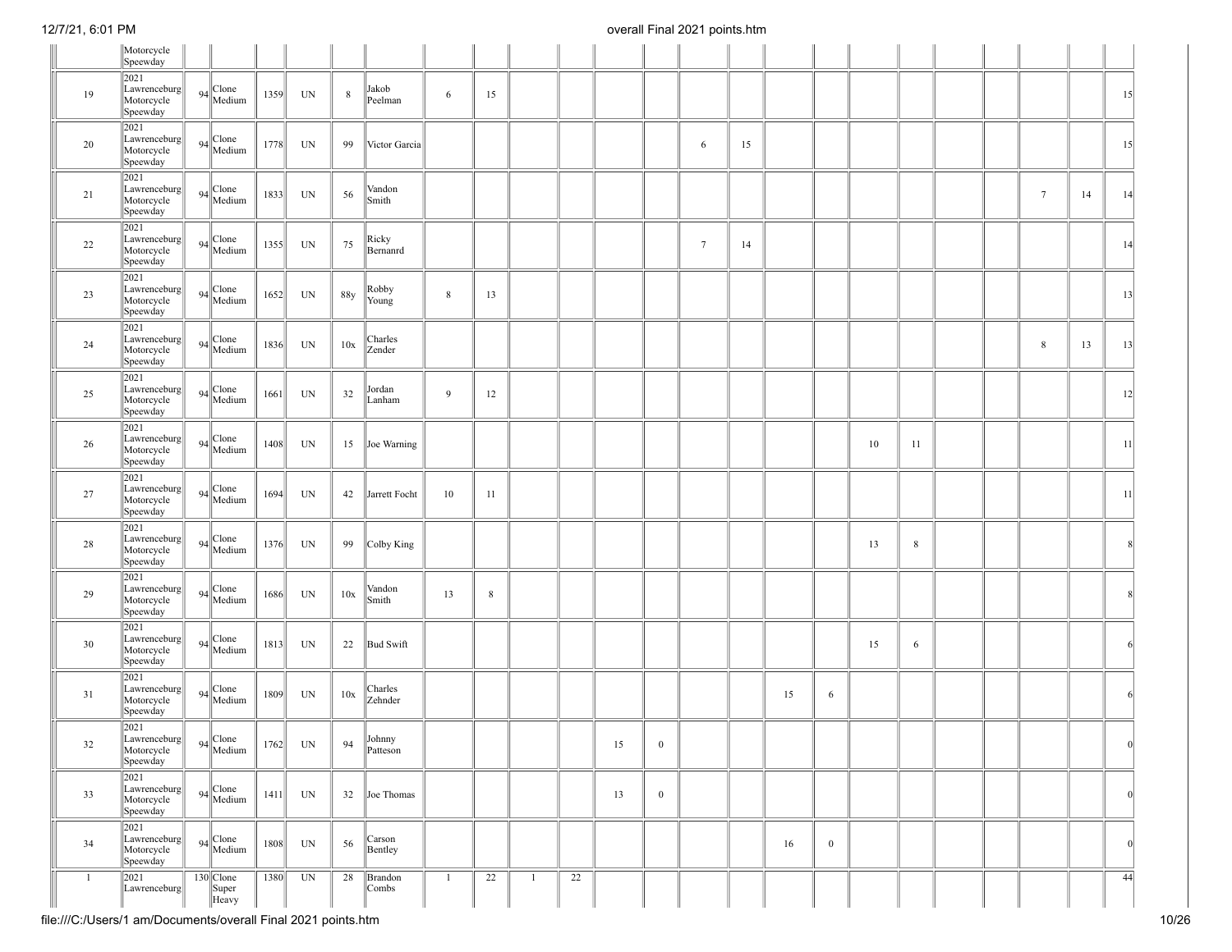|    | Motorcycle<br>Speewday                                   |                               |      |                          |             |                    |             |       |                |    |    |                  |                 |    |    |              |    |         |  |                 |    |     |
|----|----------------------------------------------------------|-------------------------------|------|--------------------------|-------------|--------------------|-------------|-------|----------------|----|----|------------------|-----------------|----|----|--------------|----|---------|--|-----------------|----|-----|
| 19 | 2021<br>Lawrenceburg<br>Motorcycle<br>Speewday           | $94$ Clone                    | 1359 | UN                       | $\,$ 8 $\,$ | Jakob<br>Peelman   | 6           | 15    |                |    |    |                  |                 |    |    |              |    |         |  |                 |    | 15  |
| 20 | 2021<br>Lawrenceburg<br>Motorcycle<br>Speewday           | $94$ Clone<br>Medium          | 1778 | UN                       | 99          | Victor Garcia      |             |       |                |    |    |                  | 6               | 15 |    |              |    |         |  |                 |    | 15  |
| 21 | 2021<br>Lawrenceburg<br>Motorcycle<br>Speewday           | $94$ Clone                    | 1833 | $\ensuremath{\text{UN}}$ | 56          | Vandon<br>Smith    |             |       |                |    |    |                  |                 |    |    |              |    |         |  | $7\phantom{.0}$ | 14 | 14  |
| 22 | 2021<br>Lawrenceburg<br>Motorcycle<br>Speewday           | $94$ Clone                    | 1355 | UN                       | 75          | Ricky<br>Bernanrd  |             |       |                |    |    |                  | $7\phantom{.0}$ | 14 |    |              |    |         |  |                 |    | 14  |
| 23 | 2021<br>Lawrenceburg<br>Motorcycle<br>Speewday           | $94$ Clone<br>Medium          | 1652 | UN                       | 88y         | Robby<br>Young     | $\,$ 8 $\,$ | 13    |                |    |    |                  |                 |    |    |              |    |         |  |                 |    | 13  |
| 24 | 2021<br>Lawrenceburg<br>Motorcycle<br>Speewday           | $94$ Clone<br>Medium          | 1836 | UN                       | 10x         | Charles<br>Zender  |             |       |                |    |    |                  |                 |    |    |              |    |         |  | 8               | 13 | 13  |
| 25 | 2021<br>Lawrenceburg<br>Motorcycle<br>Speewday           | $94$ Clone<br>Medium          | 1661 | UN                       | 32          | Jordan<br>Lanham   | 9           | 12    |                |    |    |                  |                 |    |    |              |    |         |  |                 |    | 12  |
| 26 | 2021<br>Lawrenceburg<br>Motorcycle<br>Speewday           | $94$ Clone<br>Medium          | 1408 | UN                       | 15          | Joe Warning        |             |       |                |    |    |                  |                 |    |    |              | 10 | 11      |  |                 |    | 11  |
| 27 | 2021<br>Lawrenceburg<br>Motorcycle<br>Speewday           | $94$<br>Medium                | 1694 | UN                       | 42          | Jarrett Focht      | 10          | 11    |                |    |    |                  |                 |    |    |              |    |         |  |                 |    | 11  |
| 28 | 2021<br>Lawrenceburg<br>Motorcycle<br>Speewday           | $94$ Clone                    | 1376 | UN                       | 99          | Colby King         |             |       |                |    |    |                  |                 |    |    |              | 13 | $\bf 8$ |  |                 |    |     |
| 29 | 2021<br>Lawrenceburg<br>Motorcycle<br>Speewday           | $94$ Clone                    | 1686 | UN                       | 10x         | Vandon<br>Smith    | 13          | $8\,$ |                |    |    |                  |                 |    |    |              |    |         |  |                 |    |     |
| 30 | 2021<br>Lawrenceburg<br>Motorcycle<br>Speewday           | $94$<br>Medium                | 1813 | $\ensuremath{\text{UN}}$ | 22          | <b>Bud Swift</b>   |             |       |                |    |    |                  |                 |    |    |              | 15 | 6       |  |                 |    | 6   |
| 31 | 2021<br>Lawrenceburg<br>Motorcycle<br>Speewday           | $94$ Clone<br>Medium          | 1809 | UN                       | 10x         | Charles<br>Zehnder |             |       |                |    |    |                  |                 |    | 15 | 6            |    |         |  |                 |    |     |
| 32 | 2021<br>$\ $ Lawrenceburg $\ $<br>Motorcycle<br>Speewday | $94$ Medium                   |      | $1762$ UN 94             |             | Johnny<br>Patteson |             |       |                |    | 15 | $\boldsymbol{0}$ |                 |    |    |              |    |         |  |                 |    | - U |
| 33 | 2021<br>Lawrenceburg<br>Motorcycle<br>Speewday           | $94$<br>Medium                | 1411 | UN                       | 32          | Joe Thomas         |             |       |                |    | 13 | $\mathbf{0}$     |                 |    |    |              |    |         |  |                 |    | 0   |
| 34 | 2021<br>Lawrenceburg<br>Motorcycle<br>Speewday           | $94$<br>Medium                | 1808 | UN                       | 56          | Carson<br>Bentley  |             |       |                |    |    |                  |                 |    | 16 | $\mathbf{0}$ |    |         |  |                 |    | 0   |
| -1 | 2021<br>Lawrenceburg                                     | $130$ Clone<br>Super<br>Heavy | 1380 | UN                       | 28          | Brandon<br>Combs   | -1          | 22    | $\overline{1}$ | 22 |    |                  |                 |    |    |              |    |         |  |                 |    | 44  |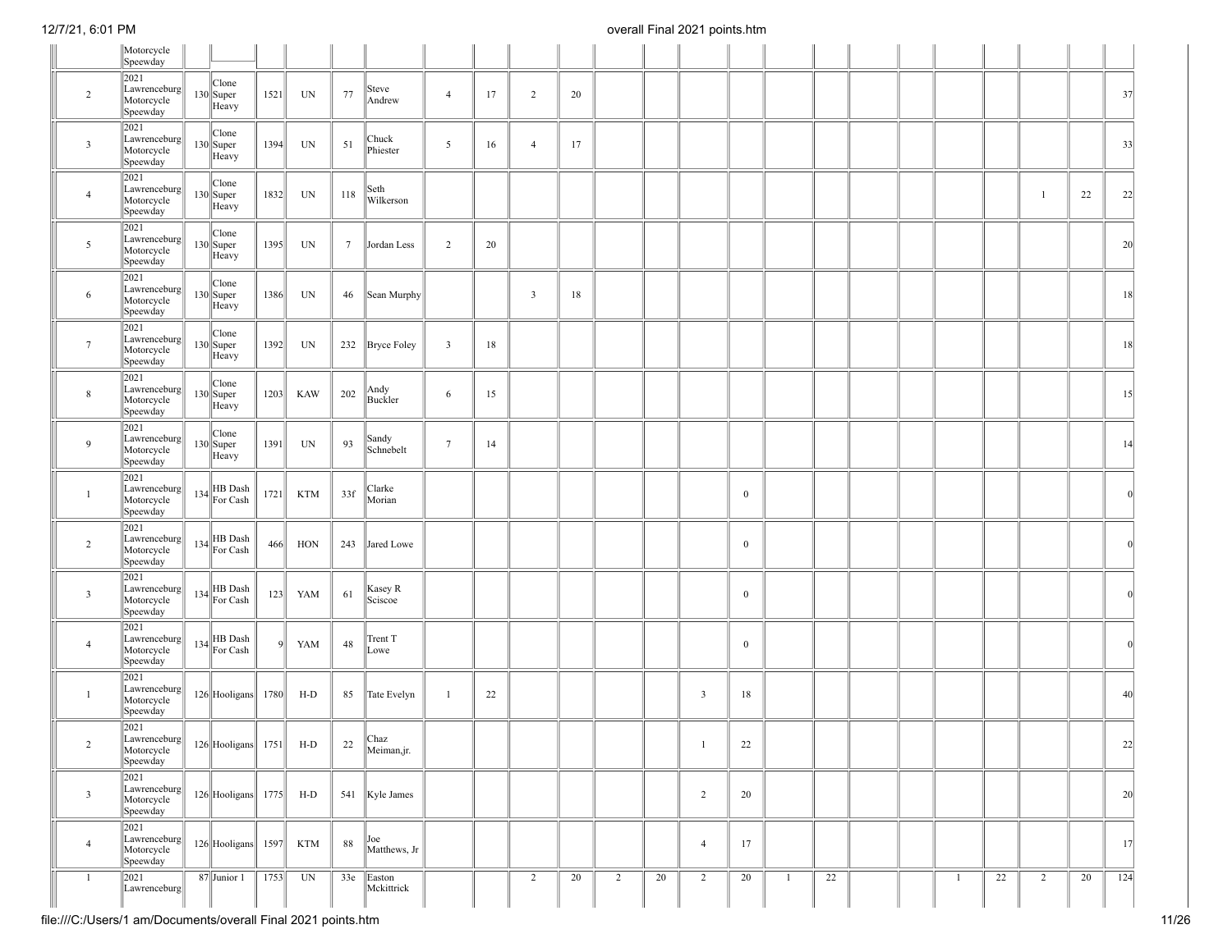|                         | Motorcycle<br>Speewday                                                                                                |                               |         |            |                 |                      |                         |    |                         |    |                |    |                |              |    |  |   |    |                |    |          |
|-------------------------|-----------------------------------------------------------------------------------------------------------------------|-------------------------------|---------|------------|-----------------|----------------------|-------------------------|----|-------------------------|----|----------------|----|----------------|--------------|----|--|---|----|----------------|----|----------|
| $\overline{2}$          | 2021<br>Lawrenceburg<br>Motorcycle<br>Speewday                                                                        | Clone<br>$130$ Super<br>Heavy | 1521    | UN         | 77              | Steve<br>Andrew      | $\overline{4}$          | 17 | $\overline{2}$          | 20 |                |    |                |              |    |  |   |    |                |    | 37       |
| $\overline{\mathbf{3}}$ | 2021<br>Lawrenceburg<br>Motorcycle<br>Speewday                                                                        | Clone<br>$130$ Super<br>Heavy | 1394    | UN         | 51              | Chuck<br>Phiester    | 5                       | 16 | $\overline{4}$          | 17 |                |    |                |              |    |  |   |    |                |    | 33       |
| $\overline{4}$          | 2021<br>Lawrenceburg<br>Motorcycle<br>Speewday                                                                        | Clone<br>$130$ Super<br>Heavy | 1832    | UN         | 118             | Seth<br>Wilkerson    |                         |    |                         |    |                |    |                |              |    |  |   |    | $\mathbf{1}$   | 22 | 22       |
| $5\overline{)}$         | 2021<br>Lawrenceburg<br>Motorcycle<br>Speewday                                                                        | Clone<br>$130$ Super<br>Heavy | 1395    | UN         | $7\phantom{.0}$ | Jordan Less          | 2                       | 20 |                         |    |                |    |                |              |    |  |   |    |                |    | 20       |
| 6                       | 2021<br>Lawrenceburg<br>Motorcycle<br>Speewday                                                                        | Clone<br>$130$ Super<br>Heavy | 1386    | UN         | 46              | Sean Murphy          |                         |    | $\overline{\mathbf{3}}$ | 18 |                |    |                |              |    |  |   |    |                |    | 18       |
| $7\phantom{.0}$         | 2021<br>Lawrenceburg<br>Motorcycle<br>Speewday                                                                        | Clone<br>$130$ Super<br>Heavy | 1392    | UN         |                 | 232 Bryce Foley      | $\overline{\mathbf{3}}$ | 18 |                         |    |                |    |                |              |    |  |   |    |                |    | 18       |
| $\,$ 8 $\,$             | 2021<br>Lawrenceburg<br>Motorcycle<br>Speewday                                                                        | Clone<br>$130$ Super<br>Heavy | 1203    | <b>KAW</b> | 202             | Andy<br>Buckler      | 6                       | 15 |                         |    |                |    |                |              |    |  |   |    |                |    | 15       |
| 9                       | 2021<br>Lawrenceburg<br>Motorcycle<br>Speewday                                                                        | Clone<br>$130$ Super<br>Heavy | 1391    | UN         | 93              | Sandy<br>Schnebelt   | $7\phantom{.0}$         | 14 |                         |    |                |    |                |              |    |  |   |    |                |    | 14       |
| $\mathbf{1}$            | 2021<br>Lawrenceburg<br>Motorcycle<br>Speewday                                                                        | $134$ HB Dash<br>For Cash     | 1721    | <b>KTM</b> | 33f             | Clarke<br>Morian     |                         |    |                         |    |                |    |                | $\mathbf{0}$ |    |  |   |    |                |    | 0        |
| 2                       | 2021<br>Lawrenceburg<br>Motorcycle<br>Speewday                                                                        | $134$ HB Dash<br>For Cash     | 466     | HON        | 243             | Jared Lowe           |                         |    |                         |    |                |    |                | $\mathbf{0}$ |    |  |   |    |                |    |          |
| $\overline{\mathbf{3}}$ | 2021<br>Lawrenceburg<br>Motorcycle<br>Speewday                                                                        | $134$ HB Dash<br>For Cash     | 123     | YAM        | 61              | Kasey R<br>Sciscoe   |                         |    |                         |    |                |    |                | $\mathbf{0}$ |    |  |   |    |                |    |          |
| $\overline{4}$          | 2021<br>Lawrenceburg<br>Motorcycle<br>Speewday                                                                        | 134 HB Dash                   | $\vert$ | YAM        | 48              | Trent T<br>Lowe      |                         |    |                         |    |                |    |                | $\bf{0}$     |    |  |   |    |                |    | $\Omega$ |
| -1                      | 2021<br>Lawrenceburg<br>Motorcycle<br>Speewday                                                                        | $126$ Hooligans 1780          |         | H-D        | 85              | Tate Evelyn          | $\overline{1}$          | 22 |                         |    |                |    | $\mathbf{3}$   | 18           |    |  |   |    |                |    | 40       |
| $\overline{c}$          | 2021<br>$\left\ $ Lawrenceburg $\left\  126 \right\ $ Hooligans $\left\  1751 \right\ $ H-D<br>Motorcycle<br>Speewday |                               |         |            | 22              | Chaz<br>Meiman,jr.   |                         |    |                         |    |                |    |                | $22\,$       |    |  |   |    |                |    | 22       |
| $\overline{\mathbf{3}}$ | 2021<br>Lawrenceburg<br>Motorcycle<br>Speewday                                                                        | $126$ Hooligans 1775          |         | $H-D$      |                 | 541 Kyle James       |                         |    |                         |    |                |    | $\overline{2}$ | 20           |    |  |   |    |                |    | 20       |
| $\overline{4}$          | 2021<br>$\begin{array}{ l } \hline \text{Lawrenceburg} \\ \hline \text{Motorcycle} \end{array}$<br>Speewday           | 126 Hooligans 1597            |         | <b>KTM</b> | 88              | Joe<br>Matthews, Jr  |                         |    |                         |    |                |    | $\overline{4}$ | 17           |    |  |   |    |                |    | 17       |
| -1                      | 2021<br>Lawrenceburg                                                                                                  | 87 Junior 1                   | 1753    | UN         | 33e             | Easton<br>Mckittrick |                         |    | $\overline{2}$          | 20 | $\overline{2}$ | 20 | $\overline{2}$ | 20           | 22 |  | 1 | 22 | $\overline{2}$ | 20 | 124      |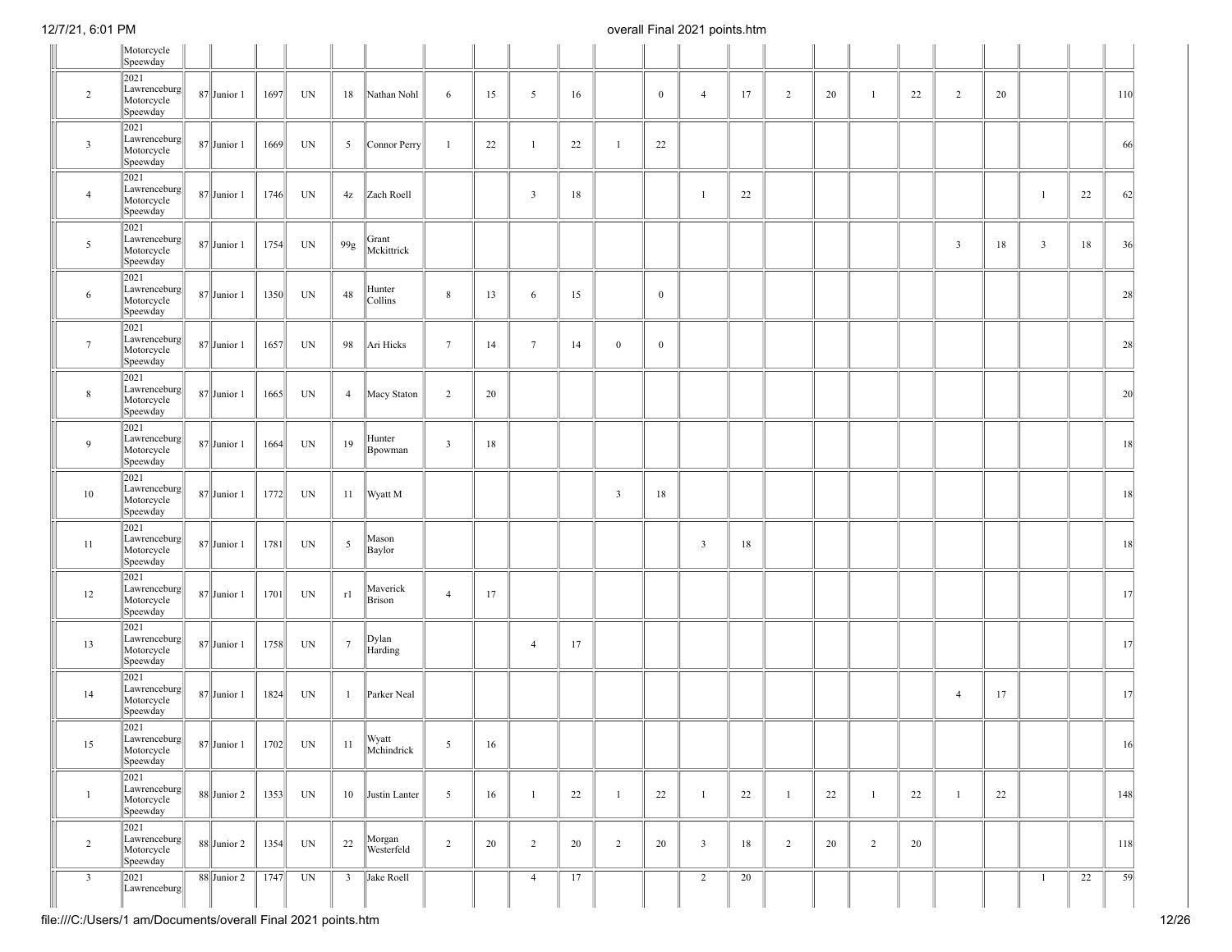|                 | Motorcycle<br>Speewday                         |               |      |                          |                 |                      |                         |    |                         |    |                |              |                |    |                |    |              |    |                |    |              |    |     |
|-----------------|------------------------------------------------|---------------|------|--------------------------|-----------------|----------------------|-------------------------|----|-------------------------|----|----------------|--------------|----------------|----|----------------|----|--------------|----|----------------|----|--------------|----|-----|
| $\overline{2}$  | 2021<br>Lawrenceburg<br>Motorcycle<br>Speewday | $87$ Junior 1 | 1697 | UN                       | 18              | Nathan Nohl          | 6                       | 15 | 5                       | 16 |                | $\mathbf{0}$ | $\overline{4}$ | 17 | $\overline{2}$ | 20 | $\mathbf{1}$ | 22 | 2              | 20 |              |    | 110 |
| $\mathbf{3}$    | 2021<br>Lawrenceburg<br>Motorcycle<br>Speewday | $87$ Junior 1 | 1669 | $\ensuremath{\text{UN}}$ | 5               | Connor Perry         | $\mathbf{1}$            | 22 | $\mathbf{1}$            | 22 | $\mathbf{1}$   | 22           |                |    |                |    |              |    |                |    |              |    | 66  |
| $\overline{4}$  | 2021<br>Lawrenceburg<br>Motorcycle<br>Speewday | 87 Junior 1   | 1746 | UN                       | 4z              | Zach Roell           |                         |    | $\overline{\mathbf{3}}$ | 18 |                |              | $\mathbf{1}$   | 22 |                |    |              |    |                |    | $\mathbf{1}$ | 22 | 62  |
| 5               | 2021<br>Lawrenceburg<br>Motorcycle<br>Speewday | $87$ Junior 1 | 1754 | UN                       | 99g             | Grant<br>Mckittrick  |                         |    |                         |    |                |              |                |    |                |    |              |    | $\mathfrak{Z}$ | 18 | $\mathbf{3}$ | 18 | 36  |
| 6               | 2021<br>Lawrenceburg<br>Motorcycle<br>Speewday | 87 Junior 1   | 1350 | $\ensuremath{\text{UN}}$ | 48              | Hunter<br>Collins    | 8                       | 13 | 6                       | 15 |                | $\mathbf{0}$ |                |    |                |    |              |    |                |    |              |    | 28  |
| $7\phantom{.0}$ | 2021<br>Lawrenceburg<br>Motorcycle<br>Speewday | $87$ Junior 1 | 1657 | UN                       | 98              | Ari Hicks            | $7\phantom{.0}$         | 14 | $7\phantom{.0}$         | 14 | $\overline{0}$ | $\mathbf{0}$ |                |    |                |    |              |    |                |    |              |    | 28  |
| 8               | 2021<br>Lawrenceburg<br>Motorcycle<br>Speewday | $87$ Junior 1 | 1665 | UN                       | $\overline{4}$  | Macy Staton          | $\overline{2}$          | 20 |                         |    |                |              |                |    |                |    |              |    |                |    |              |    | 20  |
| 9               | 2021<br>Lawrenceburg<br>Motorcycle<br>Speewday | $87$ Junior 1 | 1664 | UN                       | 19              | Hunter<br>Bpowman    | $\overline{\mathbf{3}}$ | 18 |                         |    |                |              |                |    |                |    |              |    |                |    |              |    | 18  |
| 10              | 2021<br>Lawrenceburg<br>Motorcycle<br>Speewday | $87$ Junior 1 | 1772 | $\ensuremath{\text{UN}}$ | 11              | Wyatt M              |                         |    |                         |    | $\mathbf{3}$   | 18           |                |    |                |    |              |    |                |    |              |    | 18  |
| 11              | 2021<br>Lawrenceburg<br>Motorcycle<br>Speewday | $87$ Junior 1 | 1781 | UN                       | $\mathfrak{S}$  | Mason<br>Baylor      |                         |    |                         |    |                |              | $\overline{3}$ | 18 |                |    |              |    |                |    |              |    | 18  |
| 12              | 2021<br>Lawrenceburg<br>Motorcycle<br>Speewday | $87$ Junior 1 | 1701 | UN                       | r1              | Maverick<br>Brison   | $\overline{4}$          | 17 |                         |    |                |              |                |    |                |    |              |    |                |    |              |    | 17  |
| 13              | 2021<br>Lawrenceburg<br>Motorcycle<br>Speewday | 87 Junior 1   | 1758 | UN                       | $7\phantom{.0}$ | Dylan<br>Harding     |                         |    | $\overline{4}$          | 17 |                |              |                |    |                |    |              |    |                |    |              |    | 17  |
| 14              | 2021<br>Lawrenceburg<br>Motorcycle<br>Speewday | $87$ Junior 1 | 1824 | UN                       | $\mathbf{1}$    | Parker Neal          |                         |    |                         |    |                |              |                |    |                |    |              |    | $\overline{4}$ | 17 |              |    | 17  |
| 15              | 2021<br>Lawrenceburg<br>Motorcycle<br>Speewday | $87$ Junior 1 | 1702 | $\ensuremath{\text{UN}}$ | $11\,$          | Wyatt<br>Mchindrick  | 5                       | 16 |                         |    |                |              |                |    |                |    |              |    |                |    |              |    | 16  |
| $\overline{1}$  | 2021<br>Lawrenceburg<br>Motorcycle<br>Speewday | $88$ Junior 2 | 1353 | UN                       |                 | 10 Justin Lanter     | $\overline{5}$          | 16 | $\overline{1}$          | 22 | $\mathbf{1}$   | 22           | $\mathbf{1}$   | 22 | $\mathbf{1}$   | 22 | $\mathbf{1}$ | 22 | $\mathbf{1}$   | 22 |              |    | 148 |
| $\overline{2}$  | 2021<br>Lawrenceburg<br>Motorcycle<br>Speewday | $88$ Junior 2 | 1354 | UN                       | 22              | Morgan<br>Westerfeld | $\overline{2}$          | 20 | $\overline{2}$          | 20 | $\overline{2}$ | 20           | $\overline{3}$ | 18 | $\overline{2}$ | 20 | 2            | 20 |                |    |              |    | 118 |
| $\mathbf{3}$    | 2021<br>Lawrenceburg                           | 88 Junior 2   | 1747 | UN                       | $\overline{3}$  | Jake Roell           |                         |    | $\overline{4}$          | 17 |                |              | $\overline{2}$ | 20 |                |    |              |    |                |    | $\mathbf{1}$ | 22 | 59  |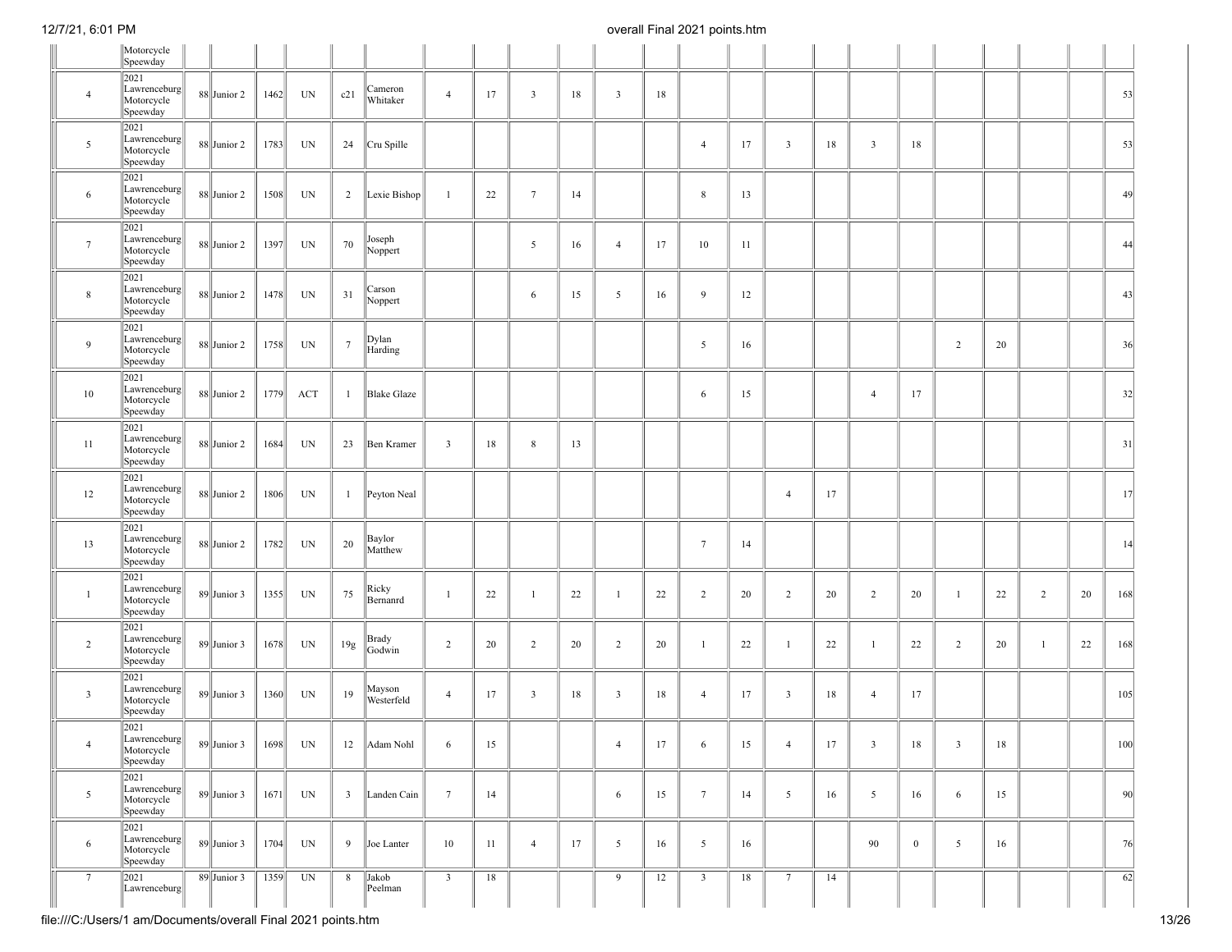|                 | Motorcycle<br>Speewday                         |                 |      |                          |                 |                      |                         |    |                         |    |                |    |                 |    |                         |        |                         |              |                         |        |                |    |     |
|-----------------|------------------------------------------------|-----------------|------|--------------------------|-----------------|----------------------|-------------------------|----|-------------------------|----|----------------|----|-----------------|----|-------------------------|--------|-------------------------|--------------|-------------------------|--------|----------------|----|-----|
| $\overline{4}$  | 2021<br>Lawrenceburg<br>Motorcycle<br>Speewday | 88 Junior 2     | 1462 | UN                       | c21             | Cameron<br>Whitaker  | $\overline{4}$          | 17 | $\overline{\mathbf{3}}$ | 18 | $\overline{3}$ | 18 |                 |    |                         |        |                         |              |                         |        |                |    | 53  |
| 5               | 2021<br>Lawrenceburg<br>Motorcycle<br>Speewday | 88 Junior 2     | 1783 | UN                       | 24              | Cru Spille           |                         |    |                         |    |                |    | $\overline{4}$  | 17 | $\overline{\mathbf{3}}$ | 18     | $\overline{\mathbf{3}}$ | 18           |                         |        |                |    | 53  |
| 6               | 2021<br>Lawrenceburg<br>Motorcycle<br>Speewday | $88$ Junior 2   | 1508 | UN                       | $\overline{2}$  | Lexie Bishop         | $\mathbf{1}$            | 22 | $7\phantom{.0}$         | 14 |                |    | 8               | 13 |                         |        |                         |              |                         |        |                |    | 49  |
| $7\phantom{.0}$ | 2021<br>Lawrenceburg<br>Motorcycle<br>Speewday | $88$ Junior 2   | 1397 | UN                       | 70              | Joseph<br>Noppert    |                         |    | $\mathfrak{S}$          | 16 | $\overline{4}$ | 17 | 10              | 11 |                         |        |                         |              |                         |        |                |    | 44  |
| 8               | 2021<br>Lawrenceburg<br>Motorcycle<br>Speewday | $88$ Junior 2   | 1478 | UN                       | 31              | Carson<br>Noppert    |                         |    | 6                       | 15 | 5              | 16 | 9               | 12 |                         |        |                         |              |                         |        |                |    | 43  |
| 9               | 2021<br>Lawrenceburg<br>Motorcycle<br>Speewday | $88$ Junior 2   | 1758 | UN                       | $7\phantom{.0}$ | Dylan<br>Harding     |                         |    |                         |    |                |    | 5               | 16 |                         |        |                         |              | 2                       | 20     |                |    | 36  |
| 10              | 2021<br>Lawrenceburg<br>Motorcycle<br>Speewday | $88$ Junior 2   | 1779 | ACT                      | -1              | <b>Blake Glaze</b>   |                         |    |                         |    |                |    | 6               | 15 |                         |        | $\overline{4}$          | 17           |                         |        |                |    | 32  |
| 11              | 2021<br>Lawrenceburg<br>Motorcycle<br>Speewday | $88$ Junior 2   | 1684 | UN                       | 23              | Ben Kramer           | $\overline{\mathbf{3}}$ | 18 | 8                       | 13 |                |    |                 |    |                         |        |                         |              |                         |        |                |    | 31  |
| 12              | 2021<br>Lawrenceburg<br>Motorcycle<br>Speewday | $88$ Junior 2   | 1806 | UN                       | 1               | Peyton Neal          |                         |    |                         |    |                |    |                 |    | $\overline{4}$          | 17     |                         |              |                         |        |                |    | 17  |
| 13              | 2021<br>Lawrenceburg<br>Motorcycle<br>Speewday | $88$ Junior 2   | 1782 | UN                       | 20              | Baylor<br>Matthew    |                         |    |                         |    |                |    | $7\phantom{.0}$ | 14 |                         |        |                         |              |                         |        |                |    | 14  |
| -1              | 2021<br>Lawrenceburg<br>Motorcycle<br>Speewday | $89$ Junior 3   | 1355 | UN                       | 75              | Ricky<br>Bernanrd    | $\mathbf{1}$            | 22 | $\overline{1}$          | 22 | $\mathbf{1}$   | 22 | $\overline{c}$  | 20 | $\overline{2}$          | 20     | $\overline{2}$          | 20           | $\overline{1}$          | 22     | $\overline{2}$ | 20 | 168 |
| $\overline{2}$  | 2021<br>Lawrenceburg<br>Motorcycle<br>Speewday | $89$ Junior 3   | 1678 | UN                       | 19g             | Brady<br>Godwin      | $\overline{2}$          | 20 | 2                       | 20 | $\overline{c}$ | 20 | $\overline{1}$  | 22 | $\mathbf{1}$            | 22     | 1                       | 22           | $\overline{c}$          | 20     | $\mathbf{1}$   | 22 | 168 |
| $\mathbf{3}$    | 2021<br>Lawrenceburg<br>Motorcycle<br>Speewday | $89$ Junior 3   | 1360 | UN                       | 19              | Mayson<br>Westerfeld | $\overline{4}$          | 17 | $\overline{\mathbf{3}}$ | 18 | $\overline{3}$ | 18 | $\overline{4}$  | 17 | $\overline{\mathbf{3}}$ | 18     | $\overline{4}$          | 17           |                         |        |                |    | 105 |
| 4               | 2021<br>Lawrenceburg<br>Motorcycle<br>Speewday | $89$ Junior 3   | 1698 | $\ensuremath{\text{UN}}$ | $12 \,$         | Adam Nohl            | 6                       | 15 |                         |    | 4              | 17 | $\sigma$        | 15 |                         | $17\,$ | 3                       | $18\,$       | $\overline{\mathbf{3}}$ | $18\,$ |                |    | 100 |
| $5\overline{ }$ | 2021<br>Lawrenceburg<br>Motorcycle<br>Speewday | $89$ Junior 3   | 1671 | UN                       | $\overline{3}$  | Landen Cain          | $7\phantom{.0}$         | 14 |                         |    | 6              | 15 | $7\phantom{.0}$ | 14 | 5                       | 16     | $\overline{5}$          | 16           | 6                       | 15     |                |    | 90  |
| 6               | 2021<br>Lawrenceburg<br>Motorcycle<br>Speewday | $89$ Junior 3   | 1704 | UN                       | 9               | Joe Lanter           | 10                      | 11 | $\overline{4}$          | 17 | 5              | 16 | $5\overline{)}$ | 16 |                         |        | 90                      | $\mathbf{0}$ | $\overline{5}$          | 16     |                |    | 76  |
| $7\phantom{.0}$ | 2021<br>Lawrenceburg                           | $89$ Junior $3$ | 1359 | UN                       | 8               | Jakob<br>Peelman     | $\overline{\mathbf{3}}$ | 18 |                         |    | 9              | 12 | $\overline{3}$  | 18 | $7\phantom{.0}$         | 14     |                         |              |                         |        |                |    | 62  |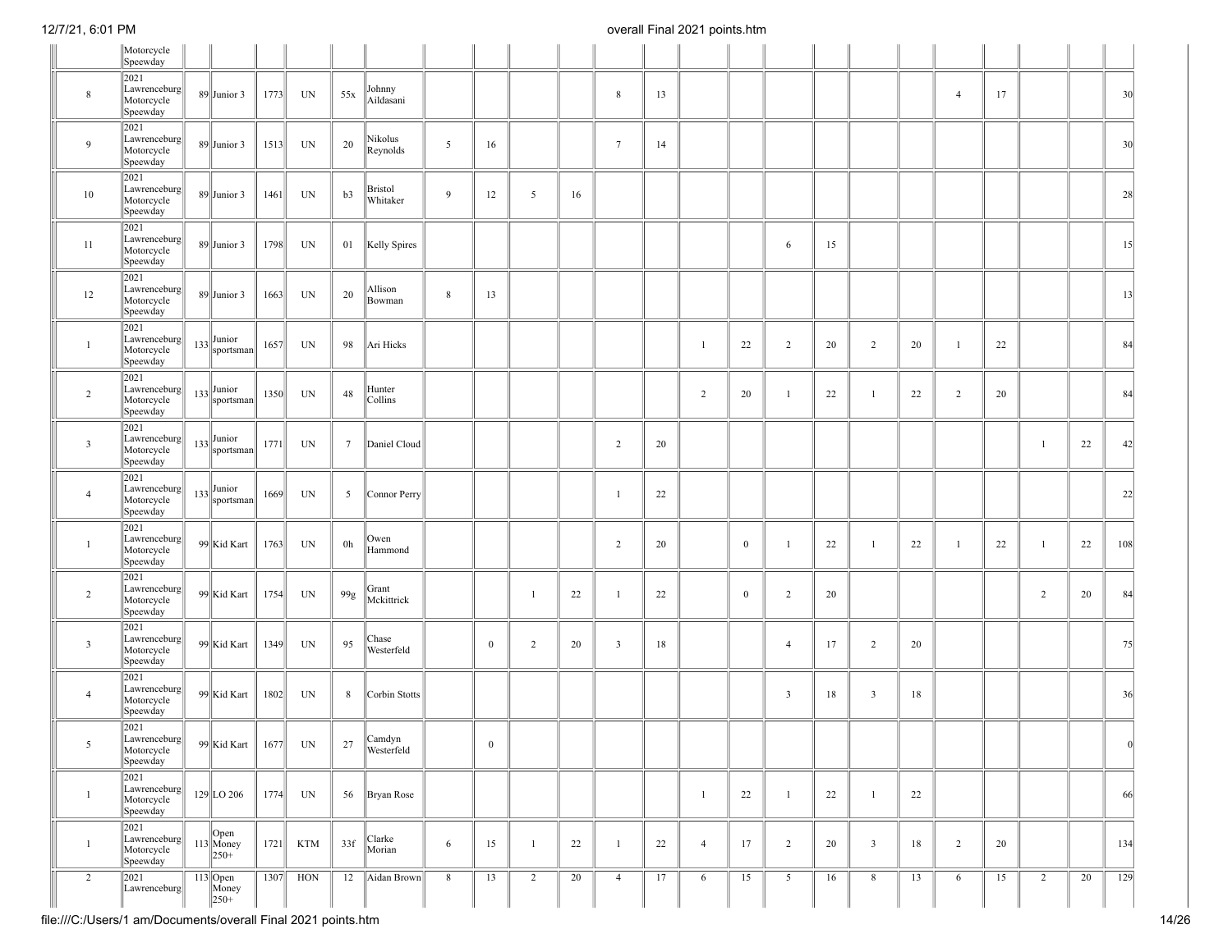|                         | Motorcycle<br>Speewday                         |                                                                       |      |           |                 |                      |             |                  |                |    |                 |    |                |              |                         |    |                         |    |                |    |                |    |     |
|-------------------------|------------------------------------------------|-----------------------------------------------------------------------|------|-----------|-----------------|----------------------|-------------|------------------|----------------|----|-----------------|----|----------------|--------------|-------------------------|----|-------------------------|----|----------------|----|----------------|----|-----|
| $\,8\,$                 | 2021<br>Lawrenceburg<br>Motorcycle<br>Speewday | $89$ Junior 3                                                         | 1773 | UN        | 55x             | Johnny<br>Aildasani  |             |                  |                |    | 8               | 13 |                |              |                         |    |                         |    | $\overline{4}$ | 17 |                |    | 30  |
| 9                       | 2021<br>Lawrenceburg<br>Motorcycle<br>Speewday | $89$ Junior 3                                                         | 1513 | UN        | 20              | Nikolus<br>Reynolds  | 5           | 16               |                |    | $7\phantom{.0}$ | 14 |                |              |                         |    |                         |    |                |    |                |    | 30  |
| 10                      | 2021<br>Lawrenceburg<br>Motorcycle<br>Speewday | $89$ Junior 3                                                         | 1461 | UN        | b3              | Bristol<br>Whitaker  | 9           | 12               | 5              | 16 |                 |    |                |              |                         |    |                         |    |                |    |                |    | 28  |
| 11                      | 2021<br>Lawrenceburg<br>Motorcycle<br>Speewday | $89$ Junior 3                                                         | 1798 | UN        | 01              | Kelly Spires         |             |                  |                |    |                 |    |                |              | 6                       | 15 |                         |    |                |    |                |    | 15  |
| 12                      | 2021<br>Lawrenceburg<br>Motorcycle<br>Speewday | $89$ Junior 3                                                         | 1663 | UN        | 20              | Allison<br>Bowman    | $\,$ 8 $\,$ | 13               |                |    |                 |    |                |              |                         |    |                         |    |                |    |                |    | 13  |
| $\mathbf{1}$            | 2021<br>Lawrenceburg<br>Motorcycle<br>Speewday | $_{133}$ Junior<br>sportsman                                          | 1657 | UN        | 98              | Ari Hicks            |             |                  |                |    |                 |    | $\mathbf{1}$   | 22           | 2                       | 20 | $\overline{2}$          | 20 | $\mathbf{1}$   | 22 |                |    | 84  |
| $\overline{2}$          | 2021<br>Lawrenceburg<br>Motorcycle<br>Speewday | $133 \big  \text{Junior} \over \text{sportsman} \big $                | 1350 | UN        | 48              | Hunter<br>Collins    |             |                  |                |    |                 |    | $\overline{c}$ | 20           | $\overline{1}$          | 22 | $\mathbf{1}$            | 22 | 2              | 20 |                |    | 84  |
| $\overline{3}$          | 2021<br>Lawrenceburg<br>Motorcycle<br>Speewday | $133 \begin{vmatrix} \text{Junior} \\ \text{sportsman} \end{vmatrix}$ | 1771 | UN        | $7\phantom{.0}$ | Daniel Cloud         |             |                  |                |    | $\overline{c}$  | 20 |                |              |                         |    |                         |    |                |    | 1              | 22 | 42  |
| $\overline{4}$          | 2021<br>Lawrenceburg<br>Motorcycle<br>Speewday | $133$ Junior<br>sportsman                                             | 1669 | UN        | 5               | Connor Perry         |             |                  |                |    | $\mathbf{1}$    | 22 |                |              |                         |    |                         |    |                |    |                |    | 22  |
| $\mathbf{1}$            | 2021<br>Lawrenceburg<br>Motorcycle<br>Speewday | 99 Kid Kart                                                           | 1763 | UN        | 0 <sub>h</sub>  | Owen<br>Hammond      |             |                  |                |    | $\overline{c}$  | 20 |                | $\mathbf{0}$ | -1                      | 22 | -1                      | 22 | $\mathbf{1}$   | 22 | 1              | 22 | 108 |
| 2                       | 2021<br>Lawrenceburg<br>Motorcycle<br>Speewday | 99 Kid Kart                                                           | 1754 | UN        | $99\mathrm{g}$  | Grant<br>Mckittrick  |             |                  | $\overline{1}$ | 22 | $\mathbf{1}$    | 22 |                | $\mathbf{0}$ | 2                       | 20 |                         |    |                |    | $\overline{2}$ | 20 | 84  |
| $\overline{\mathbf{3}}$ | 2021<br>Lawrenceburg<br>Motorcycle<br>Speewday | 99 Kid Kart                                                           | 1349 | UN        | 95              | Chase<br>Westerfeld  |             | $\mathbf{0}$     | $\overline{c}$ | 20 | $\mathbf{3}$    | 18 |                |              | $\overline{4}$          | 17 | $\overline{c}$          | 20 |                |    |                |    | 75  |
| $\overline{4}$          | 2021<br>Lawrenceburg<br>Motorcycle<br>Speewday | 99 Kid Kart                                                           | 1802 | UN        | 8               | Corbin Stotts        |             |                  |                |    |                 |    |                |              | $\overline{\mathbf{3}}$ | 18 | $\overline{\mathbf{3}}$ | 18 |                |    |                |    | 36  |
| 5                       | 2021<br>Lawrenceburg<br>Motorcycle<br>Speewday | 99 Kid Kart   1677                                                    |      | <b>UN</b> | 27              | Camdyn<br>Westerfeld |             | $\boldsymbol{0}$ |                |    |                 |    |                |              |                         |    |                         |    |                |    |                |    | v   |
| $\mathbf{1}$            | 2021<br>Lawrenceburg<br>Motorcycle<br>Speewday | $129$ LO 206                                                          | 1774 | UN        | 56              | <b>Bryan Rose</b>    |             |                  |                |    |                 |    | $\mathbf{1}$   | 22           | $\overline{1}$          | 22 | $\mathbf{1}$            | 22 |                |    |                |    | 66  |
| $\mathbf{1}$            | 2021<br>Lawrenceburg<br>Motorcycle<br>Speewday | $ $ Open<br>$113$ Money<br>$\ 250 +$                                  | 1721 | KTM       | 33f             | Clarke<br>Morian     | 6           | 15               | -1             | 22 | $\mathbf{1}$    | 22 | $\overline{4}$ | 17           | $\overline{2}$          | 20 | $\overline{\mathbf{3}}$ | 18 | $\overline{2}$ | 20 |                |    | 134 |
| 2                       | 2021<br>Lawrenceburg                           | $113$ Open<br>Money<br>$\ 250 +$                                      | 1307 | HON       | 12              | Aidan Brown          | 8           | 13               | $\overline{2}$ | 20 | $\overline{4}$  | 17 | 6              | 15           | 5                       | 16 | 8                       | 13 | 6              | 15 | $\overline{2}$ | 20 | 129 |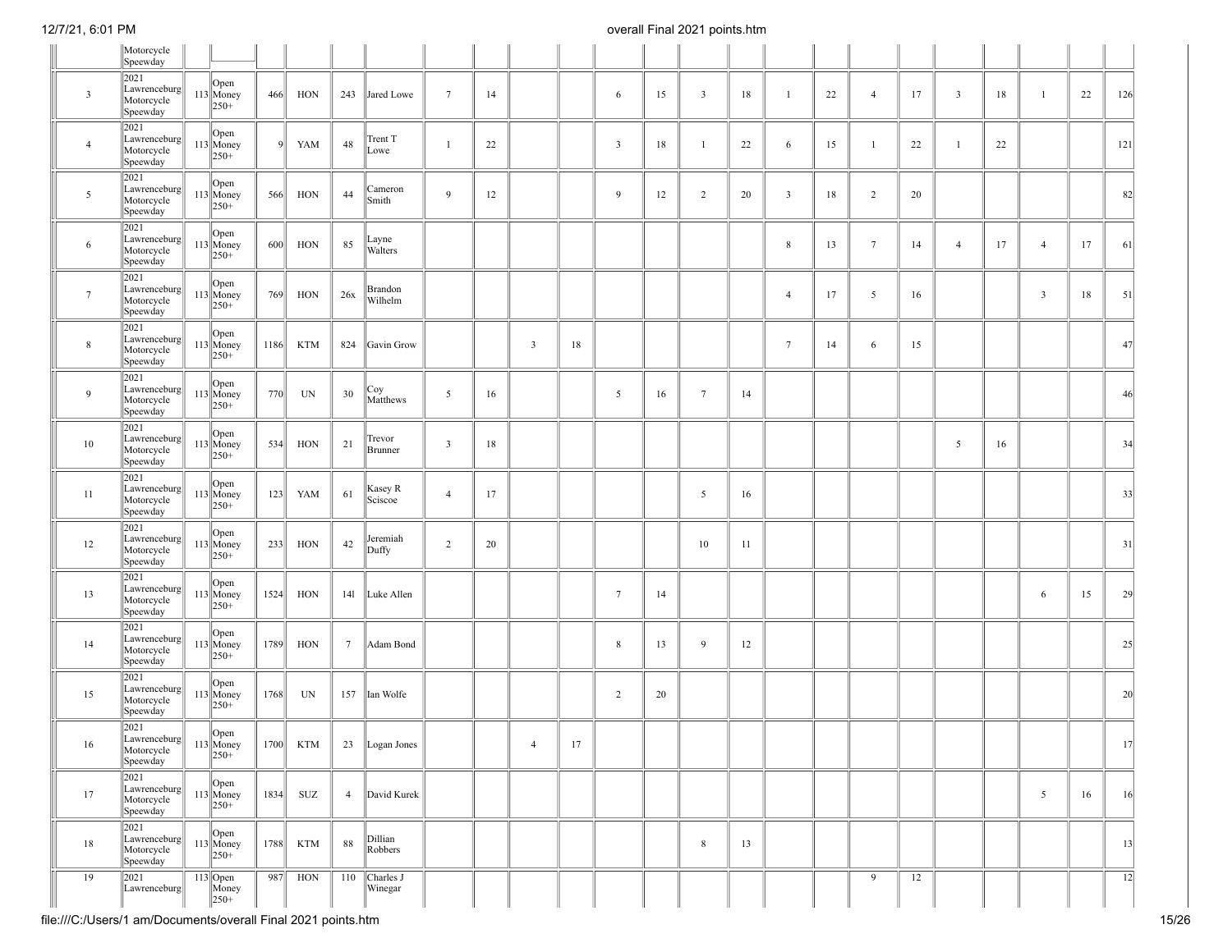|                 | Motorcycle<br>Speewday                                                |                                                                                  |      |            |                 |                      |                         |    |                |        |                 |    |                 |    |                         |    |                 |    |                |    |                |    |                 |
|-----------------|-----------------------------------------------------------------------|----------------------------------------------------------------------------------|------|------------|-----------------|----------------------|-------------------------|----|----------------|--------|-----------------|----|-----------------|----|-------------------------|----|-----------------|----|----------------|----|----------------|----|-----------------|
|                 | 2021                                                                  |                                                                                  |      |            |                 |                      |                         |    |                |        |                 |    |                 |    |                         |    |                 |    |                |    |                |    |                 |
| $\mathbf{3}$    | Lawrenceburg<br>Motorcycle<br>Speewday                                | $\vert$ Open<br>$113$ Money<br>$250+$                                            | 466  | HON        | 243             | Jared Lowe           | $7\phantom{.0}$         | 14 |                |        | 6               | 15 | $\overline{3}$  | 18 | -1                      | 22 | $\overline{4}$  | 17 | $\overline{3}$ | 18 | $\mathbf{1}$   | 22 | 126             |
| $\overline{4}$  | 2021<br>Lawrenceburg<br>Motorcycle<br>Speewday                        | Open<br>$113$ Money<br>$\ 250 +$                                                 | Q    | YAM        | 48              | Trent T<br>Lowe      | -1                      | 22 |                |        | $\mathbf{3}$    | 18 | $\overline{1}$  | 22 | 6                       | 15 | -1              | 22 | $\overline{1}$ | 22 |                |    | 121             |
| $5\overline{ }$ | 2021<br>Lawrenceburg<br>Motorcycle<br>Speewday                        | Open<br>$113$ Money<br>$\ 250 +$                                                 | 566  | HON        | 44              | Cameron<br>Smith     | 9                       | 12 |                |        | 9               | 12 | $\overline{2}$  | 20 | $\overline{\mathbf{3}}$ | 18 | $\overline{2}$  | 20 |                |    |                |    | 82              |
| 6               | 2021<br>Lawrenceburg<br>Motorcycle<br>Speewday                        | Open<br>$113$ Money<br>$250+$                                                    | 600  | HON        | 85              | Layne<br>Walters     |                         |    |                |        |                 |    |                 |    | $\,$ 8 $\,$             | 13 | $7\phantom{.0}$ | 14 | $\overline{4}$ | 17 | $\overline{4}$ | 17 | 61              |
| $7\phantom{.0}$ | 2021<br>Lawrenceburg<br>Motorcycle<br>Speewday                        | Open<br>$113$ Money<br>$\ 250 +$                                                 | 769  | HON        | 26x             | Brandon<br>Wilhelm   |                         |    |                |        |                 |    |                 |    | $\overline{4}$          | 17 | $\overline{5}$  | 16 |                |    | $\mathbf{3}$   | 18 | 51              |
| $\,$ 8 $\,$     | 2021<br>Lawrenceburg<br>Motorcycle<br>Speewday                        | Open<br>$113$ Money<br>$\ 250 +$                                                 | 1186 | <b>KTM</b> |                 | 824 Gavin Grow       |                         |    | $\overline{3}$ | 18     |                 |    |                 |    | $7\overline{ }$         | 14 | 6               | 15 |                |    |                |    | 47              |
| 9               | 2021<br>Lawrenceburg<br>Motorcycle<br>Speewday                        | $\log_{113}$ Open<br>$\ 250 +$                                                   | 770  | UN         | 30              | Coy<br>Matthews      | 5                       | 16 |                |        | 5               | 16 | $7\phantom{.0}$ | 14 |                         |    |                 |    |                |    |                |    | 46              |
| 10              | 2021<br>Lawrenceburg<br>Motorcycle<br>Speewday                        | Open<br>$113$ Money<br>$250+$                                                    | 534  | HON        | 21              | Trevor<br>Brunner    | $\overline{\mathbf{3}}$ | 18 |                |        |                 |    |                 |    |                         |    |                 |    | 5              | 16 |                |    | 34              |
| 11              | 2021<br>Lawrenceburg<br>Motorcycle<br>Speewday                        | Open<br>$113$ Money<br>$\ 250 +$                                                 | 123  | YAM        | 61              | Kasey R<br>Sciscoe   | $\overline{4}$          | 17 |                |        |                 |    | 5               | 16 |                         |    |                 |    |                |    |                |    | 33              |
| 12              | 2021<br>Lawrenceburg<br>Motorcycle<br>Speewday                        | Open<br>113 Money<br>$\ 250 +$                                                   | 233  | HON        | 42              | Jeremiah<br>Duffy    | 2                       | 20 |                |        |                 |    | 10              | 11 |                         |    |                 |    |                |    |                |    | 31              |
| 13              | 2021<br>Lawrenceburg<br>Motorcycle<br>Speewday                        | Open<br>$113$ Money<br>$250+$                                                    | 1524 | HON        |                 | 141 Luke Allen       |                         |    |                |        | $7\phantom{.0}$ | 14 |                 |    |                         |    |                 |    |                |    | 6              | 15 | 29              |
| 14              | 2021<br>Lawrenceburg<br>Motorcycle<br>Speewday                        | Open<br>$113$ Money<br>$\ 250 +$                                                 | 1789 | HON        | $7\phantom{.0}$ | Adam Bond            |                         |    |                |        | 8               | 13 | 9               | 12 |                         |    |                 |    |                |    |                |    | 25              |
| 15              | 2021<br>Lawrenceburg<br>Motorcycle<br>Speewday                        | Open<br>113 Money<br>$\ 250 +$                                                   | 1768 | UN         |                 | 157 Ian Wolfe        |                         |    |                |        | $\overline{2}$  | 20 |                 |    |                         |    |                 |    |                |    |                |    | 20              |
| $16\,$          | 2021<br>$\ \text{Lawrenceburg}\ $ 113 Money<br>Motorcycle<br>Speewday | $\ 250 +$                                                                        | 1700 | KTM        | 23              | Logan Jones          |                         |    | $\overline{4}$ | $17\,$ |                 |    |                 |    |                         |    |                 |    |                |    |                |    | $\frac{1}{2}$   |
| 17              | 2021<br>Lawrenceburg<br>Motorcycle<br>Speewday                        | $113 \bigg  \begin{array}{c} \text{Open} \\ \text{Money} \end{array}$<br>$ 250+$ | 1834 | SUZ        |                 | 4 David Kurek        |                         |    |                |        |                 |    |                 |    |                         |    |                 |    |                |    | 5              | 16 | 16              |
| 18              | 2021<br>Lawrenceburg<br>Motorcycle<br>Speewday                        | Open<br>$113$ Money<br>$\ 250 +$                                                 | 1788 | <b>KTM</b> | 88              | Dillian<br>Robbers   |                         |    |                |        |                 |    | $\,$ 8 $\,$     | 13 |                         |    |                 |    |                |    |                |    | 13              |
| 19              | 2021<br>Lawrenceburg                                                  | 113 Open<br>Money<br>$\ 250^{+}$                                                 | 987  | HON        | 110             | Charles J<br>Winegar |                         |    |                |        |                 |    |                 |    |                         |    | 9               | 12 |                |    |                |    | $\overline{12}$ |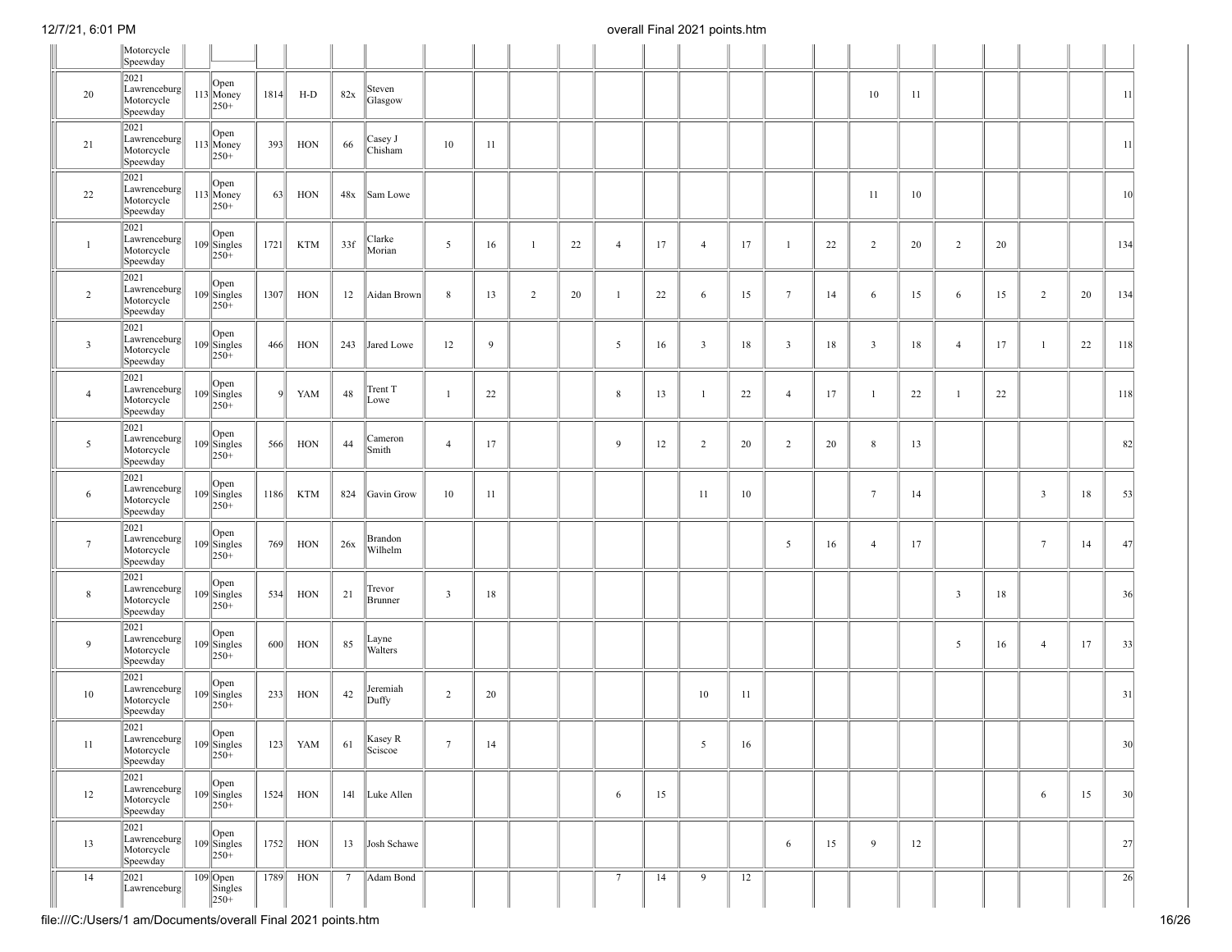|                 | Motorcycle<br>Speewday                            |                                                                        |              |            |        |                           |                         |    |              |    |                 |    |                |    |                 |    |                 |    |                         |    |                |    |                 |
|-----------------|---------------------------------------------------|------------------------------------------------------------------------|--------------|------------|--------|---------------------------|-------------------------|----|--------------|----|-----------------|----|----------------|----|-----------------|----|-----------------|----|-------------------------|----|----------------|----|-----------------|
| 20              | 2021<br>Lawrenceburg<br>Motorcycle<br>Speewday    | Open<br>$113$ Money<br>$ 250+$                                         | 1814         | H-D        | 82x    | Steven<br>Glasgow         |                         |    |              |    |                 |    |                |    |                 |    | 10              | 11 |                         |    |                |    | 11              |
| 21              | 2021<br>Lawrenceburg<br>Motorcycle<br>Speewday    | Open<br>$113$ Money<br>$250+$                                          | 393          | HON        | 66     | Casey J<br>Chisham        | 10                      | 11 |              |    |                 |    |                |    |                 |    |                 |    |                         |    |                |    | 11              |
| 22              | 2021<br>Lawrenceburg<br>Motorcycle<br>Speewday    | Open<br>$113$ Money<br>$\ _{250+}$                                     | 63           | HON        |        | 48x Sam Lowe              |                         |    |              |    |                 |    |                |    |                 |    | 11              | 10 |                         |    |                |    | 10 <sup>1</sup> |
| $\mathbf{1}$    | 2021<br>Lawrenceburg<br>Motorcycle<br>Speewday    | Open<br>$109$ Singles<br>$ 250+$                                       | 1721         | <b>KTM</b> | 33f    | Clarke<br>Morian          | 5                       | 16 | $\mathbf{1}$ | 22 | $\overline{4}$  | 17 | $\overline{4}$ | 17 | $\mathbf{1}$    | 22 | 2               | 20 | $\overline{c}$          | 20 |                |    | 134             |
| $\sqrt{2}$      | 2021<br>Lawrenceburg<br>Motorcycle<br>Speewday    | Open<br>$109$ Singles<br>$250+$                                        | 1307         | HON        | 12     | Aidan Brown               | 8                       | 13 | 2            | 20 | $\mathbf{1}$    | 22 | 6              | 15 | $7\phantom{.0}$ | 14 | 6               | 15 | 6                       | 15 | $\overline{2}$ | 20 | 134             |
| $\overline{3}$  | 2021<br>Lawrenceburg<br>Motorcycle<br>Speewday    | Open<br>$109$ Singles<br>$250+$                                        | 466          | HON        | 243    | Jared Lowe                | 12                      | 9  |              |    | 5               | 16 | $\overline{3}$ | 18 | $\overline{3}$  | 18 | 3               | 18 | $\overline{4}$          | 17 | $\mathbf{1}$   | 22 | 118             |
| $\overline{4}$  | 2021<br>Lawrenceburg<br>Motorcycle<br>Speewday    | $109$ Singles<br>$250+$                                                | $\mathbf{Q}$ | YAM        | 48     | Trent T<br>Lowe           | $\overline{1}$          | 22 |              |    | 8               | 13 | $\overline{1}$ | 22 | $\overline{4}$  | 17 | $\overline{1}$  | 22 | -1                      | 22 |                |    | 118             |
| $5\overline{ }$ | 2021<br>Lawrenceburg<br>Motorcycle<br>Speewday    | Open<br>$109$ Singles<br>$ 250+$                                       | 566          | HON        | 44     | Cameron<br>Smith          | $\overline{4}$          | 17 |              |    | 9               | 12 | $\overline{2}$ | 20 | $\overline{2}$  | 20 | 8               | 13 |                         |    |                |    | 82              |
| 6               | 2021<br>Lawrenceburg<br>Motorcycle<br>Speewday    | Open<br>$109$ Singles<br>$250+$                                        | 1186         | <b>KTM</b> | 824    | Gavin Grow                | 10                      | 11 |              |    |                 |    | 11             | 10 |                 |    | $7\phantom{.0}$ | 14 |                         |    | $\overline{3}$ | 18 | 53              |
| $\tau$          | 2021<br>Lawrenceburg<br>Motorcycle<br>Speewday    | Open<br>$109$ Singles<br>$ 250+$                                       | 769          | HON        | 26x    | <b>Brandon</b><br>Wilhelm |                         |    |              |    |                 |    |                |    | 5               | 16 | $\overline{4}$  | 17 |                         |    | $\tau$         | 14 | 47              |
| $\,$ 8 $\,$     | 2021<br>Lawrenceburg<br>Motorcycle<br>Speewday    | Open<br>$109$ Singles<br>$ 250+$                                       | 534          | HON        | 21     | Trevor<br><b>Brunner</b>  | $\overline{\mathbf{3}}$ | 18 |              |    |                 |    |                |    |                 |    |                 |    | $\overline{\mathbf{3}}$ | 18 |                |    | 36              |
| 9               | 2021<br>Lawrenceburg<br>Motorcycle<br>Speewday    | Open<br>$109$ Singles<br>$\sqrt{250+}$                                 | 600          | HON        | 85     | Layne<br>Walters          |                         |    |              |    |                 |    |                |    |                 |    |                 |    | 5                       | 16 | $\overline{4}$ | 17 | 33              |
| 10              | 2021<br>Lawrenceburg<br>Motorcycle<br>Speewday    | Open<br>$\begin{bmatrix} 109 \\ 250 + \end{bmatrix}$                   | 233          | HON        | 42     | Jeremiah<br>Duffy         | 2                       | 20 |              |    |                 |    | 10             | 11 |                 |    |                 |    |                         |    |                |    | 31              |
| 11              | 2021<br> Lawrenceburg  <br>Motorcycle<br>Speewday | Open<br>$\begin{array}{c}\n109 \\ \text{Singles} \\ 250+\n\end{array}$ | 123          | YAM        | 61     | Kasey R<br>Sciscoe        | $7\phantom{.0}$         | 14 |              |    |                 |    | 5              | 16 |                 |    |                 |    |                         |    |                |    | 30              |
| 12              | 2021<br>Lawrenceburg<br>Motorcycle<br>Speewday    | Open<br>$109$ Singles<br>$ 250+$                                       | 1524         | HON        |        | 141 Luke Allen            |                         |    |              |    | 6               | 15 |                |    |                 |    |                 |    |                         |    | 6              | 15 | 30              |
| 13              | 2021<br>Lawrenceburg<br>Motorcycle<br>Speewday    | $109$ Singles<br>$\vert 250+$                                          | 1752         | HON        | 13     | Josh Schawe               |                         |    |              |    |                 |    |                |    | 6               | 15 | 9               | 12 |                         |    |                |    | 27              |
| 14              | 2021<br>Lawrenceburg                              | $\begin{array}{c c}\n\hline\n109\nSingles\n\end{array}$                | 1789         | HON        | $\tau$ | Adam Bond                 |                         |    |              |    | $7\phantom{.0}$ | 14 | 9              | 12 |                 |    |                 |    |                         |    |                |    | $\overline{26}$ |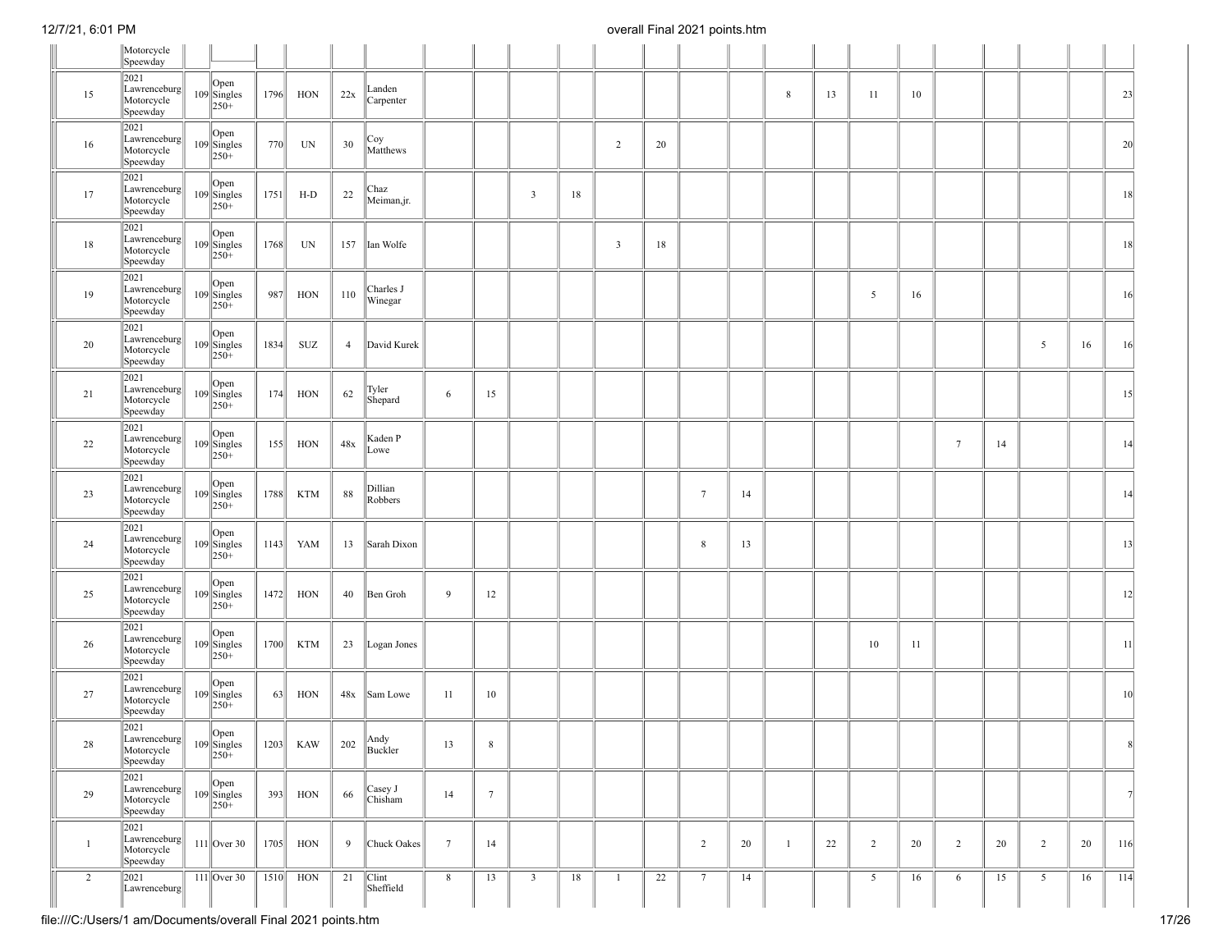|                | Motorcycle<br>Speewday                            |                                                                            |      |            |                |                        |                 |                 |                         |    |                         |    |                 |    |                |    |                 |    |                 |    |                |    |                 |
|----------------|---------------------------------------------------|----------------------------------------------------------------------------|------|------------|----------------|------------------------|-----------------|-----------------|-------------------------|----|-------------------------|----|-----------------|----|----------------|----|-----------------|----|-----------------|----|----------------|----|-----------------|
| 15             | 2021<br>Lawrenceburg<br>Motorcycle<br>Speewday    | $109$ Singles<br>$\ 250 +$                                                 | 1796 | HON        | 22x            | Landen<br>Carpenter    |                 |                 |                         |    |                         |    |                 |    | 8              | 13 | 11              | 10 |                 |    |                |    | 23              |
| 16             | 2021<br>Lawrenceburg<br>Motorcycle<br>Speewday    | $109$ Singles<br>$\sqrt{250+}$                                             | 770  | UN         | 30             | Coy<br>Matthews        |                 |                 |                         |    | $\overline{c}$          | 20 |                 |    |                |    |                 |    |                 |    |                |    | 20              |
| 17             | 2021<br>Lawrenceburg<br>Motorcycle<br>Speewday    | $109$ Singles<br>$ 250+$                                                   | 1751 | $H-D$      | 22             | Chaz<br>Meiman,jr.     |                 |                 | $\overline{\mathbf{3}}$ | 18 |                         |    |                 |    |                |    |                 |    |                 |    |                |    | 18              |
| 18             | 2021<br>Lawrenceburg<br>Motorcycle<br>Speewday    | Open<br>$109$ Singles<br>$\sqrt{250+}$                                     | 1768 | UN         | 157            | Ian Wolfe              |                 |                 |                         |    | $\overline{\mathbf{3}}$ | 18 |                 |    |                |    |                 |    |                 |    |                |    | 18              |
| 19             | 2021<br>Lawrenceburg<br>Motorcycle<br>Speewday    | $109$ Singles<br>$\sqrt{250+}$                                             | 987  | HON        | 110            | Charles J<br>Winegar   |                 |                 |                         |    |                         |    |                 |    |                |    | 5               | 16 |                 |    |                |    | 16              |
| 20             | 2021<br>Lawrenceburg<br>Motorcycle<br>Speewday    | Open<br>$109$ Singles<br>$250+$                                            | 1834 | SUZ        | $\overline{4}$ | David Kurek            |                 |                 |                         |    |                         |    |                 |    |                |    |                 |    |                 |    | 5              | 16 | 16              |
| 21             | 2021<br>Lawrenceburg<br>Motorcycle<br>Speewday    | $109$ Singles<br>$ 250+$                                                   | 174  | HON        | 62             | Tyler<br>Shepard       | 6               | 15              |                         |    |                         |    |                 |    |                |    |                 |    |                 |    |                |    | 15              |
| 22             | 2021<br>Lawrenceburg<br>Motorcycle<br>Speewday    | $\overline{O}$ pen<br>$109$ Singles<br>$\sqrt{250+}$                       | 155  | HON        | 48x            | Kaden P<br>Lowe        |                 |                 |                         |    |                         |    |                 |    |                |    |                 |    | $7\phantom{.0}$ | 14 |                |    | 14              |
| 23             | 2021<br>Lawrenceburg<br>Motorcycle<br>Speewday    | Open<br>$109$ Singles<br>$ 250+$                                           | 1788 | <b>KTM</b> | 88             | Dillian<br>Robbers     |                 |                 |                         |    |                         |    | $7\phantom{.0}$ | 14 |                |    |                 |    |                 |    |                |    | 14              |
| 24             | 2021<br>Lawrenceburg<br>Motorcycle<br>Speewday    | $109 \begin{array}{l}\n\text{Open} \\ \text{Singles} \\ 250+\n\end{array}$ | 1143 | YAM        | 13             | Sarah Dixon            |                 |                 |                         |    |                         |    | 8               | 13 |                |    |                 |    |                 |    |                |    | 13              |
| 25             | 2021<br>Lawrenceburg<br>Motorcycle<br>Speewday    | Open<br>$109$ Singles<br>$ 250+$                                           | 1472 | HON        | 40             | Ben Groh               | 9               | 12              |                         |    |                         |    |                 |    |                |    |                 |    |                 |    |                |    | 12              |
| 26             | 2021<br>Lawrenceburg<br>Motorcycle<br>Speewday    | Open<br>$109$ Singles<br>$\sqrt{250+}$                                     | 1700 | <b>KTM</b> | 23             | Logan Jones            |                 |                 |                         |    |                         |    |                 |    |                |    | 10              | 11 |                 |    |                |    | 11              |
| 27             | 2021<br>Lawrenceburg<br>Motorcycle<br>Speewday    | $109 \begin{array}{l} \text{Open} \\ \text{Singles} \\ 250 + \end{array}$  | 63   | HON        | 48x            | Sam Lowe               | 11              | 10              |                         |    |                         |    |                 |    |                |    |                 |    |                 |    |                |    | 10 <sup>°</sup> |
| 28             | 2021<br> Lawrenceburg  <br>Motorcycle<br>Speewday | Open<br>$\begin{bmatrix} 109 \\ 250 + \end{bmatrix}$                       | 1203 | KAW        | 202            | Andy<br>Buckler        | 13              | $8\,$           |                         |    |                         |    |                 |    |                |    |                 |    |                 |    |                |    | 8               |
| 29             | 2021<br>Lawrenceburg<br>Motorcycle<br>Speewday    | Open<br>$109$ Singles<br>$\sqrt{250+}$                                     | 393  | HON        | 66             | Casey J<br>Chisham     | 14              | $7\phantom{.0}$ |                         |    |                         |    |                 |    |                |    |                 |    |                 |    |                |    | 7               |
| $\mathbf{1}$   | 2021<br>Lawrenceburg<br>Motorcycle<br>Speewday    | $111$ Over 30                                                              | 1705 | HON        | 9              | Chuck Oakes            | $7\phantom{.0}$ | 14              |                         |    |                         |    | $\overline{2}$  | 20 | $\overline{1}$ | 22 | $\overline{2}$  | 20 | 2               | 20 | $\overline{2}$ | 20 | 116             |
| $\overline{2}$ | 2021<br>Lawrenceburg                              | $111$ Over 30                                                              | 1510 | HON        | 21             | $ $ Clint<br>Sheffield | 8               | 13              | $\overline{\mathbf{3}}$ | 18 | $\mathbf{1}$            | 22 | $\tau$          | 14 |                |    | $5\overline{)}$ | 16 | 6               | 15 | 5              | 16 | 114             |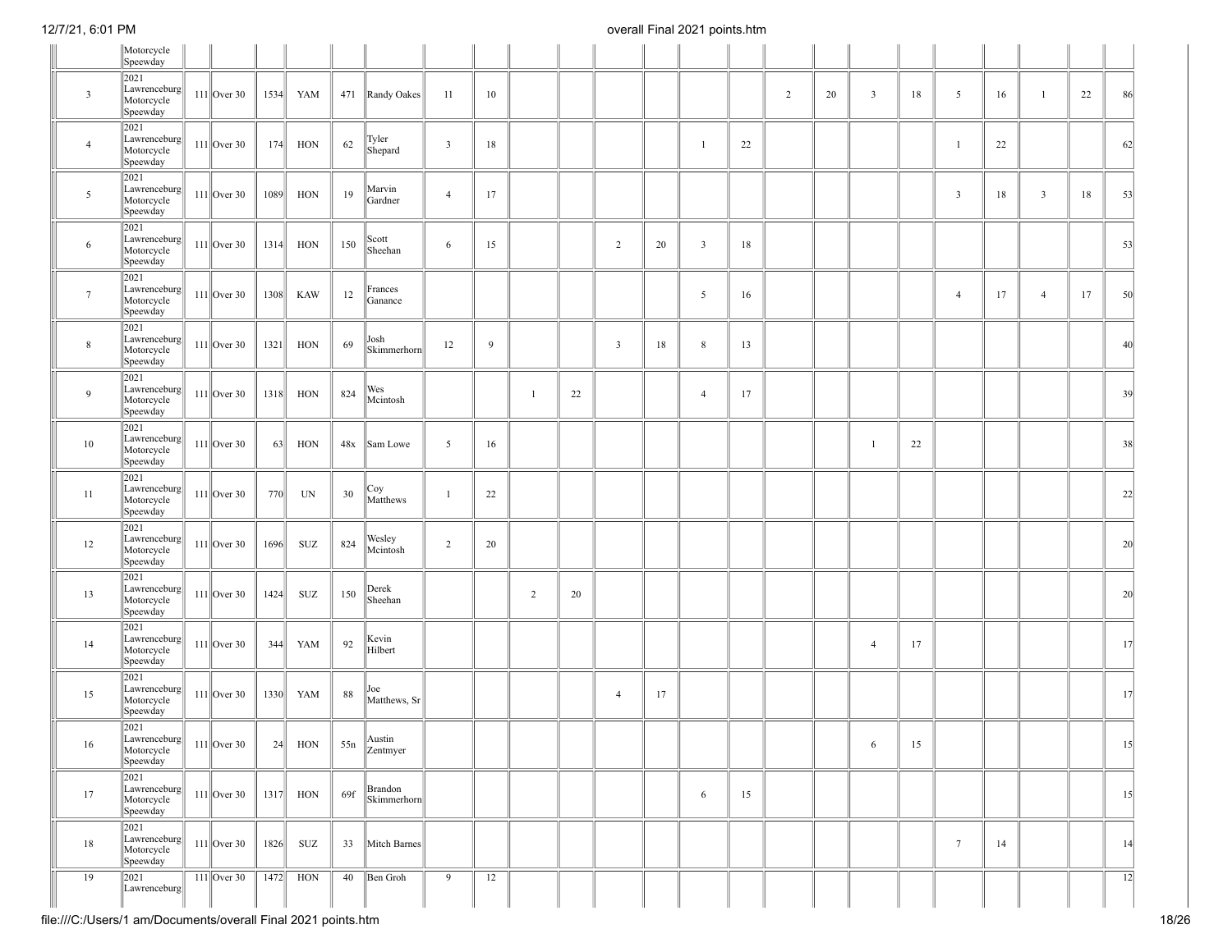|                         | Motorcycle<br>Speewday                         |               |      |            |     |                        |                         |    |                |    |                |        |                         |    |   |    |                |    |                |        |                         |    |                 |
|-------------------------|------------------------------------------------|---------------|------|------------|-----|------------------------|-------------------------|----|----------------|----|----------------|--------|-------------------------|----|---|----|----------------|----|----------------|--------|-------------------------|----|-----------------|
| $\overline{\mathbf{3}}$ | 2021<br>Lawrenceburg<br>Motorcycle<br>Speewday | $111$ Over 30 | 1534 | YAM        | 471 | Randy Oakes            | 11                      | 10 |                |    |                |        |                         |    | 2 | 20 | $\overline{3}$ | 18 | 5              | 16     | $\mathbf{1}$            | 22 | 86              |
| $\overline{4}$          | 2021<br>Lawrenceburg<br>Motorcycle<br>Speewday | $111$ Over 30 | 174  | HON        | 62  | Tyler<br>Shepard       | $\overline{\mathbf{3}}$ | 18 |                |    |                |        | $\overline{1}$          | 22 |   |    |                |    | $\mathbf{1}$   | 22     |                         |    | 62              |
| 5                       | 2021<br>Lawrenceburg<br>Motorcycle<br>Speewday | $111$ Over 30 | 1089 | HON        | 19  | Marvin<br>Gardner      | $\overline{4}$          | 17 |                |    |                |        |                         |    |   |    |                |    | $\mathfrak{Z}$ | $18\,$ | $\overline{\mathbf{3}}$ | 18 | 53              |
| 6                       | 2021<br>Lawrenceburg<br>Motorcycle<br>Speewday | $111$ Over 30 | 1314 | HON        | 150 | Scott<br>Sheehan       | 6                       | 15 |                |    | $\overline{c}$ | 20     | $\overline{\mathbf{3}}$ | 18 |   |    |                |    |                |        |                         |    | 53              |
| $7\phantom{.0}$         | 2021<br>Lawrenceburg<br>Motorcycle<br>Speewday | $111$ Over 30 | 1308 | KAW        | 12  | Frances<br>Ganance     |                         |    |                |    |                |        | 5                       | 16 |   |    |                |    | $\overline{4}$ | 17     | $\overline{4}$          | 17 | 50              |
| $\,$ 8 $\,$             | 2021<br>Lawrenceburg<br>Motorcycle<br>Speewday | $111$ Over 30 | 1321 | HON        | 69  | Josh<br>Skimmerhorn    | 12                      | 9  |                |    | $\overline{3}$ | $18\,$ | 8                       | 13 |   |    |                |    |                |        |                         |    | 40              |
| $\overline{9}$          | 2021<br>Lawrenceburg<br>Motorcycle<br>Speewday | $111$ Over 30 | 1318 | HON        | 824 | Wes<br>Mcintosh        |                         |    | 1              | 22 |                |        | $\overline{4}$          | 17 |   |    |                |    |                |        |                         |    | 39              |
| 10                      | 2021<br>Lawrenceburg<br>Motorcycle<br>Speewday | $111$ Over 30 | 63   | HON        | 48x | Sam Lowe               | 5                       | 16 |                |    |                |        |                         |    |   |    | 1              | 22 |                |        |                         |    | 38              |
| 11                      | 2021<br>Lawrenceburg<br>Motorcycle<br>Speewday | $111$ Over 30 | 770  | UN         | 30  | Coy<br>Matthews        | $\mathbf{1}$            | 22 |                |    |                |        |                         |    |   |    |                |    |                |        |                         |    | 22              |
| 12                      | 2021<br>Lawrenceburg<br>Motorcycle<br>Speewday | $111$ Over 30 | 1696 | SUZ        | 824 | Wesley<br>Mcintosh     | 2                       | 20 |                |    |                |        |                         |    |   |    |                |    |                |        |                         |    | 20              |
| 13                      | 2021<br>Lawrenceburg<br>Motorcycle<br>Speewday | $111$ Over 30 | 1424 | SUZ        | 150 | Derek<br>Sheehan       |                         |    | $\overline{2}$ | 20 |                |        |                         |    |   |    |                |    |                |        |                         |    | 20              |
| 14                      | 2021<br>Lawrenceburg<br>Motorcycle<br>Speewday | $111$ Over 30 | 344  | YAM        | 92  | Kevin<br>Hilbert       |                         |    |                |    |                |        |                         |    |   |    | $\overline{4}$ | 17 |                |        |                         |    | 17              |
| 15                      | 2021<br>Lawrenceburg<br>Motorcycle<br>Speewday | $111$ Over 30 | 1330 | YAM        | 88  | Joe<br>Matthews, Sr    |                         |    |                |    | $\overline{4}$ | 17     |                         |    |   |    |                |    |                |        |                         |    | 17              |
| 16                      | 2021<br>Lawrenceburg<br>Motorcycle<br>Speewday | $111$ Over 30 | 24   | <b>HON</b> | 55n | Austin<br>Zentmyer     |                         |    |                |    |                |        |                         |    |   |    | 6              | 15 |                |        |                         |    | 5               |
| 17                      | 2021<br>Lawrenceburg<br>Motorcycle<br>Speewday | $111$ Over 30 | 1317 | HON        | 69f | Brandon<br>Skimmerhorn |                         |    |                |    |                |        | 6                       | 15 |   |    |                |    |                |        |                         |    | 15              |
| 18                      | 2021<br>Lawrenceburg<br>Motorcycle<br>Speewday | $111$ Over 30 | 1826 | SUZ        | 33  | Mitch Barnes           |                         |    |                |    |                |        |                         |    |   |    |                |    | $\tau$         | 14     |                         |    | 14              |
| 19                      | 2021<br>Lawrenceburg                           | $111$ Over 30 | 1472 | HON        | 40  | Ben Groh               | 9                       | 12 |                |    |                |        |                         |    |   |    |                |    |                |        |                         |    | $\overline{12}$ |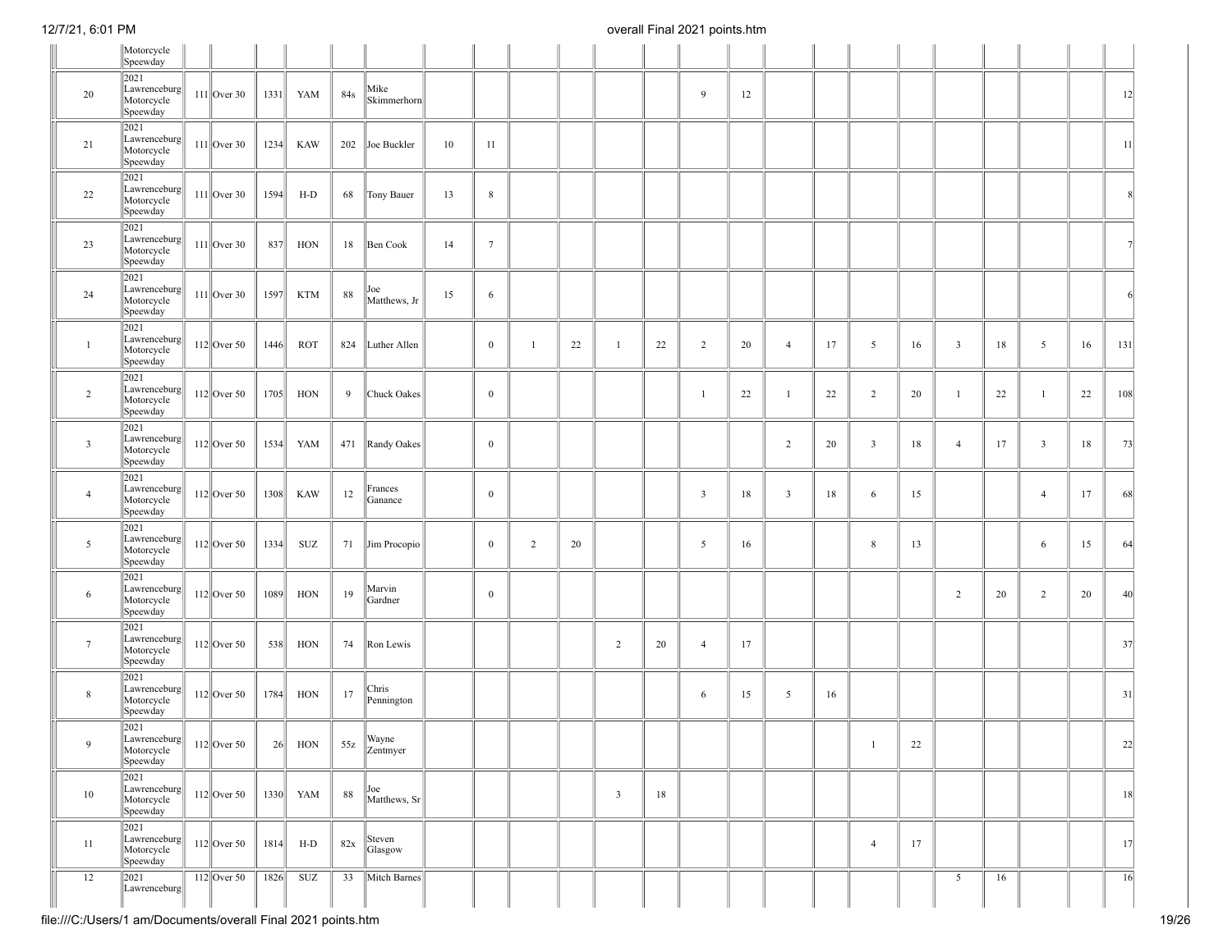|                         | Motorcycle<br>Speewday                                                                                     |               |      |            |     |                                                                                      |    |                  |                |    |                |    |                |    |                         |    |                |        |                         |    |                |    |                 |
|-------------------------|------------------------------------------------------------------------------------------------------------|---------------|------|------------|-----|--------------------------------------------------------------------------------------|----|------------------|----------------|----|----------------|----|----------------|----|-------------------------|----|----------------|--------|-------------------------|----|----------------|----|-----------------|
| 20                      | 2021<br>Lawrenceburg<br>Motorcycle<br>Speewday                                                             | $111$ Over 30 | 1331 | YAM        | 84s | Mike<br>Skimmerhorn                                                                  |    |                  |                |    |                |    | 9              | 12 |                         |    |                |        |                         |    |                |    | 12              |
| 21                      | 2021<br>Lawrenceburg<br>Motorcycle<br>Speewday                                                             | $111$ Over 30 | 1234 | <b>KAW</b> | 202 | Joe Buckler                                                                          | 10 | 11               |                |    |                |    |                |    |                         |    |                |        |                         |    |                |    | 11              |
| 22                      | 2021<br>Lawrenceburg<br>Motorcycle<br>Speewday                                                             | $111$ Over 30 | 1594 | $H-D$      | 68  | Tony Bauer                                                                           | 13 | $\,$ 8 $\,$      |                |    |                |    |                |    |                         |    |                |        |                         |    |                |    | 8               |
| 23                      | 2021<br>Lawrenceburg<br>Motorcycle<br>Speewday                                                             | $111$ Over 30 | 837  | HON        | 18  | Ben Cook                                                                             | 14 | $7\phantom{.0}$  |                |    |                |    |                |    |                         |    |                |        |                         |    |                |    |                 |
| 24                      | 2021<br>Lawrenceburg<br>Motorcycle<br>Speewday                                                             | $111$ Over 30 | 1597 | <b>KTM</b> | 88  | Joe<br>Matthews, Jr                                                                  | 15 | 6                |                |    |                |    |                |    |                         |    |                |        |                         |    |                |    | 6               |
| $\mathbf{1}$            | 2021<br>Lawrenceburg<br>Motorcycle<br>Speewday                                                             | $112$ Over 50 | 1446 | <b>ROT</b> | 824 | Luther Allen                                                                         |    | $\mathbf{0}$     | $\mathbf{1}$   | 22 | $\mathbf{1}$   | 22 | $\overline{2}$ | 20 | $\overline{4}$          | 17 | 5              | 16     | $\overline{\mathbf{3}}$ | 18 | 5              | 16 | 131             |
| $\overline{2}$          | 2021<br>Lawrenceburg<br>Motorcycle<br>Speewday                                                             | $112$ Over 50 | 1705 | HON        | 9   | Chuck Oakes                                                                          |    | $\mathbf{0}$     |                |    |                |    | $\mathbf{1}$   | 22 | $\overline{1}$          | 22 | 2              | 20     | $\mathbf{1}$            | 22 | 1              | 22 | 108             |
| $\overline{\mathbf{3}}$ | 2021<br>Lawrenceburg<br>Motorcycle<br>Speewday                                                             | $112$ Over 50 | 1534 | YAM        |     | 471 Randy Oakes                                                                      |    | $\boldsymbol{0}$ |                |    |                |    |                |    | 2                       | 20 | $\overline{3}$ | 18     | $\overline{4}$          | 17 | $\overline{3}$ | 18 | 73              |
| $\overline{4}$          | 2021<br>Lawrenceburg<br>Motorcycle<br>Speewday                                                             | $112$ Over 50 | 1308 | <b>KAW</b> | 12  | Frances<br>Ganance                                                                   |    | $\mathbf{0}$     |                |    |                |    | $\overline{3}$ | 18 | $\overline{\mathbf{3}}$ | 18 | 6              | 15     |                         |    | $\overline{4}$ | 17 | 68              |
| 5                       | 2021<br>Lawrenceburg<br>Motorcycle<br>Speewday                                                             | $112$ Over 50 | 1334 | SUZ        | 71  | Jim Procopio                                                                         |    | $\boldsymbol{0}$ | $\overline{2}$ | 20 |                |    | 5              | 16 |                         |    | $\,$ 8 $\,$    | 13     |                         |    | 6              | 15 | 64              |
| 6                       | 2021<br>Lawrenceburg<br>Motorcycle<br>Speewday                                                             | $112$ Over 50 | 1089 | HON        | 19  | Marvin<br>Gardner                                                                    |    | $\mathbf{0}$     |                |    |                |    |                |    |                         |    |                |        | $\overline{2}$          | 20 | $\overline{2}$ | 20 | 40              |
| $7\overline{ }$         | 2021<br>Lawrenceburg<br>Motorcycle<br>Speewday                                                             | $112$ Over 50 | 538  | HON        | 74  | Ron Lewis                                                                            |    |                  |                |    | $\overline{2}$ | 20 | $\overline{4}$ | 17 |                         |    |                |        |                         |    |                |    | 37              |
| 8                       | 2021<br>Lawrenceburg<br>Motorcycle<br>Speewday                                                             | $112$ Over 50 | 1784 | HON        | 17  | Chris<br>Pennington                                                                  |    |                  |                |    |                |    | 6              | 15 | 5                       | 16 |                |        |                         |    |                |    | 31              |
| 9                       | 2021<br>$\ $ Lawrenceburg $\ $<br>Motorcycle<br>Speewday                                                   |               |      |            |     | 112 Over 50 $\parallel$ 26 HON $\parallel$ 55z $\parallel$ <sup>Wayne</sup> Zentmyer |    |                  |                |    |                |    |                |    |                         |    | $\,$ 1 $\,$    | $22\,$ |                         |    |                |    | 22              |
| 10                      | 2021<br>$\begin{bmatrix} \text{Low} \\ \text{Lawrenceburg} \\ \text{Motorcycle} \end{bmatrix}$<br>Speewday | $112$ Over 50 |      | 1330 YAM   | 88  | Joe<br>Matthews, Sr                                                                  |    |                  |                |    | $\overline{3}$ | 18 |                |    |                         |    |                |        |                         |    |                |    | 18              |
| 11                      | 2021<br>$\begin{array}{c} \text{Lawrenceburg} \\ \text{Motorcycle} \end{array}$<br>Speewday                | $112$ Over 50 | 1814 | $H-D$      | 82x | Steven<br>Glasgow                                                                    |    |                  |                |    |                |    |                |    |                         |    | $\overline{4}$ | 17     |                         |    |                |    | 17              |
| 12                      | 2021<br>Lawrenceburg                                                                                       | $112$ Over 50 | 1826 | <b>SUZ</b> | 33  | Mitch Barnes                                                                         |    |                  |                |    |                |    |                |    |                         |    |                |        | $5\overline{5}$         | 16 |                |    | $\overline{16}$ |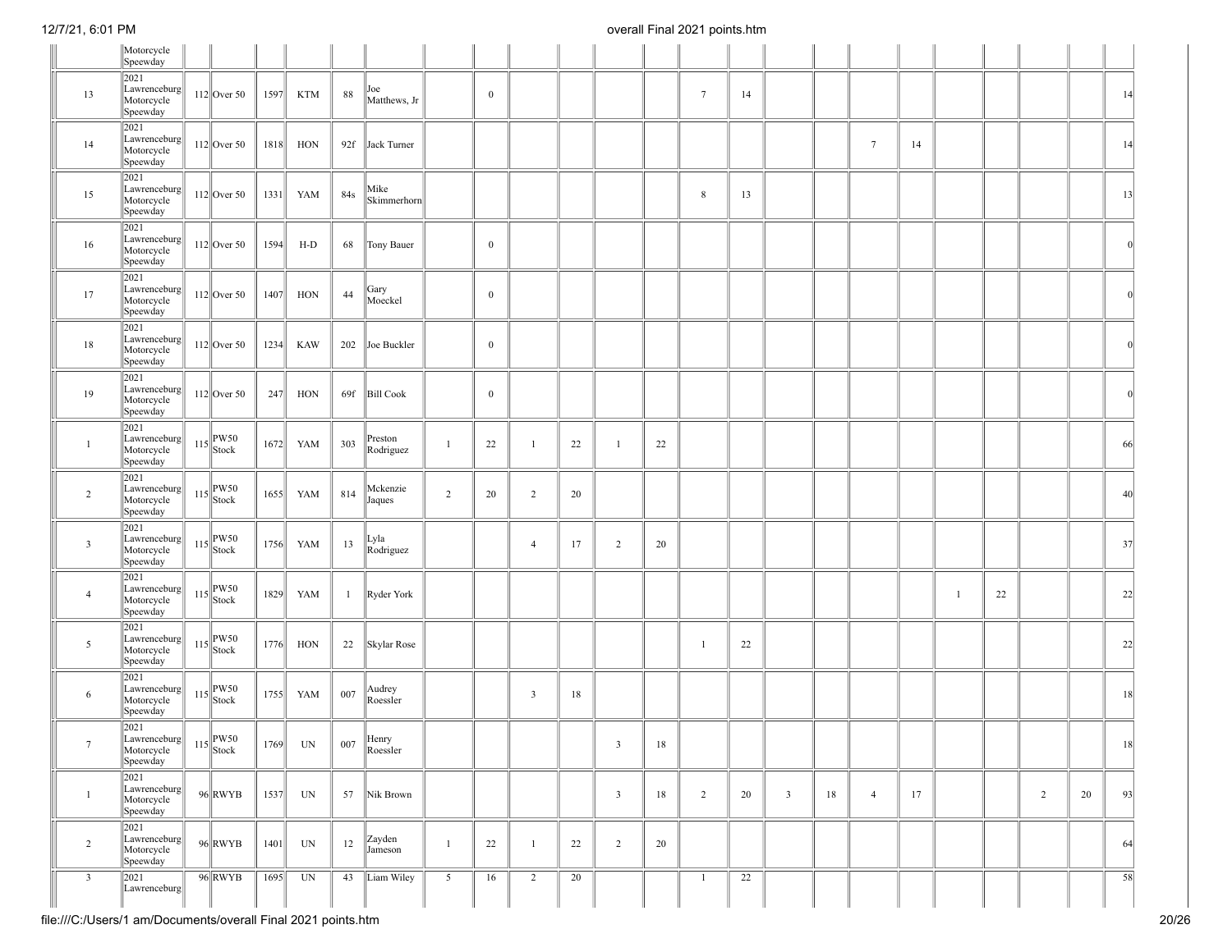|                         | Motorcycle<br>Speewday                                   |                      |      |            |              |                      |                |                  |                         |    |                |    |                 |    |            |    |                 |    |              |    |                |    |          |
|-------------------------|----------------------------------------------------------|----------------------|------|------------|--------------|----------------------|----------------|------------------|-------------------------|----|----------------|----|-----------------|----|------------|----|-----------------|----|--------------|----|----------------|----|----------|
| 13                      | 2021<br>Lawrenceburg<br>Motorcycle<br>Speewday           | $112$ Over 50        | 1597 | <b>KTM</b> | 88           | Joe<br>Matthews, Jr  |                | $\mathbf{0}$     |                         |    |                |    | $7\overline{ }$ | 14 |            |    |                 |    |              |    |                |    | 14       |
| 14                      | 2021<br>Lawrenceburg<br>Motorcycle<br>Speewday           | $112$ Over 50        | 1818 | HON        | 92f          | Jack Turner          |                |                  |                         |    |                |    |                 |    |            |    | $7\phantom{.0}$ | 14 |              |    |                |    | 14       |
| 15                      | 2021<br>Lawrenceburg<br>Motorcycle<br>Speewday           | $112$ Over 50        | 1331 | YAM        | 84s          | Mike<br>Skimmerhorn  |                |                  |                         |    |                |    | 8               | 13 |            |    |                 |    |              |    |                |    | 13       |
| 16                      | 2021<br>Lawrenceburg<br>Motorcycle<br>Speewday           | $112$ Over 50        | 1594 | $H-D$      | 68           | Tony Bauer           |                | $\boldsymbol{0}$ |                         |    |                |    |                 |    |            |    |                 |    |              |    |                |    |          |
| 17                      | 2021<br>$\ $ Lawrenceburg $\ $<br>Motorcycle<br>Speewday | $112$ Over 50        | 1407 | HON        | 44           | Gary<br>Moeckel      |                | $\boldsymbol{0}$ |                         |    |                |    |                 |    |            |    |                 |    |              |    |                |    | $\Omega$ |
| 18                      | 2021<br>Lawrenceburg<br>Motorcycle<br>Speewday           | $112$ Over 50        | 1234 | <b>KAW</b> | 202          | Joe Buckler          |                | $\boldsymbol{0}$ |                         |    |                |    |                 |    |            |    |                 |    |              |    |                |    | $\Omega$ |
| 19                      | 2021<br>Lawrenceburg<br>Motorcycle<br>Speewday           | $112$ Over 50        | 247  | HON        | 69f          | <b>Bill Cook</b>     |                | $\mathbf{0}$     |                         |    |                |    |                 |    |            |    |                 |    |              |    |                |    |          |
| $\mathbf{1}$            | 2021<br>Lawrenceburg<br>Motorcycle<br>Speewday           | $115$ PW50<br>Stock  | 1672 | YAM        | 303          | Preston<br>Rodriguez | $\mathbf{1}$   | 22               | $\mathbf{1}$            | 22 | 1              | 22 |                 |    |            |    |                 |    |              |    |                |    | 66       |
| $\overline{c}$          | 2021<br>Lawrenceburg<br>Motorcycle<br>Speewday           | $115$ PW50<br>Stock  | 1655 | YAM        | 814          | Mckenzie<br>Jaques   | $\overline{2}$ | 20               | $\overline{2}$          | 20 |                |    |                 |    |            |    |                 |    |              |    |                |    | 40       |
| $\overline{3}$          | 2021<br>Lawrenceburg<br>Motorcycle<br>Speewday           | $115$ PW50<br>Stock  | 1756 | YAM        | 13           | Lyla<br>Rodriguez    |                |                  | $\overline{4}$          | 17 | $\overline{2}$ | 20 |                 |    |            |    |                 |    |              |    |                |    | 37       |
| $\overline{4}$          | 2021<br>Lawrenceburg<br>Motorcycle<br>Speewday           | $115$ PW50<br>Stock  | 1829 | YAM        | $\mathbf{1}$ | Ryder York           |                |                  |                         |    |                |    |                 |    |            |    |                 |    | $\mathbf{1}$ | 22 |                |    | 22       |
| 5                       | 2021<br>Lawrenceburg<br>Motorcycle<br>Speewday           | $115$ PW50<br>Stock  | 1776 | HON        | 22           | Skylar Rose          |                |                  |                         |    |                |    | $\overline{1}$  | 22 |            |    |                 |    |              |    |                |    | 22       |
| 6                       | 2021<br>Lawrenceburg<br>Motorcycle<br>Speewday           | $115$ PW50<br>Stock  | 1755 | YAM        | 007          | Audrey<br>Roessler   |                |                  | $\overline{\mathbf{3}}$ | 18 |                |    |                 |    |            |    |                 |    |              |    |                |    | 18       |
|                         | 2021<br>Lawrenceburg 115 PW50<br>Motorcycle<br>Speewday  |                      |      | $1769$ UN  | 007          | Henry<br>Roessler    |                |                  |                         |    | $\mathbf{3}$   | 18 |                 |    |            |    |                 |    |              |    |                |    | 8        |
| $\mathbf{1}$            | 2021<br>Lawrenceburg<br>Motorcycle<br>Speewday           | $96$ <sup>RWYB</sup> | 1537 | UN         | 57           | Nik Brown            |                |                  |                         |    | $\mathfrak{Z}$ | 18 | $\overline{2}$  | 20 | $\sqrt{3}$ | 18 | $\overline{4}$  | 17 |              |    | $\overline{2}$ | 20 | 93       |
| 2                       | 2021<br>$\ $ Lawrenceburg $\ $<br>Motorcycle<br>Speewday | $96$ <sup>RWYB</sup> | 1401 | UN         | 12           | Zayden<br>Jameson    | $\mathbf{1}$   | 22               | $\mathbf{1}$            | 22 | $\overline{2}$ | 20 |                 |    |            |    |                 |    |              |    |                |    | 64       |
| $\overline{\mathbf{3}}$ | 2021<br>Lawrenceburg                                     | 96 RWYB              | 1695 | UN         | 43           | Liam Wiley           | $\overline{5}$ | 16               | $\overline{2}$          | 20 |                |    | $\mathbf{1}$    | 22 |            |    |                 |    |              |    |                |    | 58       |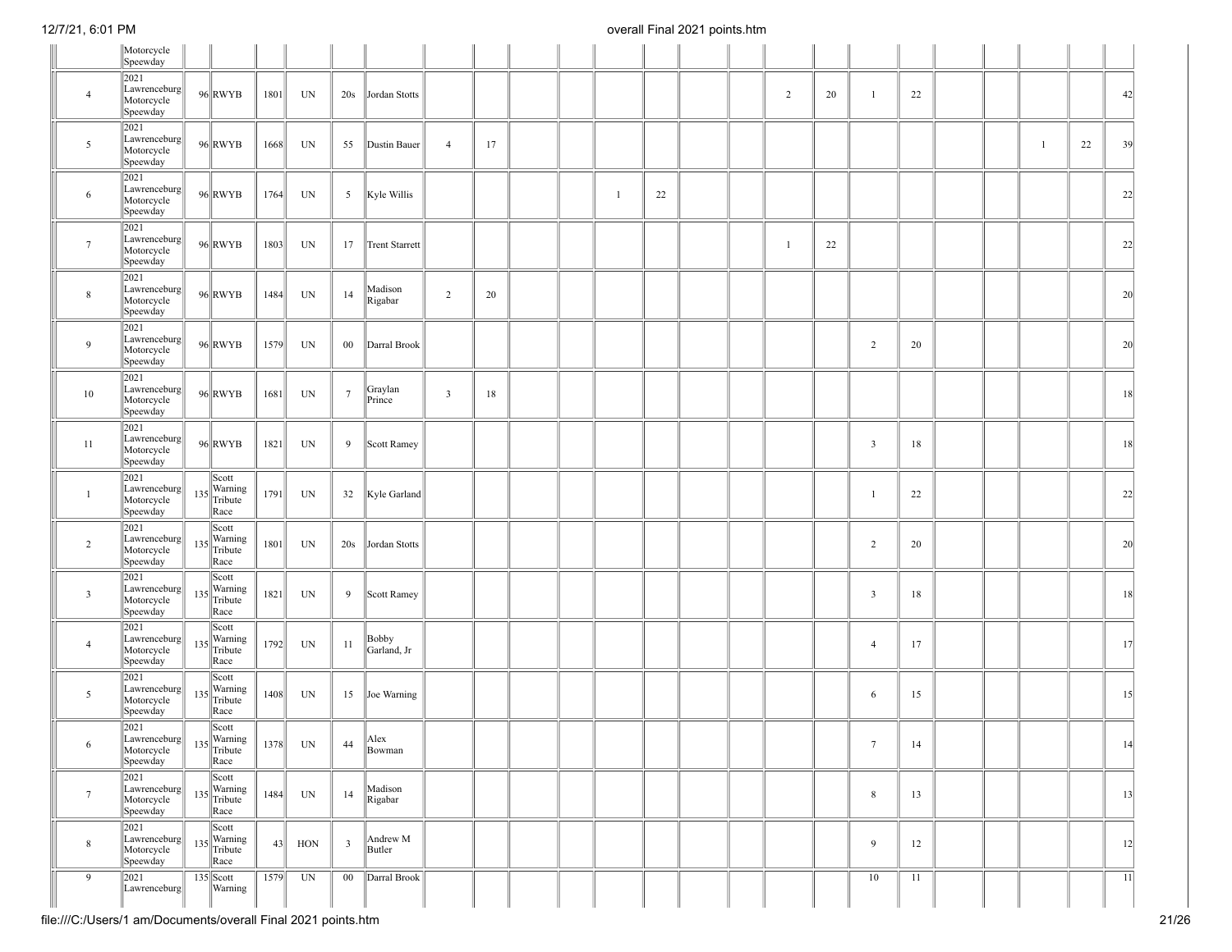|                 | Motorcycle<br>Speewday                         |     |                                                      |      |                          |                         |                      |                         |    |  |              |    |  |                |    |                         |    |  |   |    |                 |
|-----------------|------------------------------------------------|-----|------------------------------------------------------|------|--------------------------|-------------------------|----------------------|-------------------------|----|--|--------------|----|--|----------------|----|-------------------------|----|--|---|----|-----------------|
| $\overline{4}$  | 2021<br>Lawrenceburg<br>Motorcycle<br>Speewday |     | $96$ RWYB                                            | 1801 | UN                       | 20s                     | Jordan Stotts        |                         |    |  |              |    |  | $\overline{2}$ | 20 | $\mathbf{1}$            | 22 |  |   |    | 42              |
| 5               | 2021<br>Lawrenceburg<br>Motorcycle<br>Speewday |     | $96$ <sub>RWYB</sub>                                 | 1668 | UN                       | 55                      | Dustin Bauer         | $\overline{4}$          | 17 |  |              |    |  |                |    |                         |    |  | 1 | 22 | 39              |
| 6               | 2021<br>Lawrenceburg<br>Motorcycle<br>Speewday |     | $96$ RWYB                                            | 1764 | UN                       | 5 <sup>5</sup>          | Kyle Willis          |                         |    |  | $\mathbf{1}$ | 22 |  |                |    |                         |    |  |   |    | 22              |
| $7\phantom{.0}$ | 2021<br>Lawrenceburg<br>Motorcycle<br>Speewday |     | $96$ RWYB                                            | 1803 | UN                       | 17                      | Trent Starrett       |                         |    |  |              |    |  | $\overline{1}$ | 22 |                         |    |  |   |    | 22              |
| 8               | 2021<br>Lawrenceburg<br>Motorcycle<br>Speewday |     | $96$ RWYB                                            | 1484 | $\ensuremath{\text{UN}}$ | 14                      | Madison<br>Rigabar   | $\overline{2}$          | 20 |  |              |    |  |                |    |                         |    |  |   |    | 20              |
| 9               | 2021<br>Lawrenceburg<br>Motorcycle<br>Speewday |     | $96$ RWYB                                            | 1579 | UN                       | $00\,$                  | Darral Brook         |                         |    |  |              |    |  |                |    | $\overline{2}$          | 20 |  |   |    | 20              |
| 10              | 2021<br>Lawrenceburg<br>Motorcycle<br>Speewday |     | $96$ RWYB                                            | 1681 | UN                       | $\boldsymbol{7}$        | Graylan<br>Prince    | $\overline{\mathbf{3}}$ | 18 |  |              |    |  |                |    |                         |    |  |   |    | 18              |
| 11              | 2021<br>Lawrenceburg<br>Motorcycle<br>Speewday |     | $96$ RWYB                                            | 1821 | UN                       | 9                       | Scott Ramey          |                         |    |  |              |    |  |                |    | $\overline{\mathbf{3}}$ | 18 |  |   |    | 18              |
| $\overline{1}$  | 2021<br>Lawrenceburg<br>Motorcycle<br>Speewday |     | Scott<br>$135$<br>Tribute<br>Race                    | 1791 | UN                       | 32                      | Kyle Garland         |                         |    |  |              |    |  |                |    | $\overline{1}$          | 22 |  |   |    | 22              |
| $\overline{2}$  | 2021<br>Lawrenceburg<br>Motorcycle<br>Speewday | 135 | Scott<br>Warning<br>Tribute<br>Race                  | 1801 | UN                       | 20s                     | Jordan Stotts        |                         |    |  |              |    |  |                |    | $\overline{2}$          | 20 |  |   |    | 20              |
| $\mathbf{3}$    | 2021<br>Lawrenceburg<br>Motorcycle<br>Speewday |     | Scott<br>$135$<br>Tribute<br>Race                    | 1821 | UN                       | 9                       | Scott Ramey          |                         |    |  |              |    |  |                |    | $\overline{\mathbf{3}}$ | 18 |  |   |    | 18              |
| $\overline{4}$  | 2021<br>Lawrenceburg<br>Motorcycle<br>Speewday |     | Scott<br>$135$<br>Tribute<br>Race                    | 1792 | $\ensuremath{\text{UN}}$ | 11                      | Bobby<br>Garland, Jr |                         |    |  |              |    |  |                |    | $\overline{4}$          | 17 |  |   |    | 17              |
| 5               | 2021<br>Lawrenceburg<br>Motorcycle<br>Speewday | 135 | Scott<br>Warning<br>Tribute<br>Race                  | 1408 | UN                       | 15                      | Joe Warning          |                         |    |  |              |    |  |                |    | 6                       | 15 |  |   |    | 15              |
| $\sigma$        | 2021<br>Lawrenceburg<br>Motorcycle<br>Speewday |     | Scott<br>$135$ <sup>Warning</sup><br>Tribute<br>Race |      | $1378$ UN                | 44                      | Alex<br>Bowman       |                         |    |  |              |    |  |                |    | $\tau$                  | 14 |  |   |    | 4               |
| $7\phantom{.0}$ | 2021<br>Lawrenceburg<br>Motorcycle<br>Speewday | 135 | Scott<br>Warning<br>Tribute<br>Race                  | 1484 | UN                       | 14                      | Madison<br>Rigabar   |                         |    |  |              |    |  |                |    | $\,$ 8 $\,$             | 13 |  |   |    | 13              |
| 8               | 2021<br>Lawrenceburg<br>Motorcycle<br>Speewday | 135 | Scott<br>Warning<br>Tribute<br>Race                  | 43   | HON                      | $\overline{\mathbf{3}}$ | Andrew M<br>Butler   |                         |    |  |              |    |  |                |    | 9                       | 12 |  |   |    | 12              |
| 9               | 2021<br>Lawrenceburg                           |     | $135$ Scott<br>Warning                               | 1579 | UN                       | 00                      | Darral Brook         |                         |    |  |              |    |  |                |    | 10                      | 11 |  |   |    | $\overline{11}$ |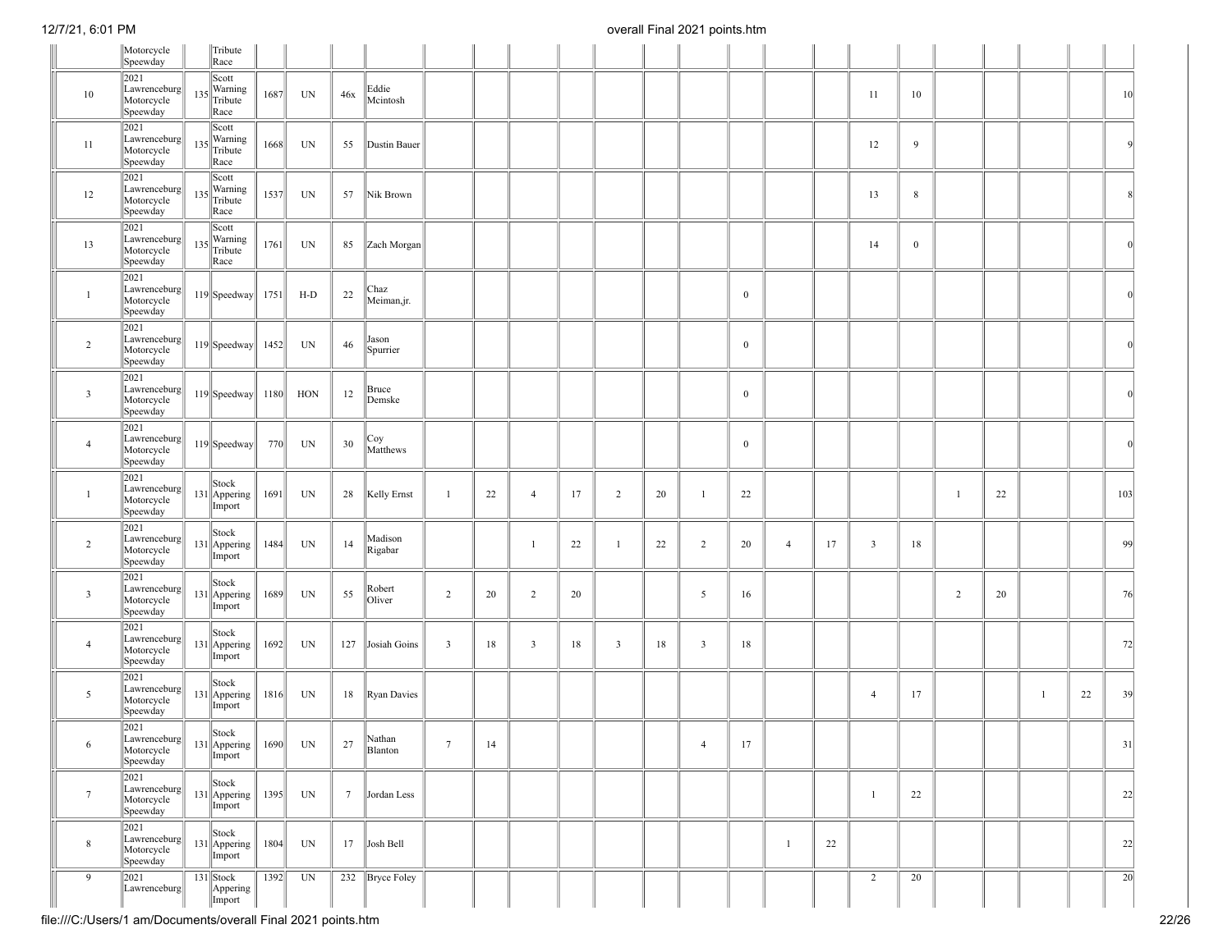|                 | Motorcycle<br>Speewday                            |     | Tribute<br>Race                                    |      |       |                 |                    |                         |    |                         |    |                |    |                |              |                |    |                         |              |                |    |   |    |                 |
|-----------------|---------------------------------------------------|-----|----------------------------------------------------|------|-------|-----------------|--------------------|-------------------------|----|-------------------------|----|----------------|----|----------------|--------------|----------------|----|-------------------------|--------------|----------------|----|---|----|-----------------|
| 10              | 2021<br>Lawrenceburg<br>Motorcycle<br>Speewday    |     | Scott<br>$135$ Warning<br>Tribute<br>Race          | 1687 | UN    | 46x             | Eddie<br>Mcintosh  |                         |    |                         |    |                |    |                |              |                |    | 11                      | 10           |                |    |   |    | 10 <sup>°</sup> |
| 11              | 2021<br>Lawrenceburg<br>Motorcycle<br>Speewday    | 135 | Scott<br>Warning<br>Tribute<br>Race                | 1668 | UN    | 55              | Dustin Bauer       |                         |    |                         |    |                |    |                |              |                |    | 12                      | 9            |                |    |   |    | Q               |
| 12              | 2021<br>Lawrenceburg<br>Motorcycle<br>Speewday    |     | Scott<br>Warning<br>$135$ $\text{Tribute}$<br>Race | 1537 | UN    | 57              | Nik Brown          |                         |    |                         |    |                |    |                |              |                |    | 13                      | $\,$ 8 $\,$  |                |    |   |    | 8               |
| 13              | 2021<br>Lawrenceburg<br>Motorcycle<br>Speewday    | 135 | Scott<br>Warning<br>Tribute<br>Race                | 1761 | UN    | 85              | Zach Morgan        |                         |    |                         |    |                |    |                |              |                |    | 14                      | $\mathbf{0}$ |                |    |   |    | $\Omega$        |
| $\mathbf{1}$    | 2021<br>Lawrenceburg<br>Motorcycle<br>Speewday    |     | $119$ Speedway                                     | 1751 | $H-D$ | $22\,$          | Chaz<br>Meiman,jr. |                         |    |                         |    |                |    |                | $\mathbf{0}$ |                |    |                         |              |                |    |   |    | $\Omega$        |
| $\overline{2}$  | 2021<br>Lawrenceburg<br>Motorcycle<br>Speewday    |     | $119$ Speedway                                     | 1452 | UN    | 46              | Jason<br>Spurrier  |                         |    |                         |    |                |    |                | $\mathbf{0}$ |                |    |                         |              |                |    |   |    | $\Omega$        |
| $\mathbf{3}$    | 2021<br>Lawrenceburg<br>Motorcycle<br>Speewday    |     | $119$ Speedway                                     | 1180 | HON   | 12              | Bruce<br>Demske    |                         |    |                         |    |                |    |                | $\mathbf{0}$ |                |    |                         |              |                |    |   |    | $\Omega$        |
| $\overline{4}$  | 2021<br>Lawrenceburg<br>Motorcycle<br>Speewday    |     | $119$ Speedway                                     | 770  | UN    | 30              | Coy<br>Matthews    |                         |    |                         |    |                |    |                | $\bf{0}$     |                |    |                         |              |                |    |   |    | $\Omega$        |
| $\mathbf{1}$    | 2021<br>Lawrenceburg<br>Motorcycle<br>Speewday    |     | Stock<br>131 Appering<br>Import                    | 1691 | UN    | 28              | Kelly Ernst        | $\overline{1}$          | 22 | $\overline{4}$          | 17 | $\overline{c}$ | 20 | $\mathbf{1}$   | 22           |                |    |                         |              | $\overline{1}$ | 22 |   |    | 103             |
| $\overline{2}$  | 2021<br>Lawrenceburg<br>Motorcycle<br>Speewday    |     | Stock<br>131 Appering<br>Import                    | 1484 | UN    | 14              | Madison<br>Rigabar |                         |    | $\overline{1}$          | 22 | $\mathbf{1}$   | 22 | $\overline{c}$ | 20           | $\overline{4}$ | 17 | $\overline{\mathbf{3}}$ | 18           |                |    |   |    | 99              |
| $\mathbf{3}$    | 2021<br>Lawrenceburg<br>Motorcycle<br>Speewday    |     | Stock<br>131 Appering<br>Import                    | 1689 | UN    | 55              | Robert<br>Oliver   | $\overline{2}$          | 20 | 2                       | 20 |                |    | 5              | 16           |                |    |                         |              | $\overline{2}$ | 20 |   |    | 76              |
| $\overline{4}$  | 2021<br>Lawrenceburg<br>Motorcycle<br>Speewday    |     | Stock<br>$131$   Appering<br>Import                | 1692 | UN    | 127             | Josiah Goins       | $\overline{\mathbf{3}}$ | 18 | $\overline{\mathbf{3}}$ | 18 | $\overline{3}$ | 18 | $\overline{3}$ | 18           |                |    |                         |              |                |    |   |    | 72              |
| 5               | 2021<br>Lawrenceburg<br>Motorcycle<br>Speewday    |     | Stock<br>131 Appering<br>Import                    | 1816 | UN    | 18              | Ryan Davies        |                         |    |                         |    |                |    |                |              |                |    | $\overline{4}$          | 17           |                |    | 1 | 22 | 39              |
| 6               | 2021<br> Lawrenceburg  <br>Motorcycle<br>Speewday |     | Stock<br>$131$ Appering<br>Import                  | 1690 | UN    | 27              | Nathan<br>Blanton  | $7\phantom{.0}$         | 14 |                         |    |                |    | $\overline{4}$ | 17           |                |    |                         |              |                |    |   |    | 31              |
| $7\phantom{.0}$ | 2021<br>Lawrenceburg<br>Motorcycle<br>Speewday    |     | Stock<br>$131$ Appering<br>Import                  | 1395 | UN    | $7\overline{ }$ | Jordan Less        |                         |    |                         |    |                |    |                |              |                |    | $\mathbf{1}$            | 22           |                |    |   |    | 22              |
| $\bf 8$         | 2021<br>Lawrenceburg<br>Motorcycle<br>Speewday    |     | Stock<br>$131$ Appering<br>Import                  | 1804 | UN    | 17              | Josh Bell          |                         |    |                         |    |                |    |                |              | $\mathbf{1}$   | 22 |                         |              |                |    |   |    | 22              |
| 9               | 2021<br>Lawrenceburg                              |     | 131 Stock<br>Appering<br>Import                    | 1392 | UN    |                 | 232 Bryce Foley    |                         |    |                         |    |                |    |                |              |                |    | $\overline{2}$          | 20           |                |    |   |    | $\overline{20}$ |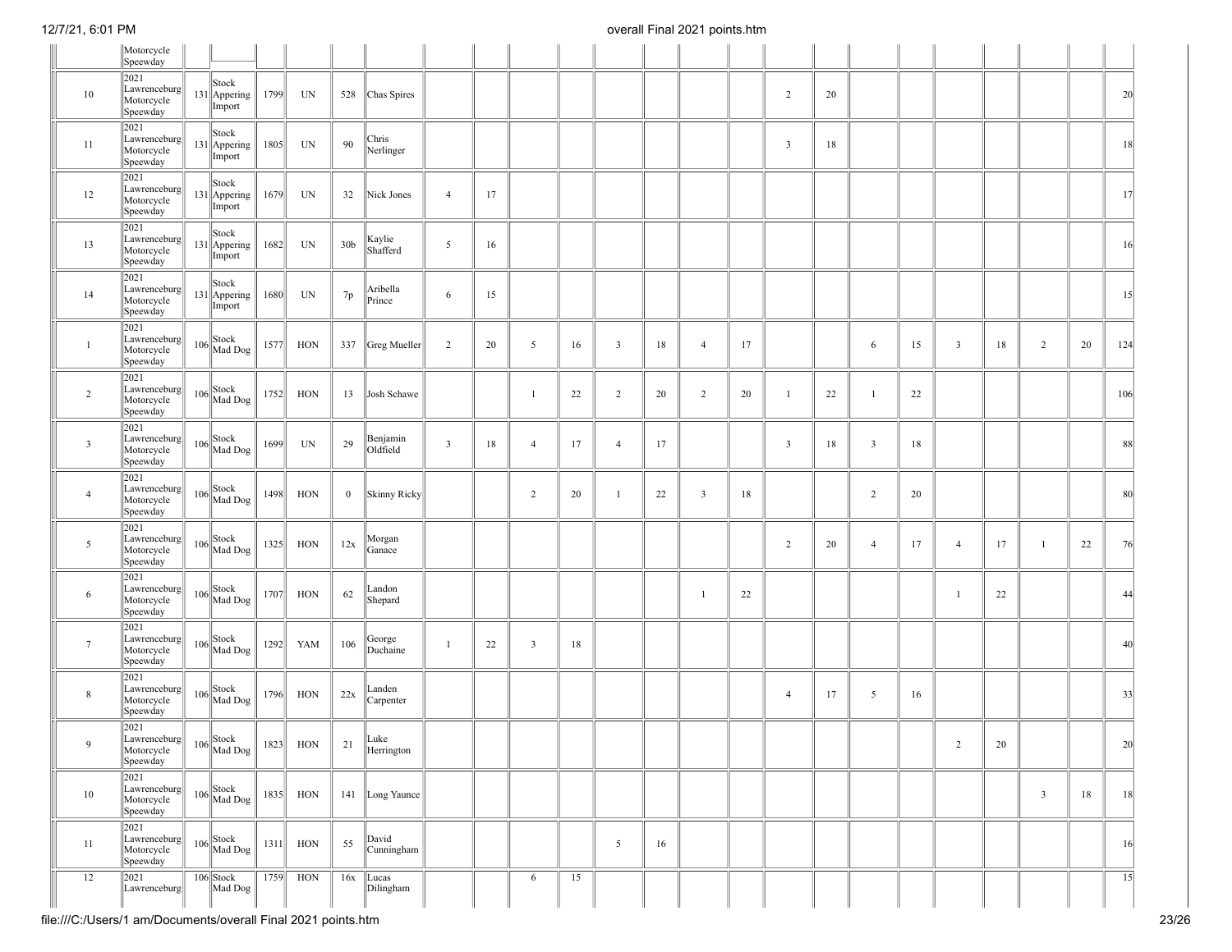|                 | Motorcycle<br>Speewday                         |                                 |      |            |                 |                      |                         |    |                         |    |                |    |                |    |                         |    |                |    |                         |    |                |    |                 |
|-----------------|------------------------------------------------|---------------------------------|------|------------|-----------------|----------------------|-------------------------|----|-------------------------|----|----------------|----|----------------|----|-------------------------|----|----------------|----|-------------------------|----|----------------|----|-----------------|
| 10              | 2021<br>Lawrenceburg<br>Motorcycle<br>Speewday | Stock<br>131 Appering<br>Import | 1799 | UN         |                 | 528 Chas Spires      |                         |    |                         |    |                |    |                |    | $\overline{2}$          | 20 |                |    |                         |    |                |    | 20              |
| 11              | 2021<br>Lawrenceburg<br>Motorcycle<br>Speewday | Stock<br>131 Appering<br>Import | 1805 | UN         | 90              | Chris<br>Nerlinger   |                         |    |                         |    |                |    |                |    | $\overline{\mathbf{3}}$ | 18 |                |    |                         |    |                |    | 18              |
| 12              | 2021<br>Lawrenceburg<br>Motorcycle<br>Speewday | Stock<br>131 Appering<br>Import | 1679 | UN         | 32              | Nick Jones           | $\overline{4}$          | 17 |                         |    |                |    |                |    |                         |    |                |    |                         |    |                |    | 17              |
| 13              | 2021<br>Lawrenceburg<br>Motorcycle<br>Speewday | Stock<br>131 Appering<br>Import | 1682 | UN         | 30 <sub>b</sub> | Kaylie<br>Shafferd   | 5                       | 16 |                         |    |                |    |                |    |                         |    |                |    |                         |    |                |    | 16              |
| 14              | 2021<br>Lawrenceburg<br>Motorcycle<br>Speewday | Stock<br>131 Appering<br>Import | 1680 | UN         | 7p              | Aribella<br>Prince   | 6                       | 15 |                         |    |                |    |                |    |                         |    |                |    |                         |    |                |    | 15              |
| $\mathbf{1}$    | 2021<br>Lawrenceburg<br>Motorcycle<br>Speewday | $106$<br>Mad Dog                | 1577 | HON        |                 | 337 Greg Mueller     | 2                       | 20 | 5                       | 16 | $\overline{3}$ | 18 | $\overline{4}$ | 17 |                         |    | 6              | 15 | $\overline{\mathbf{3}}$ | 18 | $\overline{2}$ | 20 | 124             |
| $\overline{2}$  | 2021<br>Lawrenceburg<br>Motorcycle<br>Speewday | $106$<br>Mad Dog                | 1752 | HON        | 13              | Josh Schawe          |                         |    | -1                      | 22 | $\overline{2}$ | 20 | $\overline{c}$ | 20 | $\mathbf{1}$            | 22 | $\overline{1}$ | 22 |                         |    |                |    | 106             |
| $\mathbf{3}$    | 2021<br>Lawrenceburg<br>Motorcycle<br>Speewday | $106$<br>Mad Dog                | 1699 | UN         | 29              | Benjamin<br>Oldfield | $\overline{\mathbf{3}}$ | 18 | $\overline{4}$          | 17 | $\overline{4}$ | 17 |                |    | $\overline{\mathbf{3}}$ | 18 | 3              | 18 |                         |    |                |    | 88              |
| $\overline{4}$  | 2021<br>Lawrenceburg<br>Motorcycle<br>Speewday | $106$ Nad Dog                   | 1498 | HON        | $\mathbf{0}$    | Skinny Ricky         |                         |    | $\overline{2}$          | 20 | $\mathbf{1}$   | 22 | $\overline{3}$ | 18 |                         |    | $\overline{2}$ | 20 |                         |    |                |    | 80              |
| 5               | 2021<br>Lawrenceburg<br>Motorcycle<br>Speewday | $106$<br>Mad Dog                | 1325 | HON        | 12x             | Morgan<br>Ganace     |                         |    |                         |    |                |    |                |    | $\overline{2}$          | 20 | $\overline{4}$ | 17 | $\overline{4}$          | 17 | 1              | 22 | 76              |
| 6               | 2021<br>Lawrenceburg<br>Motorcycle<br>Speewday | $106$ Nad Dog                   | 1707 | HON        | 62              | Landon<br>Shepard    |                         |    |                         |    |                |    | 1              | 22 |                         |    |                |    | -1                      | 22 |                |    | 44              |
| $7\phantom{.0}$ | 2021<br>Lawrenceburg<br>Motorcycle<br>Speewday | $106$ Nad Dog                   | 1292 | YAM        | 106             | George<br>Duchaine   | $\overline{1}$          | 22 | $\overline{\mathbf{3}}$ | 18 |                |    |                |    |                         |    |                |    |                         |    |                |    | 40              |
| 8               | 2021<br>Lawrenceburg<br>Motorcycle<br>Speewday | $106$<br>Mad Dog                | 1796 | HON        | 22x             | Landen<br>Carpenter  |                         |    |                         |    |                |    |                |    | $\overline{4}$          | 17 | 5              | 16 |                         |    |                |    | 33              |
| 9               | 2021<br>Lawrenceburg<br>Motorcycle<br>Speewday | $106$ Nad Dog                   |      | $1823$ HON | 21              | Luke<br>Herrington   |                         |    |                         |    |                |    |                |    |                         |    |                |    | $\overline{2}$          | 20 |                |    | 20              |
| 10              | 2021<br>Lawrenceburg<br>Motorcycle<br>Speewday | $106$<br>Mad Dog                | 1835 | <b>HON</b> |                 | 141 Long Yaunce      |                         |    |                         |    |                |    |                |    |                         |    |                |    |                         |    | $\overline{3}$ | 18 | 18              |
| 11              | 2021<br>Lawrenceburg<br>Motorcycle<br>Speewday | $106$ Stock<br>Mad Dog          | 1311 | HON        | 55              | David<br>Cunningham  |                         |    |                         |    | 5              | 16 |                |    |                         |    |                |    |                         |    |                |    | 16              |
| 12              | 2021<br>Lawrenceburg                           | $106$ Stock<br>Mad Dog          | 1759 | HON        | 16x             | Lucas<br>Dilingham   |                         |    | 6                       | 15 |                |    |                |    |                         |    |                |    |                         |    |                |    | $\overline{15}$ |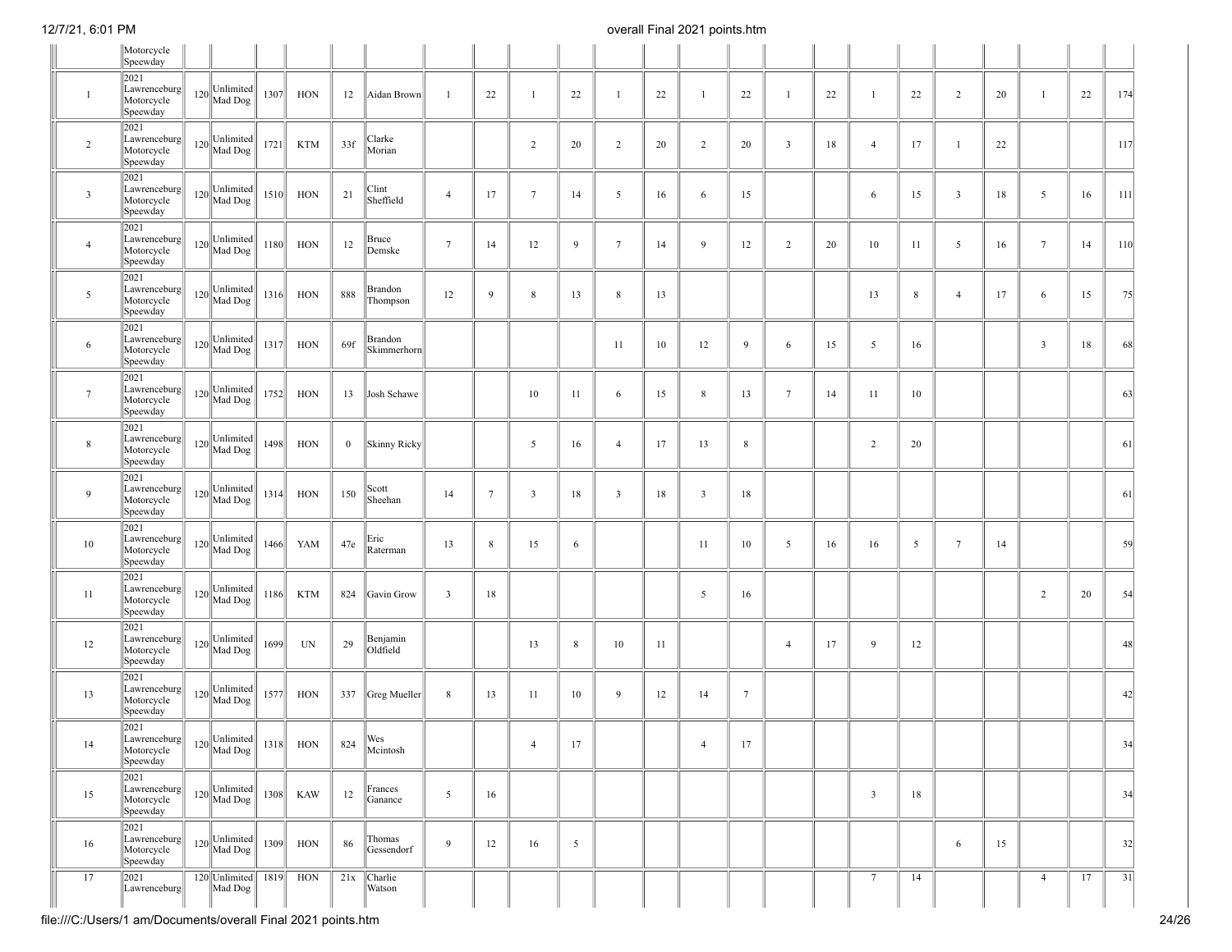|                 | Motorcycle<br>Speewday                                                                 |                                   |      |            |          |                        |                         |             |                 |    |                 |    |                |                 |                         |    |                         |    |                         |    |                |    |     |
|-----------------|----------------------------------------------------------------------------------------|-----------------------------------|------|------------|----------|------------------------|-------------------------|-------------|-----------------|----|-----------------|----|----------------|-----------------|-------------------------|----|-------------------------|----|-------------------------|----|----------------|----|-----|
|                 | 2021                                                                                   |                                   |      |            |          |                        |                         |             |                 |    |                 |    |                |                 |                         |    |                         |    |                         |    |                |    |     |
| $\mathbf{1}$    | Lawrenceburg<br>Motorcycle<br>Speewday                                                 | $120$ Unlimited                   | 1307 | HON        | 12       | Aidan Brown            | -1                      | 22          | $\mathbf{1}$    | 22 | $\mathbf{1}$    | 22 | $\overline{1}$ | 22              | $\overline{1}$          | 22 | -1                      | 22 | $\overline{2}$          | 20 | $\mathbf{1}$   | 22 | 174 |
| 2               | 2021<br>Lawrenceburg<br>Motorcycle<br>Speewday                                         | $120$ Unlimited                   | 1721 | <b>KTM</b> | 33f      | Clarke<br>Morian       |                         |             | $\overline{2}$  | 20 | $\overline{c}$  | 20 | $\overline{2}$ | 20              | $\overline{\mathbf{3}}$ | 18 | $\overline{4}$          | 17 | $\mathbf{1}$            | 22 |                |    | 117 |
| $\mathbf{3}$    | 2021<br>Lawrenceburg<br>Motorcycle<br>Speewday                                         | $120$ $\bigg\ $ Mad Dog $\bigg\ $ | 1510 | HON        | 21       | Clint<br>Sheffield     | $\overline{4}$          | 17          | $7\phantom{.0}$ | 14 | 5               | 16 | 6              | 15              |                         |    | 6                       | 15 | $\overline{\mathbf{3}}$ | 18 | 5              | 16 | 111 |
| $\overline{4}$  | 2021<br>Lawrenceburg<br>Motorcycle<br>Speewday                                         | $120$ Unlimited                   | 1180 | HON        | 12       | Bruce<br>Demske        | $7\phantom{.0}$         | 14          | 12              | 9  | $7\phantom{.0}$ | 14 | 9              | 12              | $\overline{2}$          | 20 | 10                      | 11 | 5                       | 16 | $\tau$         | 14 | 110 |
| 5               | 2021<br>Lawrenceburg<br>Motorcycle<br>Speewday                                         | $120$ Unlimited                   | 1316 | HON        | 888      | Brandon<br>Thompson    | 12                      | 9           | 8               | 13 | 8               | 13 |                |                 |                         |    | 13                      | 8  | $\overline{4}$          | 17 | 6              | 15 | 75  |
| 6               | 2021<br>Lawrenceburg<br>Motorcycle<br>Speewday                                         | $120$ Unlimited                   | 1317 | HON        | 69f      | Brandon<br>Skimmerhorn |                         |             |                 |    | 11              | 10 | 12             | 9               | 6                       | 15 | 5                       | 16 |                         |    | $\mathbf{3}$   | 18 | 68  |
| $7\phantom{.0}$ | 2021<br>Lawrenceburg<br>Motorcycle<br>Speewday                                         | $120$ Unlimited                   | 1752 | HON        | 13       | Josh Schawe            |                         |             | 10              | 11 | 6               | 15 | 8              | 13              | $7\phantom{.0}$         | 14 | 11                      | 10 |                         |    |                |    | 63  |
| $\,$ 8 $\,$     | 2021<br>Lawrenceburg<br>Motorcycle<br>Speewday                                         | $120$ Unlimited                   | 1498 | HON        | $\bf{0}$ | Skinny Ricky           |                         |             | $5\overline{)}$ | 16 | $\overline{4}$  | 17 | 13             | 8               |                         |    | $\overline{2}$          | 20 |                         |    |                |    | 61  |
| 9               | 2021<br>Lawrenceburg<br>Motorcycle<br>Speewday                                         | $120$ Unlimited                   | 1314 | HON        | 150      | Scott<br>Sheehan       | 14                      | $\tau$      | $\overline{3}$  | 18 | $\mathbf{3}$    | 18 | $\mathbf{3}$   | 18              |                         |    |                         |    |                         |    |                |    | 61  |
| 10              | 2021<br>Lawrenceburg<br>Motorcycle<br>Speewday                                         | $120$ Unlimited                   | 1466 | YAM        | 47e      | Eric<br>Raterman       | 13                      | $\,$ 8 $\,$ | 15              | 6  |                 |    | 11             | 10              | 5                       | 16 | 16                      | 5  | $7\phantom{.0}$         | 14 |                |    | 59  |
| 11              | 2021<br>Lawrenceburg<br>Motorcycle<br>Speewday                                         | $120$ Unlimited                   | 1186 | <b>KTM</b> |          | 824 Gavin Grow         | $\overline{\mathbf{3}}$ | 18          |                 |    |                 |    | 5              | 16              |                         |    |                         |    |                         |    | $\overline{c}$ | 20 | 54  |
| 12              | 2021<br>Lawrenceburg<br>Motorcycle<br>Speewday                                         | $120$ Unlimited                   | 1699 | UN         | 29       | Benjamin<br>Oldfield   |                         |             | 13              | 8  | 10              | 11 |                |                 | $\overline{4}$          | 17 | 9                       | 12 |                         |    |                |    | 48  |
| 13              | 2021<br>Lawrenceburg<br>Motorcycle<br>Speewday                                         | $120$ Unlimited                   | 1577 | HON        |          | 337 Greg Mueller       | 8                       | 13          | 11              | 10 | 9               | 12 | 14             | $7\phantom{.0}$ |                         |    |                         |    |                         |    |                |    | 42  |
| 14              | 2021<br>Lawrenceburg 120 Unlimited<br>Motorcycle 120 Mad Dog<br>Motorcycle<br>Speewday |                                   | 1318 | HON        | 824      | Wes<br>Mcintosh        |                         |             | 4               | 17 |                 |    | 4              | 17              |                         |    |                         |    |                         |    |                |    | 34  |
| 15              | 2021<br>Lawrenceburg<br>Motorcycle<br>Speewday                                         | $120$ Unlimited                   | 1308 | <b>KAW</b> | 12       | Frances<br>Ganance     | 5                       | 16          |                 |    |                 |    |                |                 |                         |    | $\overline{\mathbf{3}}$ | 18 |                         |    |                |    | 34  |
| 16              | 2021<br>Lawrenceburg<br>Motorcycle<br>Speewday                                         | $120$ Unlimited                   | 1309 | HON        | 86       | Thomas<br>Gessendorf   | 9                       | 12          | 16              | 5  |                 |    |                |                 |                         |    |                         |    | 6                       | 15 |                |    | 32  |
| 17              | 2021<br>Lawrenceburg                                                                   | 120 Unlimited 1819<br>Mad Dog     |      | HON        | 21x      | Charlie<br>Watson      |                         |             |                 |    |                 |    |                |                 |                         |    | $7\phantom{.0}$         | 14 |                         |    | $\overline{4}$ | 17 | 31  |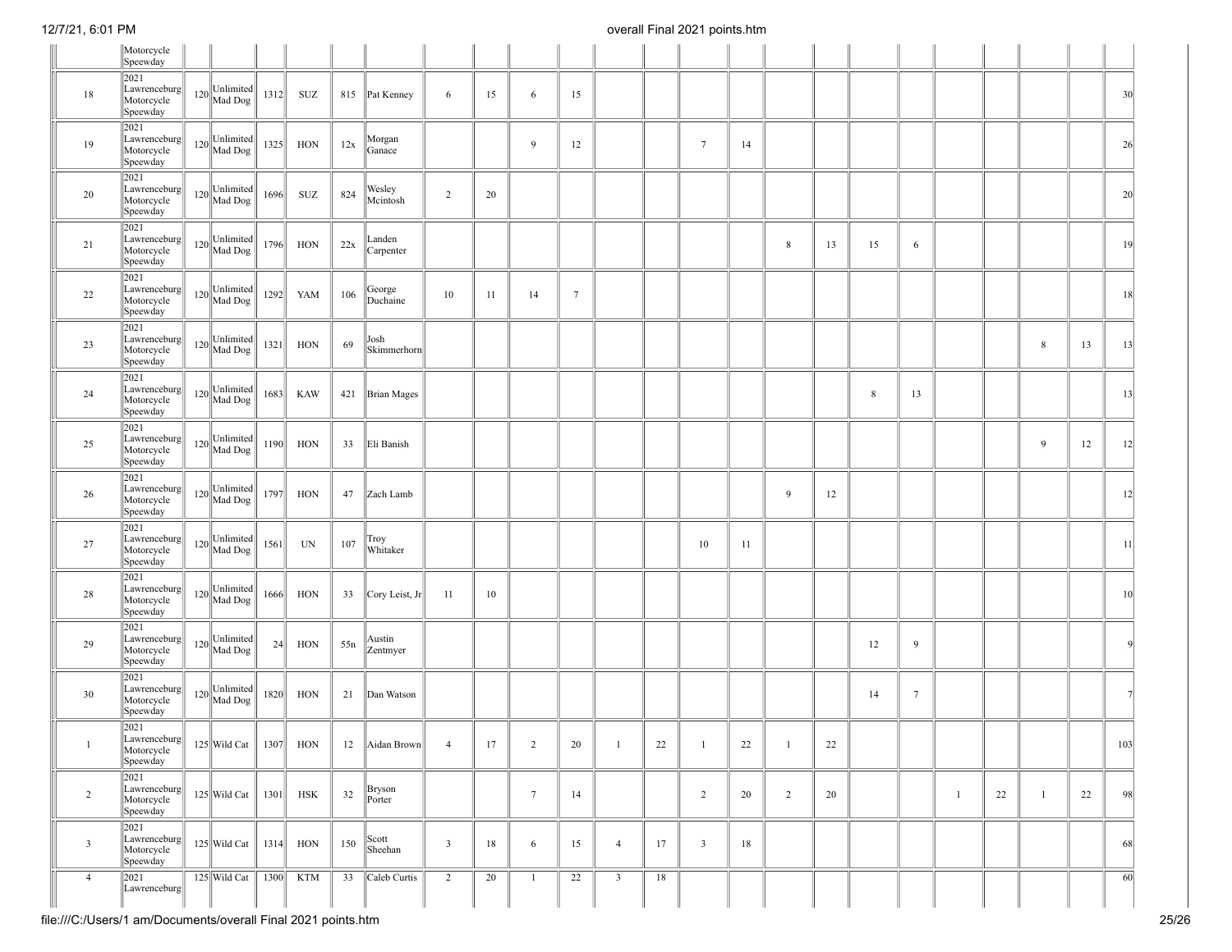|                | Motorcycle<br>Speewday                            |                 |      |            |     |                     |                         |    |                 |                 |                |    |                         |    |                |    |         |                 |              |    |              |    |                 |
|----------------|---------------------------------------------------|-----------------|------|------------|-----|---------------------|-------------------------|----|-----------------|-----------------|----------------|----|-------------------------|----|----------------|----|---------|-----------------|--------------|----|--------------|----|-----------------|
| 18             | 2021<br>Lawrenceburg<br>Motorcycle<br>Speewday    | $120$ Unlimited | 1312 | SUZ        |     | 815 Pat Kenney      | 6                       | 15 | 6               | 15              |                |    |                         |    |                |    |         |                 |              |    |              |    | 30 <sup>l</sup> |
| 19             | 2021<br>Lawrenceburg<br>Motorcycle<br>Speewday    | $120$ Unlimited | 1325 | HON        | 12x | Morgan<br>Ganace    |                         |    | 9               | 12              |                |    | $7\phantom{.0}$         | 14 |                |    |         |                 |              |    |              |    | 26              |
| 20             | 2021<br>Lawrenceburg<br>Motorcycle<br>Speewday    | $120$ Unlimited | 1696 | SUZ        | 824 | Wesley<br>Mcintosh  | $\overline{2}$          | 20 |                 |                 |                |    |                         |    |                |    |         |                 |              |    |              |    | 20              |
| 21             | 2021<br>Lawrenceburg<br>Motorcycle<br>Speewday    | $120$ Unlimited | 1796 | HON        | 22x | Landen<br>Carpenter |                         |    |                 |                 |                |    |                         |    | 8              | 13 | 15      | 6               |              |    |              |    | 19              |
| 22             | 2021<br>Lawrenceburg<br>Motorcycle<br>Speewday    | $120$ Unlimited | 1292 | YAM        | 106 | George<br>Duchaine  | 10                      | 11 | 14              | $7\phantom{.0}$ |                |    |                         |    |                |    |         |                 |              |    |              |    | 18              |
| 23             | 2021<br>Lawrenceburg<br>Motorcycle<br>Speewday    | $120$ Unlimited | 1321 | HON        | 69  | Josh<br>Skimmerhorn |                         |    |                 |                 |                |    |                         |    |                |    |         |                 |              |    | 8            | 13 | 13              |
| 24             | 2021<br>Lawrenceburg<br>Motorcycle<br>Speewday    | $120$ Unlimited | 1683 | <b>KAW</b> |     | 421 Brian Mages     |                         |    |                 |                 |                |    |                         |    |                |    | $\,8\,$ | 13              |              |    |              |    | 13              |
| 25             | 2021<br>Lawrenceburg<br>Motorcycle<br>Speewday    | $120$ Unlimited | 1190 | <b>HON</b> | 33  | Eli Banish          |                         |    |                 |                 |                |    |                         |    |                |    |         |                 |              |    | 9            | 12 | 12              |
| 26             | 2021<br>Lawrenceburg<br>Motorcycle<br>Speewday    | $120$ Unlimited | 1797 | <b>HON</b> | 47  | Zach Lamb           |                         |    |                 |                 |                |    |                         |    | 9              | 12 |         |                 |              |    |              |    | 12              |
| 27             | 2021<br>Lawrenceburg<br>Motorcycle<br>Speewday    | $120$ Unlimited | 1561 | UN         | 107 | Troy<br>Whitaker    |                         |    |                 |                 |                |    | 10                      | 11 |                |    |         |                 |              |    |              |    | 11              |
| 28             | 2021<br>Lawrenceburg<br>Motorcycle<br>Speewday    | $120$ Unlimited | 1666 | HON        | 33  | Cory Leist, Jr      | 11                      | 10 |                 |                 |                |    |                         |    |                |    |         |                 |              |    |              |    | 10              |
| 29             | 2021<br>Lawrenceburg<br>Motorcycle<br>Speewday    | $120$ Unlimited | 24   | HON        | 55n | Austin<br>Zentmyer  |                         |    |                 |                 |                |    |                         |    |                |    | 12      | 9               |              |    |              |    | -9              |
| 30             | 2021<br>Lawrenceburg<br>Motorcycle<br>Speewday    | $120$ Unlimited | 1820 | HON        | 21  | Dan Watson          |                         |    |                 |                 |                |    |                         |    |                |    | 14      | $7\phantom{.0}$ |              |    |              |    |                 |
| $\mathbf{1}$   | 2021<br> Lawrenceburg  <br>Motorcycle<br>Speewday | 125 Wild Cat    | 1307 | HON        | 12  | Aidan Brown         | $\overline{4}$          | 17 | $\overline{2}$  | 20              | $\overline{1}$ | 22 | -1                      | 22 | $\mathbf{1}$   | 22 |         |                 |              |    |              |    | 103             |
| $\overline{2}$ | 2021<br>Lawrenceburg<br>Motorcycle<br>Speewday    | $125$ Wild Cat  | 1301 | <b>HSK</b> | 32  | Bryson<br>Porter    |                         |    | $7\phantom{.0}$ | 14              |                |    | $\overline{2}$          | 20 | $\overline{2}$ | 20 |         |                 | $\mathbf{1}$ | 22 | $\mathbf{1}$ | 22 | 98              |
| $\mathbf{3}$   | 2021<br>Lawrenceburg<br>Motorcycle<br>Speewday    | $125$ Wild Cat  | 1314 | HON        | 150 | Scott<br>Sheehan    | $\overline{\mathbf{3}}$ | 18 | 6               | 15              | $\overline{4}$ | 17 | $\overline{\mathbf{3}}$ | 18 |                |    |         |                 |              |    |              |    | 68              |
| $\overline{4}$ | 2021<br>Lawrenceburg                              | 125 Wild Cat    | 1300 | <b>KTM</b> | 33  | Caleb Curtis        | $\overline{2}$          | 20 | $\overline{1}$  | 22              | $\overline{3}$ | 18 |                         |    |                |    |         |                 |              |    |              |    | $\overline{60}$ |